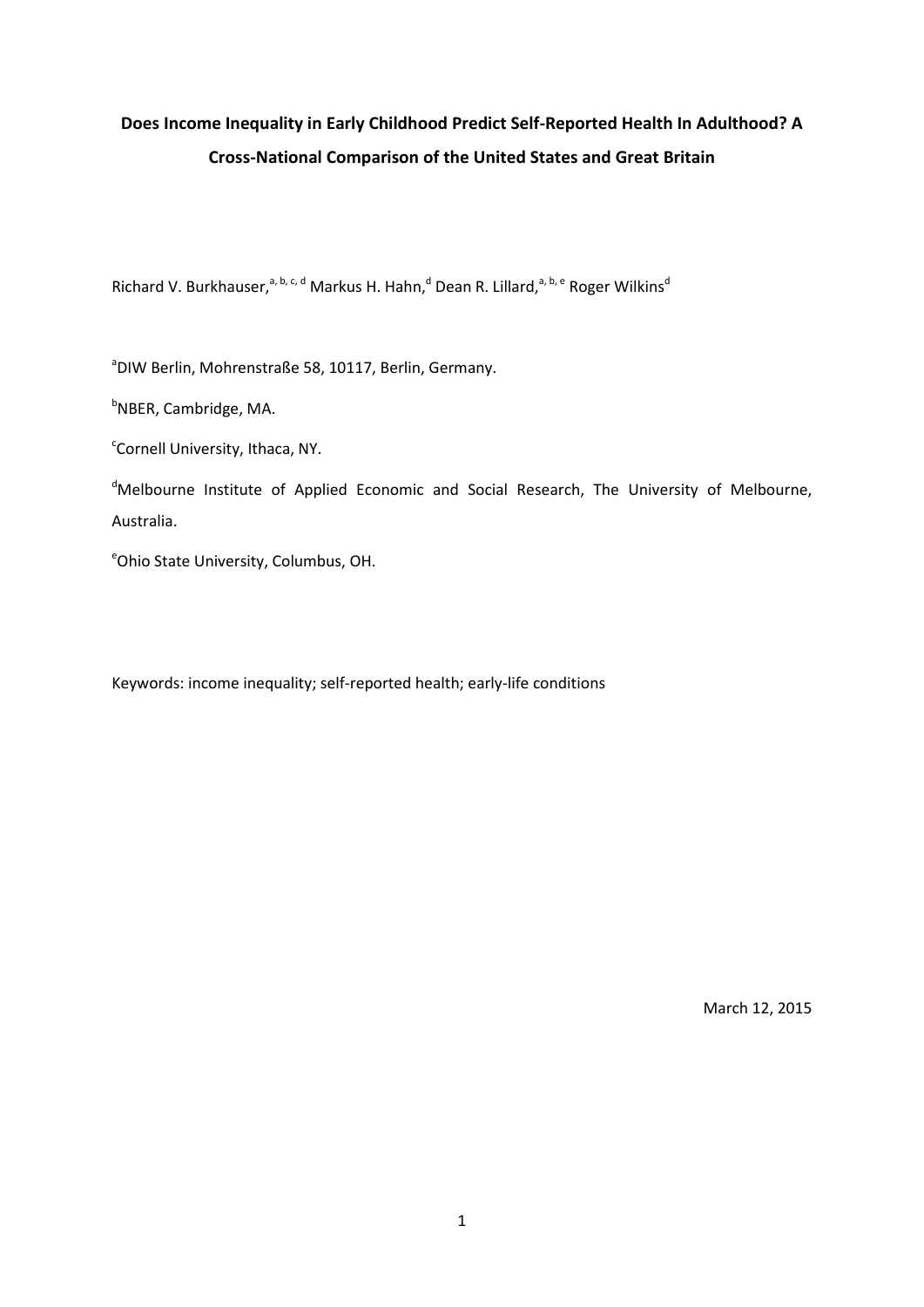# **Does Income Inequality in Early Childhood Predict Self-Reported Health In Adulthood? A Cross-National Comparison of the United States and Great Britain**

Richard V. Burkhauser,<sup>a, b, c, d</sup> Markus H. Hahn,<sup>d</sup> Dean R. Lillard,<sup>a, b, e</sup> Roger Wilkins<sup>d</sup>

a DIW Berlin, Mohrenstraße 58, 10117, Berlin, Germany.

<sup>b</sup>NBER, Cambridge, MA.

<sup>c</sup>Cornell University, Ithaca, NY.

<sup>d</sup>Melbourne Institute of Applied Economic and Social Research, The University of Melbourne, Australia.

e Ohio State University, Columbus, OH.

Keywords: income inequality; self-reported health; early-life conditions

March 12, 2015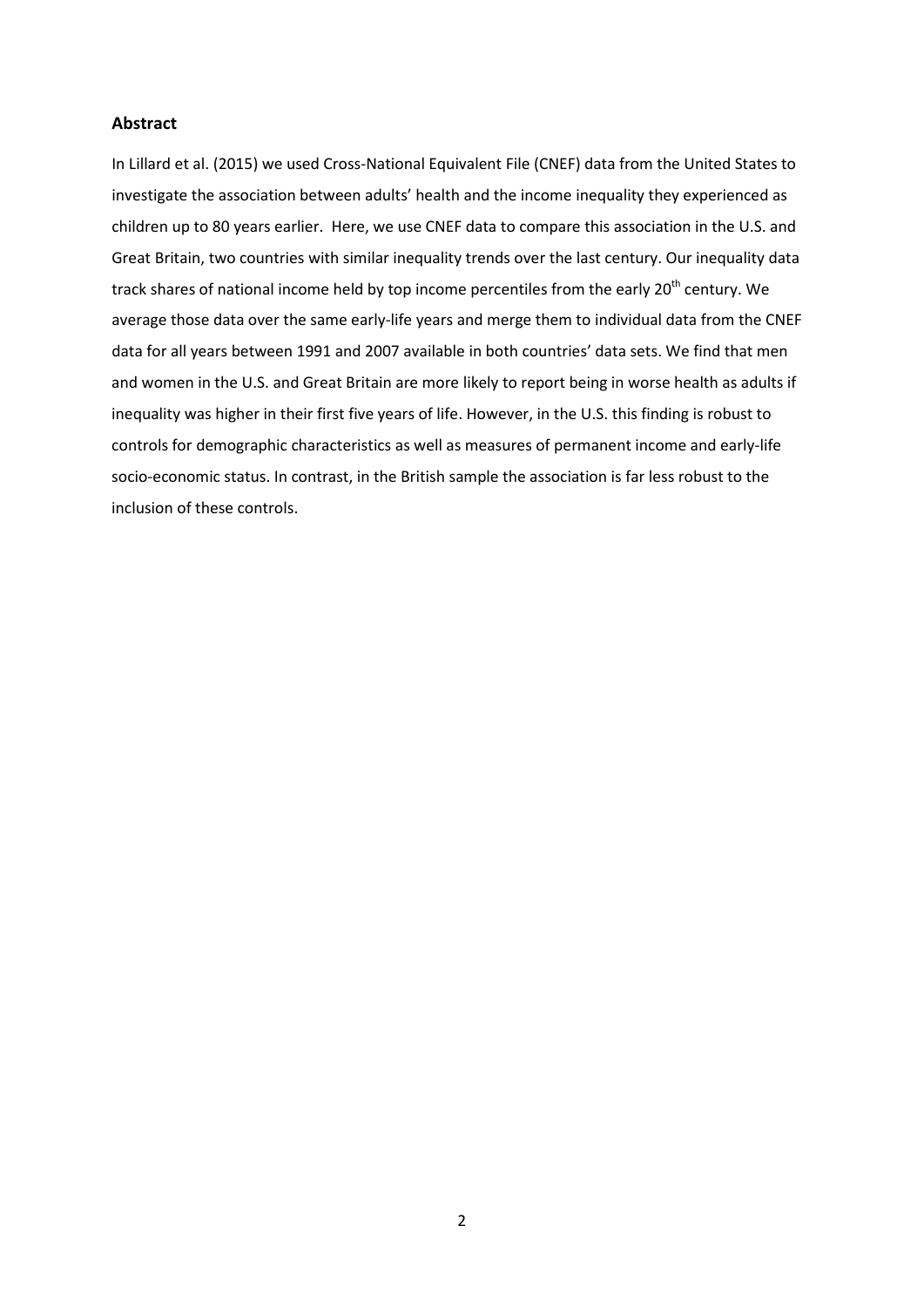# **Abstract**

In Lillard et al. (2015) we used Cross-National Equivalent File (CNEF) data from the United States to investigate the association between adults' health and the income inequality they experienced as children up to 80 years earlier. Here, we use CNEF data to compare this association in the U.S. and Great Britain, two countries with similar inequality trends over the last century. Our inequality data track shares of national income held by top income percentiles from the early 20<sup>th</sup> century. We average those data over the same early-life years and merge them to individual data from the CNEF data for all years between 1991 and 2007 available in both countries' data sets. We find that men and women in the U.S. and Great Britain are more likely to report being in worse health as adults if inequality was higher in their first five years of life. However, in the U.S. this finding is robust to controls for demographic characteristics as well as measures of permanent income and early-life socio-economic status. In contrast, in the British sample the association is far less robust to the inclusion of these controls.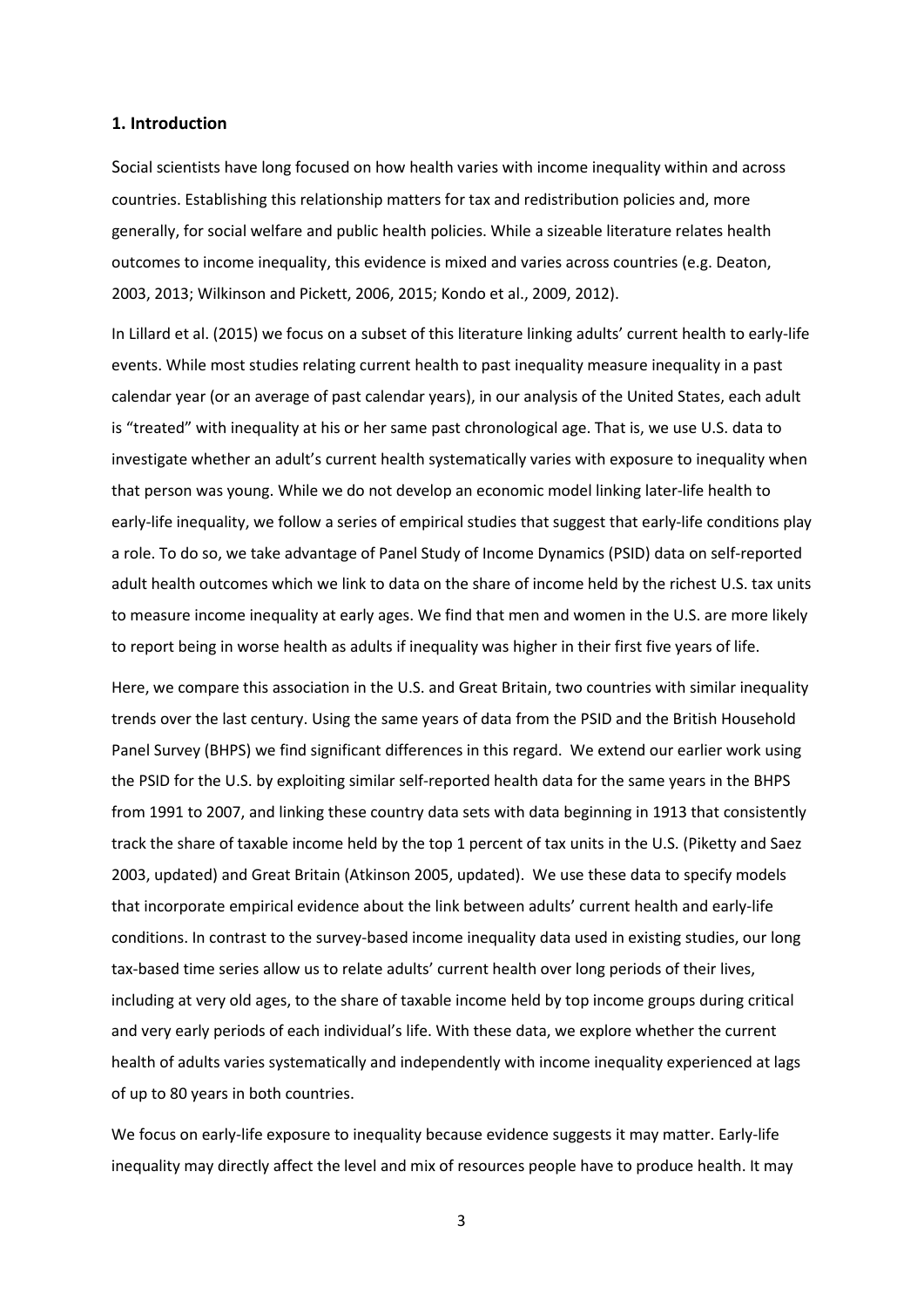# **1. Introduction**

Social scientists have long focused on how health varies with income inequality within and across countries. Establishing this relationship matters for tax and redistribution policies and, more generally, for social welfare and public health policies. While a sizeable literature relates health outcomes to income inequality, this evidence is mixed and varies across countries (e.g. Deaton, 2003, 2013; Wilkinson and Pickett, 2006, 2015; Kondo et al., 2009, 2012).

In Lillard et al. (2015) we focus on a subset of this literature linking adults' current health to early-life events. While most studies relating current health to past inequality measure inequality in a past calendar year (or an average of past calendar years), in our analysis of the United States, each adult is "treated" with inequality at his or her same past chronological age. That is, we use U.S. data to investigate whether an adult's current health systematically varies with exposure to inequality when that person was young. While we do not develop an economic model linking later-life health to early-life inequality, we follow a series of empirical studies that suggest that early-life conditions play a role. To do so, we take advantage of Panel Study of Income Dynamics (PSID) data on self-reported adult health outcomes which we link to data on the share of income held by the richest U.S. tax units to measure income inequality at early ages. We find that men and women in the U.S. are more likely to report being in worse health as adults if inequality was higher in their first five years of life.

Here, we compare this association in the U.S. and Great Britain, two countries with similar inequality trends over the last century. Using the same years of data from the PSID and the British Household Panel Survey (BHPS) we find significant differences in this regard. We extend our earlier work using the PSID for the U.S. by exploiting similar self-reported health data for the same years in the BHPS from 1991 to 2007, and linking these country data sets with data beginning in 1913 that consistently track the share of taxable income held by the top 1 percent of tax units in the U.S. (Piketty and Saez 2003, updated) and Great Britain (Atkinson 2005, updated). We use these data to specify models that incorporate empirical evidence about the link between adults' current health and early-life conditions. In contrast to the survey-based income inequality data used in existing studies, our long tax-based time series allow us to relate adults' current health over long periods of their lives, including at very old ages, to the share of taxable income held by top income groups during critical and very early periods of each individual's life. With these data, we explore whether the current health of adults varies systematically and independently with income inequality experienced at lags of up to 80 years in both countries.

We focus on early-life exposure to inequality because evidence suggests it may matter. Early-life inequality may directly affect the level and mix of resources people have to produce health. It may

3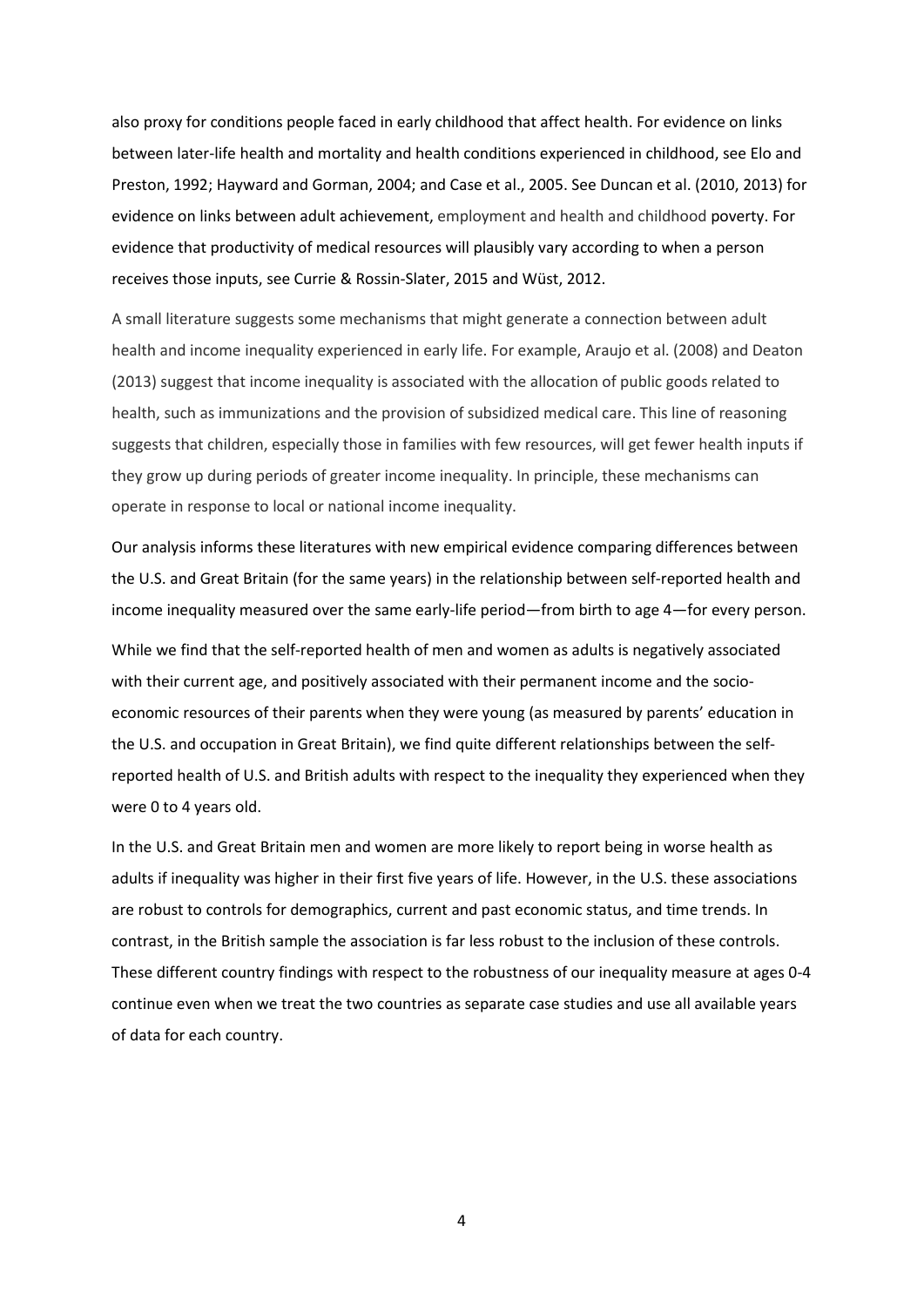also proxy for conditions people faced in early childhood that affect health. For evidence on links between later-life health and mortality and health conditions experienced in childhood, see Elo and Preston, 1992; Hayward and Gorman, 2004; and Case et al., 2005. See Duncan et al. (2010, 2013) for evidence on links between adult achievement, employment and health and childhood poverty. For evidence that productivity of medical resources will plausibly vary according to when a person receives those inputs, see Currie & Rossin-Slater, 2015 and Wüst, 2012.

A small literature suggests some mechanisms that might generate a connection between adult health and income inequality experienced in early life. For example, Araujo et al. (2008) and Deaton (2013) suggest that income inequality is associated with the allocation of public goods related to health, such as immunizations and the provision of subsidized medical care. This line of reasoning suggests that children, especially those in families with few resources, will get fewer health inputs if they grow up during periods of greater income inequality. In principle, these mechanisms can operate in response to local or national income inequality.

Our analysis informs these literatures with new empirical evidence comparing differences between the U.S. and Great Britain (for the same years) in the relationship between self-reported health and income inequality measured over the same early-life period—from birth to age 4—for every person.

While we find that the self-reported health of men and women as adults is negatively associated with their current age, and positively associated with their permanent income and the socioeconomic resources of their parents when they were young (as measured by parents' education in the U.S. and occupation in Great Britain), we find quite different relationships between the selfreported health of U.S. and British adults with respect to the inequality they experienced when they were 0 to 4 years old.

In the U.S. and Great Britain men and women are more likely to report being in worse health as adults if inequality was higher in their first five years of life. However, in the U.S. these associations are robust to controls for demographics, current and past economic status, and time trends. In contrast, in the British sample the association is far less robust to the inclusion of these controls. These different country findings with respect to the robustness of our inequality measure at ages 0-4 continue even when we treat the two countries as separate case studies and use all available years of data for each country.

4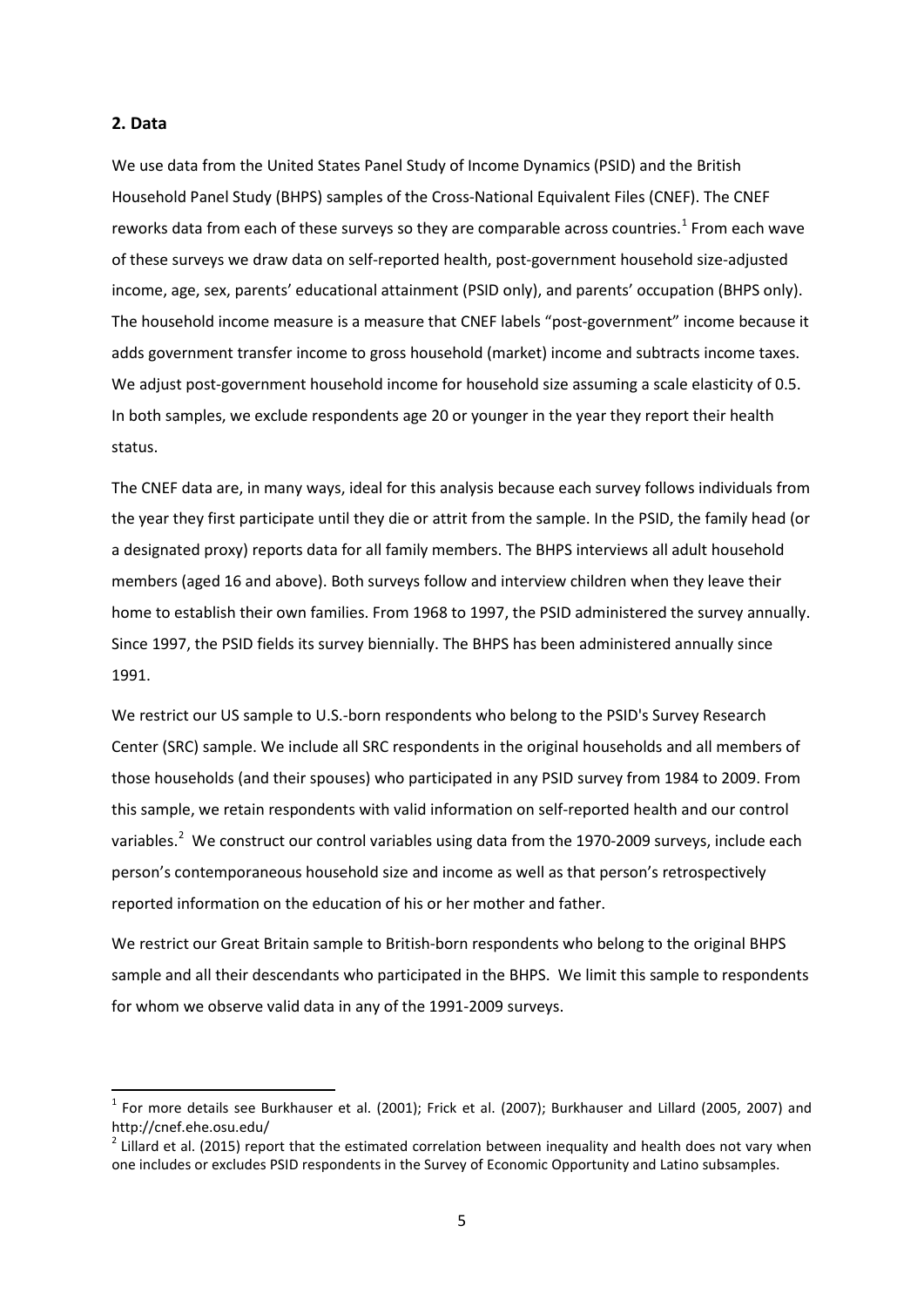# **2. Data**

**.** 

We use data from the United States Panel Study of Income Dynamics (PSID) and the British Household Panel Study (BHPS) samples of the Cross-National Equivalent Files (CNEF). The CNEF reworks data from each of these surveys so they are comparable across countries.<sup>[1](#page-4-0)</sup> From each wave of these surveys we draw data on self-reported health, post-government household size-adjusted income, age, sex, parents' educational attainment (PSID only), and parents' occupation (BHPS only). The household income measure is a measure that CNEF labels "post-government" income because it adds government transfer income to gross household (market) income and subtracts income taxes. We adjust post-government household income for household size assuming a scale elasticity of 0.5. In both samples, we exclude respondents age 20 or younger in the year they report their health status.

The CNEF data are, in many ways, ideal for this analysis because each survey follows individuals from the year they first participate until they die or attrit from the sample. In the PSID, the family head (or a designated proxy) reports data for all family members. The BHPS interviews all adult household members (aged 16 and above). Both surveys follow and interview children when they leave their home to establish their own families. From 1968 to 1997, the PSID administered the survey annually. Since 1997, the PSID fields its survey biennially. The BHPS has been administered annually since 1991.

We restrict our US sample to U.S.-born respondents who belong to the PSID's Survey Research Center (SRC) sample. We include all SRC respondents in the original households and all members of those households (and their spouses) who participated in any PSID survey from 1984 to 2009. From this sample, we retain respondents with valid information on self-reported health and our control variables.<sup>[2](#page-4-1)</sup> We construct our control variables using data from the 1970-2009 surveys, include each person's contemporaneous household size and income as well as that person's retrospectively reported information on the education of his or her mother and father.

We restrict our Great Britain sample to British-born respondents who belong to the original BHPS sample and all their descendants who participated in the BHPS. We limit this sample to respondents for whom we observe valid data in any of the 1991-2009 surveys.

<span id="page-4-0"></span> $1$  For more details see Burkhauser et al. (2001); Frick et al. (2007); Burkhauser and Lillard (2005, 2007) and http://cnef.ehe.osu.edu/<br> $^2$  Lillard et al. (2015) report that the estimated correlation between inequality and health does not vary when

<span id="page-4-1"></span>one includes or excludes PSID respondents in the Survey of Economic Opportunity and Latino subsamples.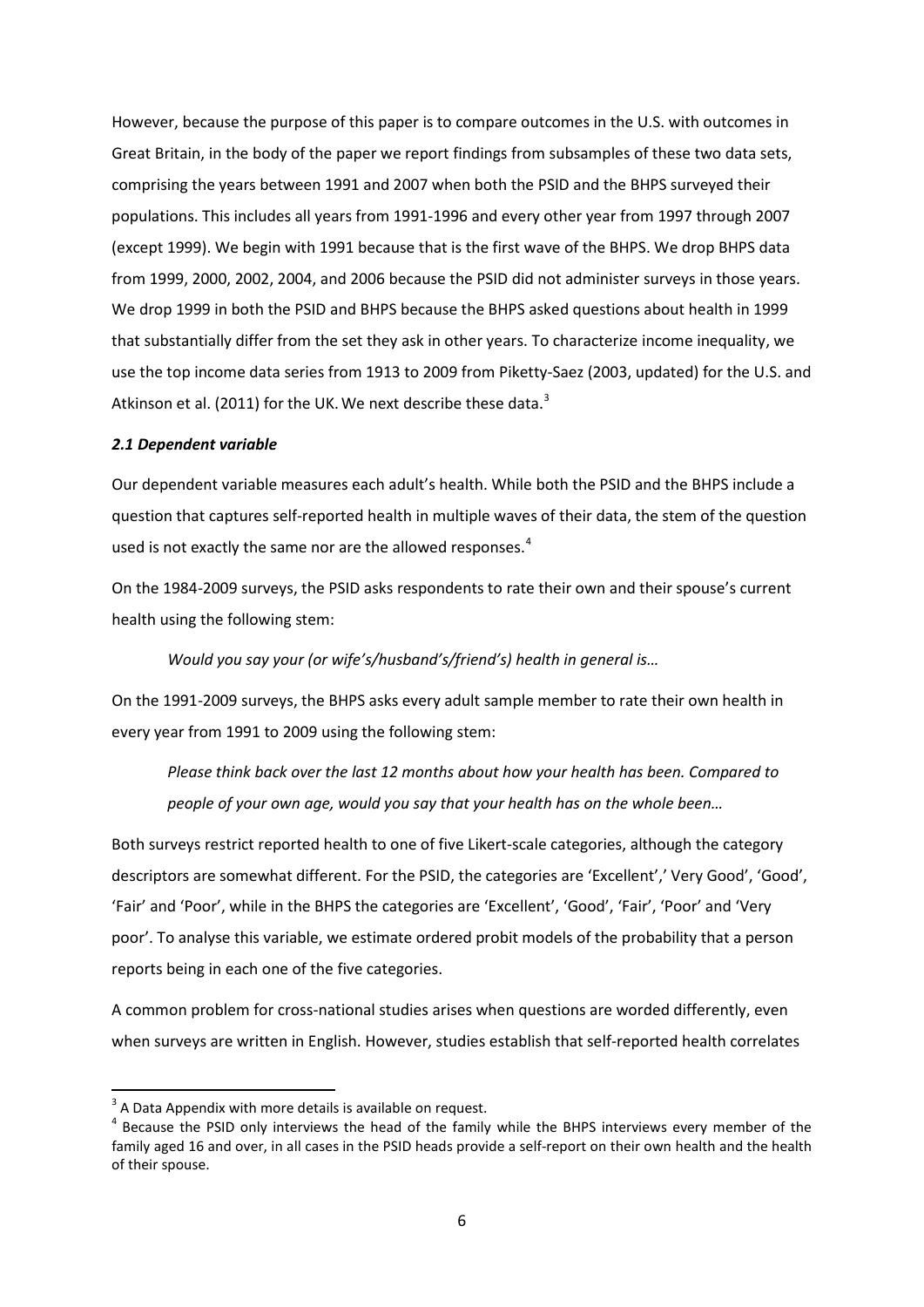However, because the purpose of this paper is to compare outcomes in the U.S. with outcomes in Great Britain, in the body of the paper we report findings from subsamples of these two data sets, comprising the years between 1991 and 2007 when both the PSID and the BHPS surveyed their populations. This includes all years from 1991-1996 and every other year from 1997 through 2007 (except 1999). We begin with 1991 because that is the first wave of the BHPS. We drop BHPS data from 1999, 2000, 2002, 2004, and 2006 because the PSID did not administer surveys in those years. We drop 1999 in both the PSID and BHPS because the BHPS asked questions about health in 1999 that substantially differ from the set they ask in other years. To characterize income inequality, we use the top income data series from 1913 to 2009 from Piketty-Saez (2003, updated) for the U.S. and Atkinson et al. (2011) for the UK. We next describe these data. $3$ 

# *2.1 Dependent variable*

Our dependent variable measures each adult's health. While both the PSID and the BHPS include a question that captures self-reported health in multiple waves of their data, the stem of the question used is not exactly the same nor are the allowed responses. $4$ 

On the 1984-2009 surveys, the PSID asks respondents to rate their own and their spouse's current health using the following stem:

*Would you say your (or wife's/husband's/friend's) health in general is…*

On the 1991-2009 surveys, the BHPS asks every adult sample member to rate their own health in every year from 1991 to 2009 using the following stem:

*Please think back over the last 12 months about how your health has been. Compared to people of your own age, would you say that your health has on the whole been…*

Both surveys restrict reported health to one of five Likert-scale categories, although the category descriptors are somewhat different. For the PSID, the categories are 'Excellent',' Very Good', 'Good', 'Fair' and 'Poor', while in the BHPS the categories are 'Excellent', 'Good', 'Fair', 'Poor' and 'Very poor'. To analyse this variable, we estimate ordered probit models of the probability that a person reports being in each one of the five categories.

A common problem for cross-national studies arises when questions are worded differently, even when surveys are written in English. However, studies establish that self-reported health correlates

**.** 

<span id="page-5-1"></span><span id="page-5-0"></span> $3$  A Data Appendix with more details is available on request.<br> $4$  Because the PSID only interviews the head of the family while the BHPS interviews every member of the family aged 16 and over, in all cases in the PSID heads provide a self-report on their own health and the health of their spouse.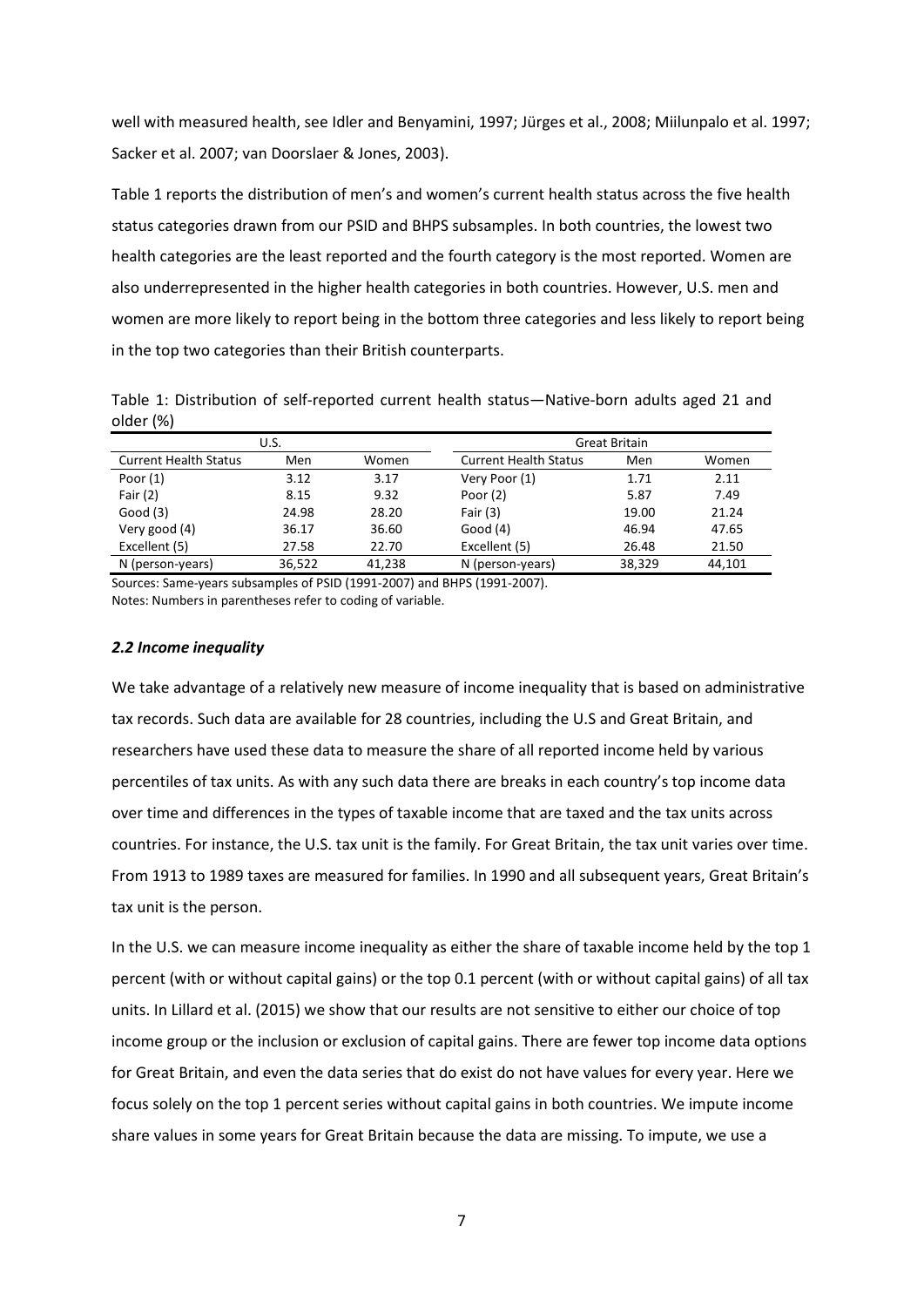well with measured health, see Idler and Benyamini, 1997; Jürges et al., 2008; Miilunpalo et al. 1997; Sacker et al. 2007; van Doorslaer & Jones, 2003).

Table 1 reports the distribution of men's and women's current health status across the five health status categories drawn from our PSID and BHPS subsamples. In both countries, the lowest two health categories are the least reported and the fourth category is the most reported. Women are also underrepresented in the higher health categories in both countries. However, U.S. men and women are more likely to report being in the bottom three categories and less likely to report being in the top two categories than their British counterparts.

Table 1: Distribution of self-reported current health status—Native-born adults aged 21 and older (%)

|                              | U.S.   |        |                                     | Great Britain |        |  |  |
|------------------------------|--------|--------|-------------------------------------|---------------|--------|--|--|
| <b>Current Health Status</b> | Men    | Women  | <b>Current Health Status</b><br>Men |               | Women  |  |  |
| Poor $(1)$                   | 3.12   | 3.17   | Very Poor (1)                       | 1.71          | 2.11   |  |  |
| Fair $(2)$                   | 8.15   | 9.32   | Poor $(2)$                          | 5.87          | 7.49   |  |  |
| Good(3)                      | 24.98  | 28.20  | Fair $(3)$                          | 19.00         | 21.24  |  |  |
| Very good (4)                | 36.17  | 36.60  | Good $(4)$                          | 46.94         | 47.65  |  |  |
| Excellent (5)                | 27.58  | 22.70  | Excellent (5)                       | 26.48         | 21.50  |  |  |
| N (person-years)             | 36.522 | 41.238 | N (person-years)                    | 38,329        | 44.101 |  |  |

Sources: Same-years subsamples of PSID (1991-2007) and BHPS (1991-2007). Notes: Numbers in parentheses refer to coding of variable.

# *2.2 Income inequality*

We take advantage of a relatively new measure of income inequality that is based on administrative tax records. Such data are available for 28 countries, including the U.S and Great Britain, and researchers have used these data to measure the share of all reported income held by various percentiles of tax units. As with any such data there are breaks in each country's top income data over time and differences in the types of taxable income that are taxed and the tax units across countries. For instance, the U.S. tax unit is the family. For Great Britain, the tax unit varies over time. From 1913 to 1989 taxes are measured for families. In 1990 and all subsequent years, Great Britain's tax unit is the person.

In the U.S. we can measure income inequality as either the share of taxable income held by the top 1 percent (with or without capital gains) or the top 0.1 percent (with or without capital gains) of all tax units. In Lillard et al. (2015) we show that our results are not sensitive to either our choice of top income group or the inclusion or exclusion of capital gains. There are fewer top income data options for Great Britain, and even the data series that do exist do not have values for every year. Here we focus solely on the top 1 percent series without capital gains in both countries. We impute income share values in some years for Great Britain because the data are missing. To impute, we use a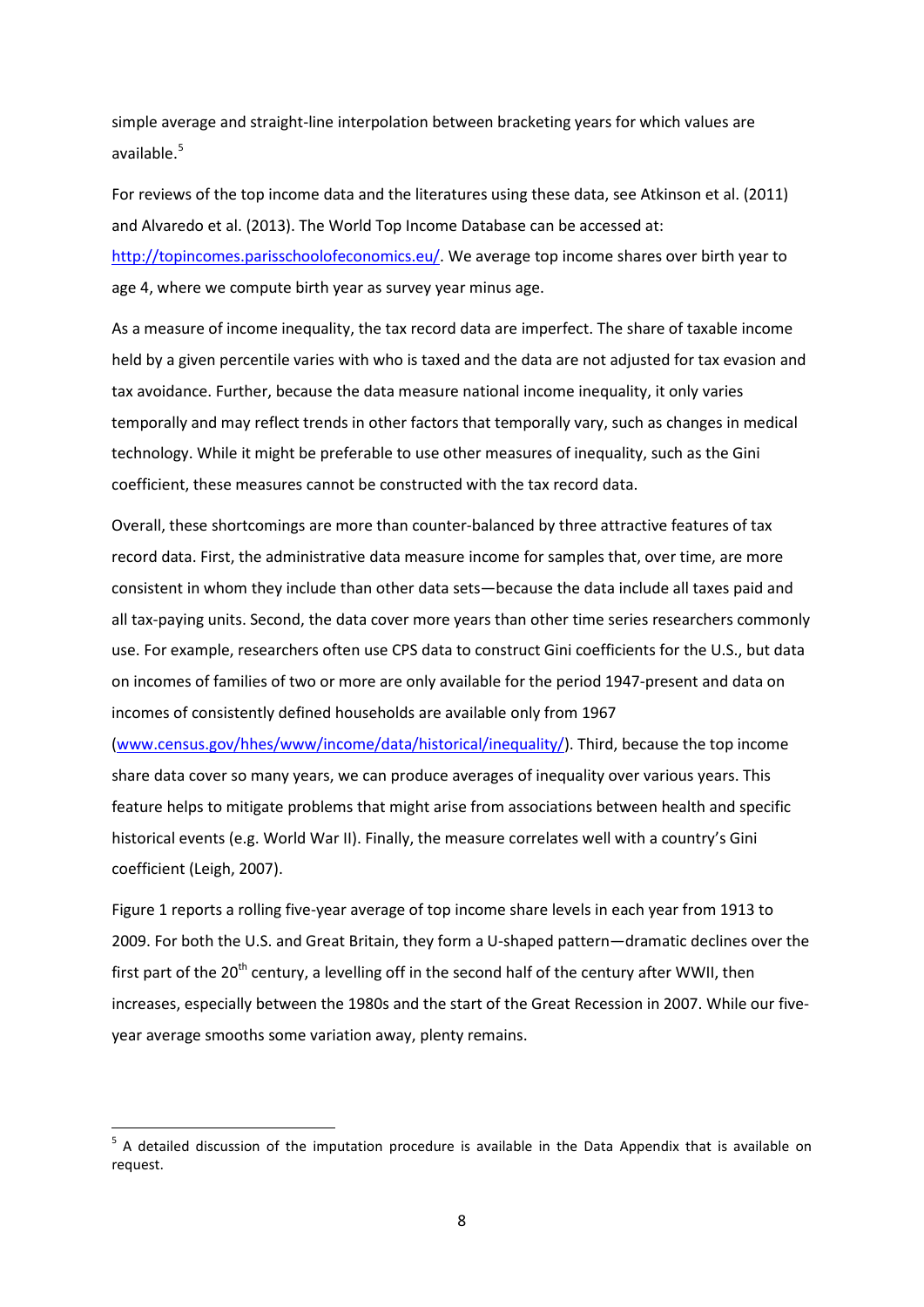simple average and straight-line interpolation between bracketing years for which values are available.<sup>[5](#page-7-0)</sup>

For reviews of the top income data and the literatures using these data, see Atkinson et al. (2011) and Alvaredo et al. (2013). The World Top Income Database can be accessed at: [http://topincomes.parisschoolofeconomics.eu/.](http://topincomes.parisschoolofeconomics.eu/) We average top income shares over birth year to age 4, where we compute birth year as survey year minus age.

As a measure of income inequality, the tax record data are imperfect. The share of taxable income held by a given percentile varies with who is taxed and the data are not adjusted for tax evasion and tax avoidance. Further, because the data measure national income inequality, it only varies temporally and may reflect trends in other factors that temporally vary, such as changes in medical technology. While it might be preferable to use other measures of inequality, such as the Gini coefficient, these measures cannot be constructed with the tax record data.

Overall, these shortcomings are more than counter-balanced by three attractive features of tax record data. First, the administrative data measure income for samples that, over time, are more consistent in whom they include than other data sets—because the data include all taxes paid and all tax-paying units. Second, the data cover more years than other time series researchers commonly use. For example, researchers often use CPS data to construct Gini coefficients for the U.S., but data on incomes of families of two or more are only available for the period 1947-present and data on incomes of consistently defined households are available only from 1967

[\(www.census.gov/hhes/www/income/data/historical/inequality/\)](http://www.census.gov/hhes/www/income/data/historical/inequality/). Third, because the top income share data cover so many years, we can produce averages of inequality over various years. This feature helps to mitigate problems that might arise from associations between health and specific historical events (e.g. World War II). Finally, the measure correlates well with a country's Gini coefficient (Leigh, 2007).

Figure 1 reports a rolling five-year average of top income share levels in each year from 1913 to 2009. For both the U.S. and Great Britain, they form a U-shaped pattern—dramatic declines over the first part of the 20<sup>th</sup> century, a levelling off in the second half of the century after WWII, then increases, especially between the 1980s and the start of the Great Recession in 2007. While our fiveyear average smooths some variation away, plenty remains.

**.** 

<span id="page-7-0"></span><sup>&</sup>lt;sup>5</sup> A detailed discussion of the imputation procedure is available in the Data Appendix that is available on request.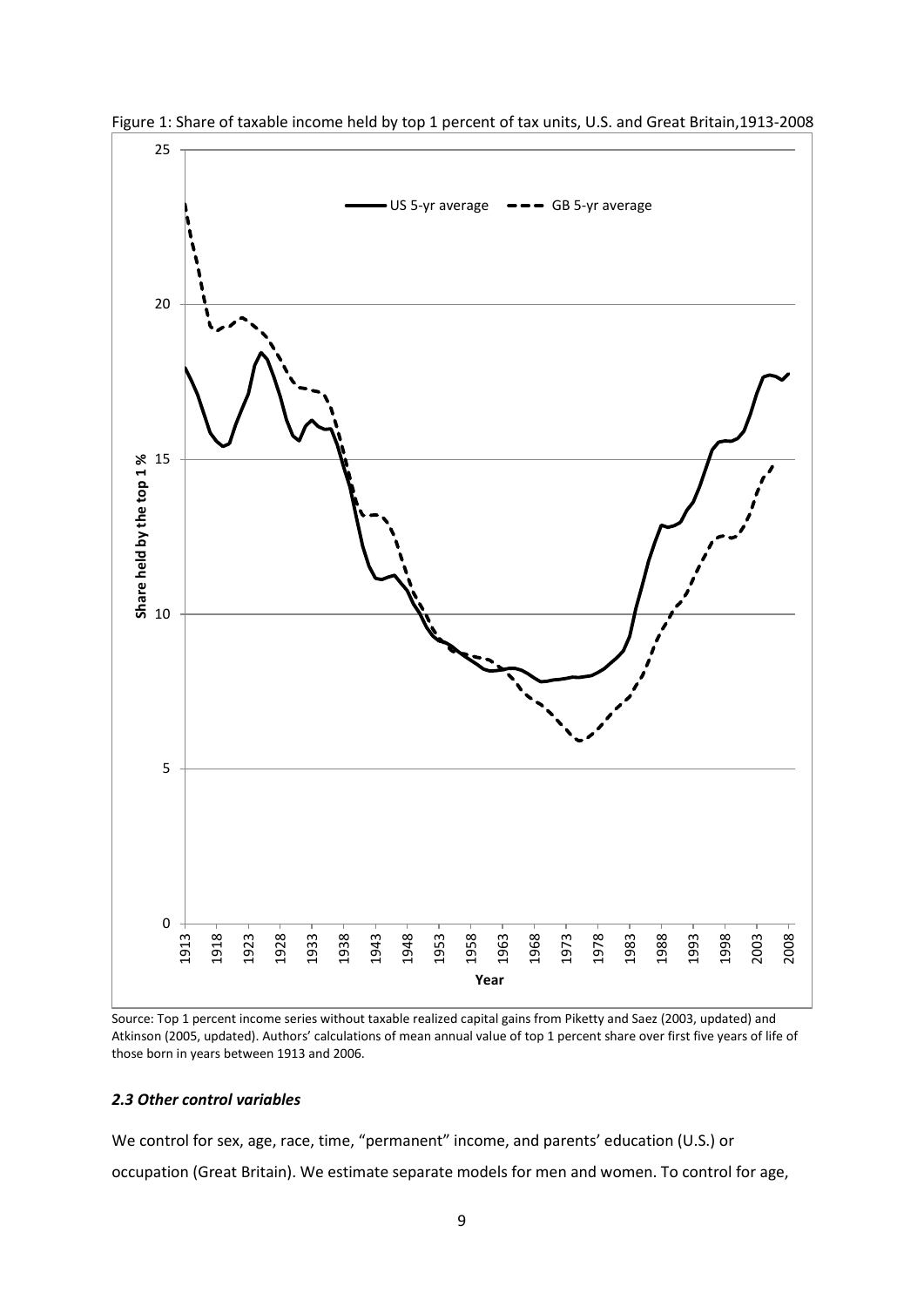

Figure 1: Share of taxable income held by top 1 percent of tax units, U.S. and Great Britain,1913-2008

Source: Top 1 percent income series without taxable realized capital gains from Piketty and Saez (2003, updated) and Atkinson (2005, updated). Authors' calculations of mean annual value of top 1 percent share over first five years of life of those born in years between 1913 and 2006.

# *2.3 Other control variables*

We control for sex, age, race, time, "permanent" income, and parents' education (U.S.) or occupation (Great Britain). We estimate separate models for men and women. To control for age,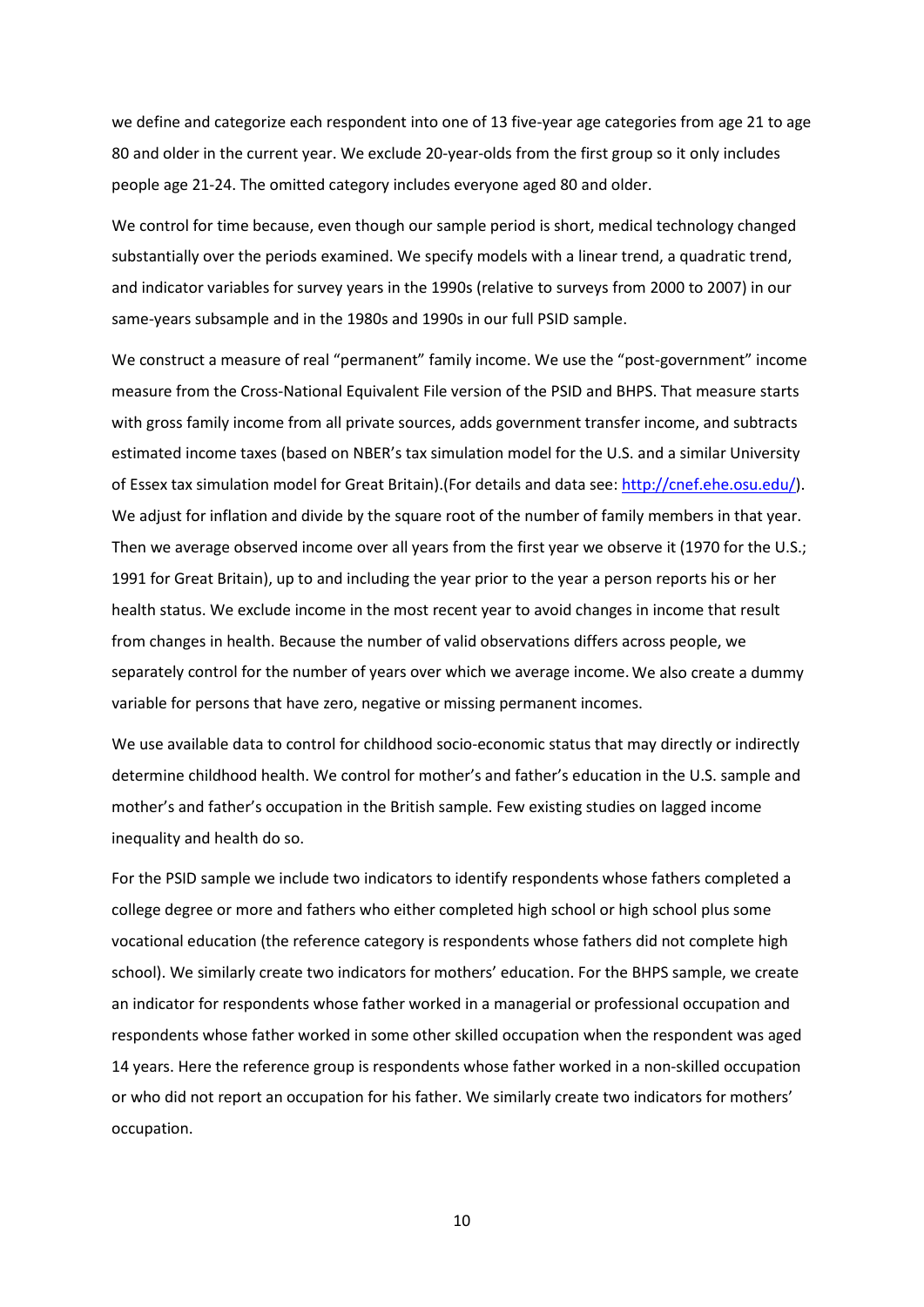we define and categorize each respondent into one of 13 five-year age categories from age 21 to age 80 and older in the current year. We exclude 20-year-olds from the first group so it only includes people age 21-24. The omitted category includes everyone aged 80 and older.

We control for time because, even though our sample period is short, medical technology changed substantially over the periods examined. We specify models with a linear trend, a quadratic trend, and indicator variables for survey years in the 1990s (relative to surveys from 2000 to 2007) in our same-years subsample and in the 1980s and 1990s in our full PSID sample.

We construct a measure of real "permanent" family income. We use the "post-government" income measure from the Cross-National Equivalent File version of the PSID and BHPS. That measure starts with gross family income from all private sources, adds government transfer income, and subtracts estimated income taxes (based on NBER's tax simulation model for the U.S. and a similar University of Essex tax simulation model for Great Britain).(For details and data see: [http://cnef.ehe.osu.edu/\)](http://cnef.ehe.osu.edu/). We adjust for inflation and divide by the square root of the number of family members in that year. Then we average observed income over all years from the first year we observe it (1970 for the U.S.; 1991 for Great Britain), up to and including the year prior to the year a person reports his or her health status. We exclude income in the most recent year to avoid changes in income that result from changes in health. Because the number of valid observations differs across people, we separately control for the number of years over which we average income.We also create a dummy variable for persons that have zero, negative or missing permanent incomes.

We use available data to control for childhood socio-economic status that may directly or indirectly determine childhood health. We control for mother's and father's education in the U.S. sample and mother's and father's occupation in the British sample. Few existing studies on lagged income inequality and health do so.

For the PSID sample we include two indicators to identify respondents whose fathers completed a college degree or more and fathers who either completed high school or high school plus some vocational education (the reference category is respondents whose fathers did not complete high school). We similarly create two indicators for mothers' education. For the BHPS sample, we create an indicator for respondents whose father worked in a managerial or professional occupation and respondents whose father worked in some other skilled occupation when the respondent was aged 14 years. Here the reference group is respondents whose father worked in a non-skilled occupation or who did not report an occupation for his father. We similarly create two indicators for mothers' occupation.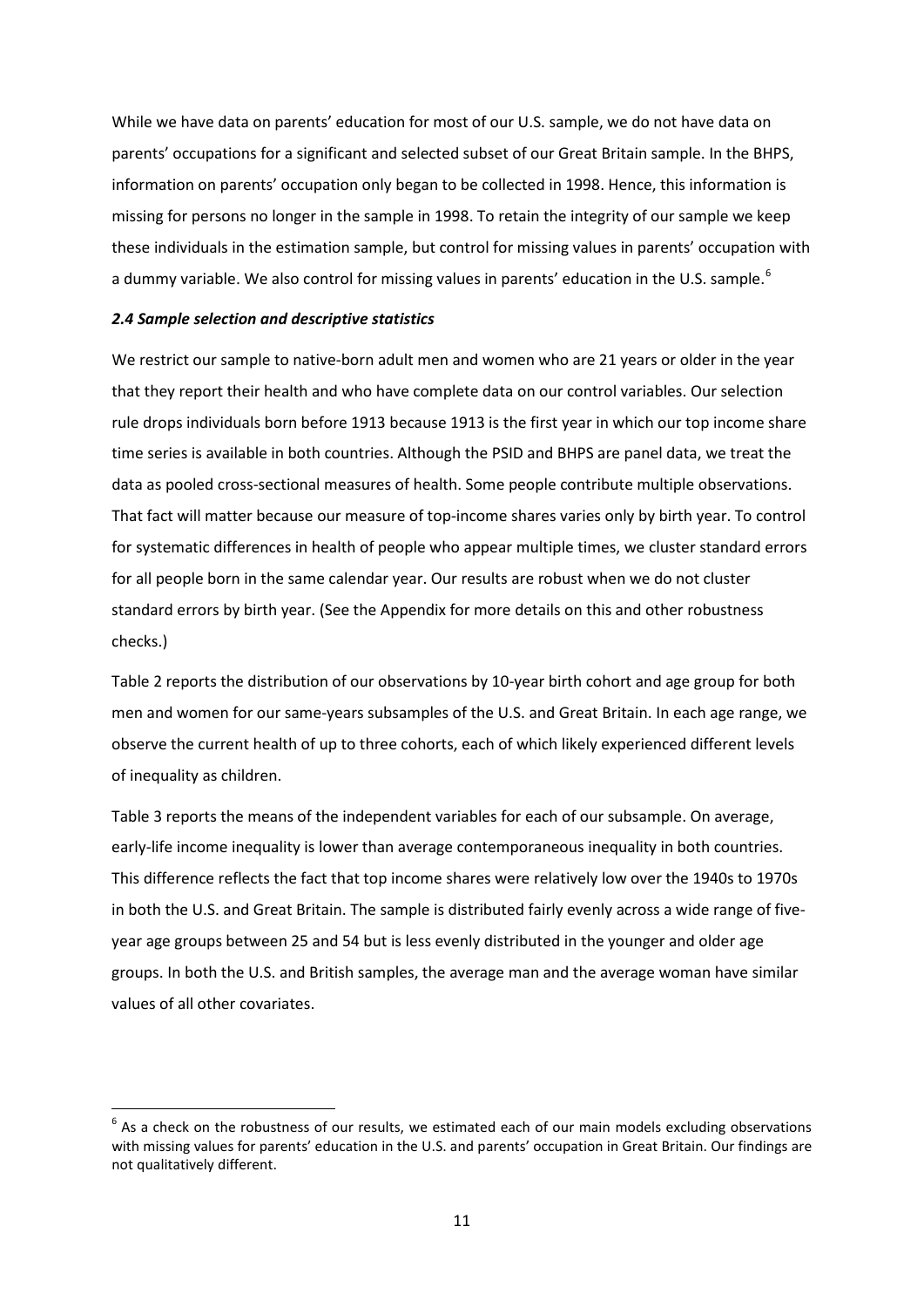While we have data on parents' education for most of our U.S. sample, we do not have data on parents' occupations for a significant and selected subset of our Great Britain sample. In the BHPS, information on parents' occupation only began to be collected in 1998. Hence, this information is missing for persons no longer in the sample in 1998. To retain the integrity of our sample we keep these individuals in the estimation sample, but control for missing values in parents' occupation with a dummy variable. We also control for missing values in parents' education in the U.S. sample.<sup>[6](#page-10-0)</sup>

# *2.4 Sample selection and descriptive statistics*

 $\overline{a}$ 

We restrict our sample to native-born adult men and women who are 21 years or older in the year that they report their health and who have complete data on our control variables. Our selection rule drops individuals born before 1913 because 1913 is the first year in which our top income share time series is available in both countries. Although the PSID and BHPS are panel data, we treat the data as pooled cross-sectional measures of health. Some people contribute multiple observations. That fact will matter because our measure of top-income shares varies only by birth year. To control for systematic differences in health of people who appear multiple times, we cluster standard errors for all people born in the same calendar year. Our results are robust when we do not cluster standard errors by birth year. (See the Appendix for more details on this and other robustness checks.)

Table 2 reports the distribution of our observations by 10-year birth cohort and age group for both men and women for our same-years subsamples of the U.S. and Great Britain. In each age range, we observe the current health of up to three cohorts, each of which likely experienced different levels of inequality as children.

Table 3 reports the means of the independent variables for each of our subsample. On average, early-life income inequality is lower than average contemporaneous inequality in both countries. This difference reflects the fact that top income shares were relatively low over the 1940s to 1970s in both the U.S. and Great Britain. The sample is distributed fairly evenly across a wide range of fiveyear age groups between 25 and 54 but is less evenly distributed in the younger and older age groups. In both the U.S. and British samples, the average man and the average woman have similar values of all other covariates.

<span id="page-10-0"></span> $6$  As a check on the robustness of our results, we estimated each of our main models excluding observations with missing values for parents' education in the U.S. and parents' occupation in Great Britain. Our findings are not qualitatively different.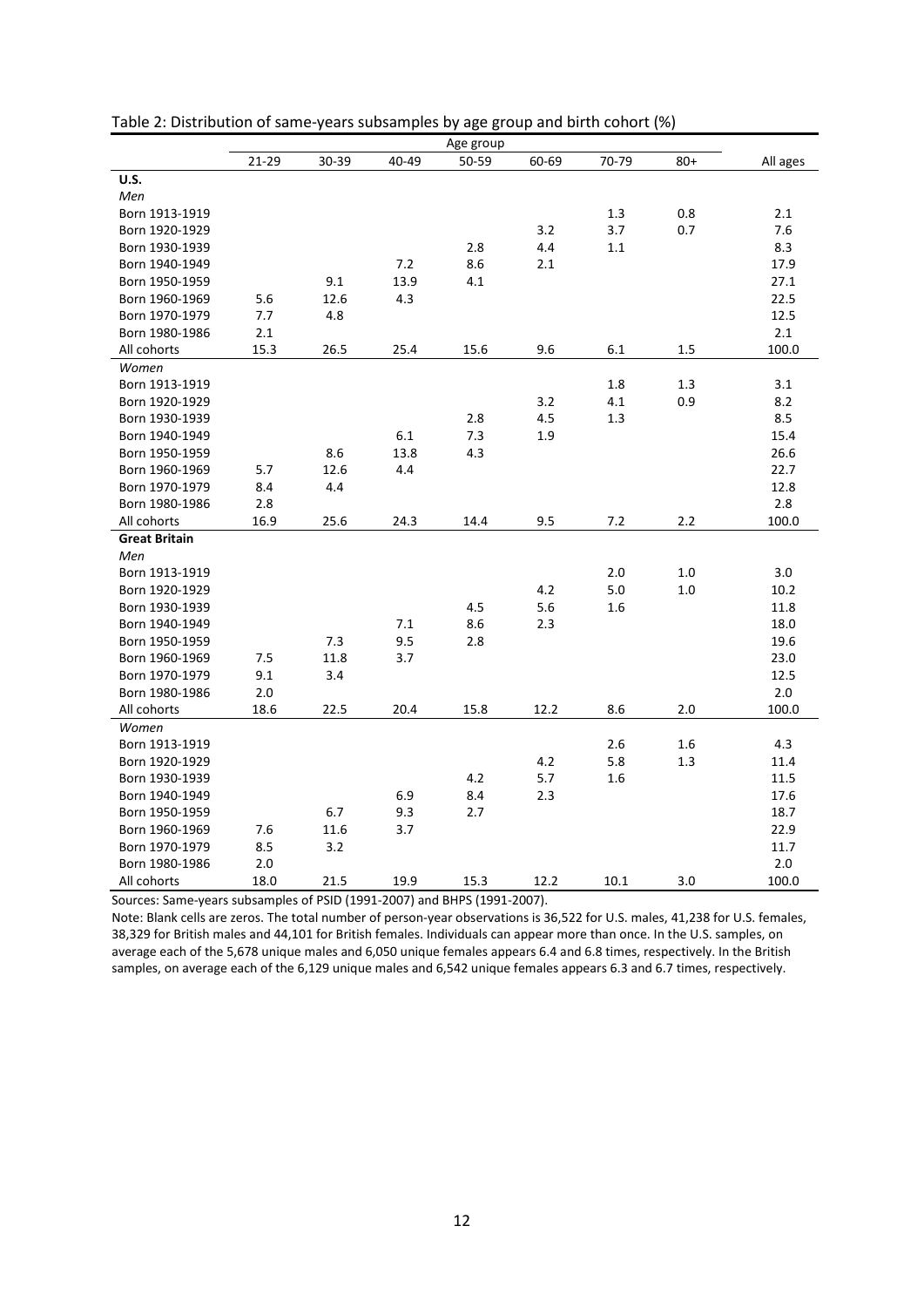|                      |       |       |       | Age group |       |       |       |          |
|----------------------|-------|-------|-------|-----------|-------|-------|-------|----------|
|                      | 21-29 | 30-39 | 40-49 | 50-59     | 60-69 | 70-79 | $80+$ | All ages |
| <b>U.S.</b>          |       |       |       |           |       |       |       |          |
| Men                  |       |       |       |           |       |       |       |          |
| Born 1913-1919       |       |       |       |           |       | 1.3   | 0.8   | 2.1      |
| Born 1920-1929       |       |       |       |           | 3.2   | 3.7   | 0.7   | 7.6      |
| Born 1930-1939       |       |       |       | 2.8       | 4.4   | 1.1   |       | 8.3      |
| Born 1940-1949       |       |       | 7.2   | 8.6       | 2.1   |       |       | 17.9     |
| Born 1950-1959       |       | 9.1   | 13.9  | 4.1       |       |       |       | 27.1     |
| Born 1960-1969       | 5.6   | 12.6  | 4.3   |           |       |       |       | 22.5     |
| Born 1970-1979       | 7.7   | 4.8   |       |           |       |       |       | 12.5     |
| Born 1980-1986       | 2.1   |       |       |           |       |       |       | 2.1      |
| All cohorts          | 15.3  | 26.5  | 25.4  | 15.6      | 9.6   | 6.1   | 1.5   | 100.0    |
| Women                |       |       |       |           |       |       |       |          |
| Born 1913-1919       |       |       |       |           |       | 1.8   | 1.3   | 3.1      |
| Born 1920-1929       |       |       |       |           | 3.2   | 4.1   | 0.9   | 8.2      |
| Born 1930-1939       |       |       |       | 2.8       | 4.5   | 1.3   |       | 8.5      |
| Born 1940-1949       |       |       | 6.1   | 7.3       | 1.9   |       |       | 15.4     |
| Born 1950-1959       |       | 8.6   | 13.8  | 4.3       |       |       |       | 26.6     |
| Born 1960-1969       | 5.7   | 12.6  | 4.4   |           |       |       |       | 22.7     |
| Born 1970-1979       | 8.4   | 4.4   |       |           |       |       |       | 12.8     |
| Born 1980-1986       | 2.8   |       |       |           |       |       |       | 2.8      |
| All cohorts          | 16.9  | 25.6  | 24.3  | 14.4      | 9.5   | 7.2   | 2.2   | 100.0    |
| <b>Great Britain</b> |       |       |       |           |       |       |       |          |
| Men                  |       |       |       |           |       |       |       |          |
| Born 1913-1919       |       |       |       |           |       | 2.0   | 1.0   | 3.0      |
| Born 1920-1929       |       |       |       |           | 4.2   | 5.0   | 1.0   | 10.2     |
| Born 1930-1939       |       |       |       | 4.5       | 5.6   | 1.6   |       | 11.8     |
| Born 1940-1949       |       |       | 7.1   | 8.6       | 2.3   |       |       | 18.0     |
| Born 1950-1959       |       | 7.3   | 9.5   | 2.8       |       |       |       | 19.6     |
| Born 1960-1969       | 7.5   | 11.8  | 3.7   |           |       |       |       | 23.0     |
| Born 1970-1979       | 9.1   | 3.4   |       |           |       |       |       | 12.5     |
| Born 1980-1986       | 2.0   |       |       |           |       |       |       | 2.0      |
| All cohorts          | 18.6  | 22.5  | 20.4  | 15.8      | 12.2  | 8.6   | 2.0   | 100.0    |
| Women                |       |       |       |           |       |       |       |          |
| Born 1913-1919       |       |       |       |           |       | 2.6   | 1.6   | 4.3      |
| Born 1920-1929       |       |       |       |           | 4.2   | 5.8   | 1.3   | 11.4     |
| Born 1930-1939       |       |       |       | 4.2       | 5.7   | 1.6   |       | 11.5     |
| Born 1940-1949       |       |       | 6.9   | 8.4       | 2.3   |       |       | 17.6     |
| Born 1950-1959       |       | 6.7   | 9.3   | 2.7       |       |       |       | 18.7     |
| Born 1960-1969       | 7.6   | 11.6  | 3.7   |           |       |       |       | 22.9     |
| Born 1970-1979       | 8.5   | 3.2   |       |           |       |       |       | 11.7     |
| Born 1980-1986       | 2.0   |       |       |           |       |       |       | 2.0      |
| All cohorts          | 18.0  | 21.5  | 19.9  | 15.3      | 12.2  | 10.1  | 3.0   | 100.0    |

| Table 2: Distribution of same-years subsamples by age group and birth cohort (%) |  |  |  |
|----------------------------------------------------------------------------------|--|--|--|
|                                                                                  |  |  |  |

Sources: Same-years subsamples of PSID (1991-2007) and BHPS (1991-2007).

Note: Blank cells are zeros. The total number of person-year observations is 36,522 for U.S. males, 41,238 for U.S. females, 38,329 for British males and 44,101 for British females. Individuals can appear more than once. In the U.S. samples, on average each of the 5,678 unique males and 6,050 unique females appears 6.4 and 6.8 times, respectively. In the British samples, on average each of the 6,129 unique males and 6,542 unique females appears 6.3 and 6.7 times, respectively.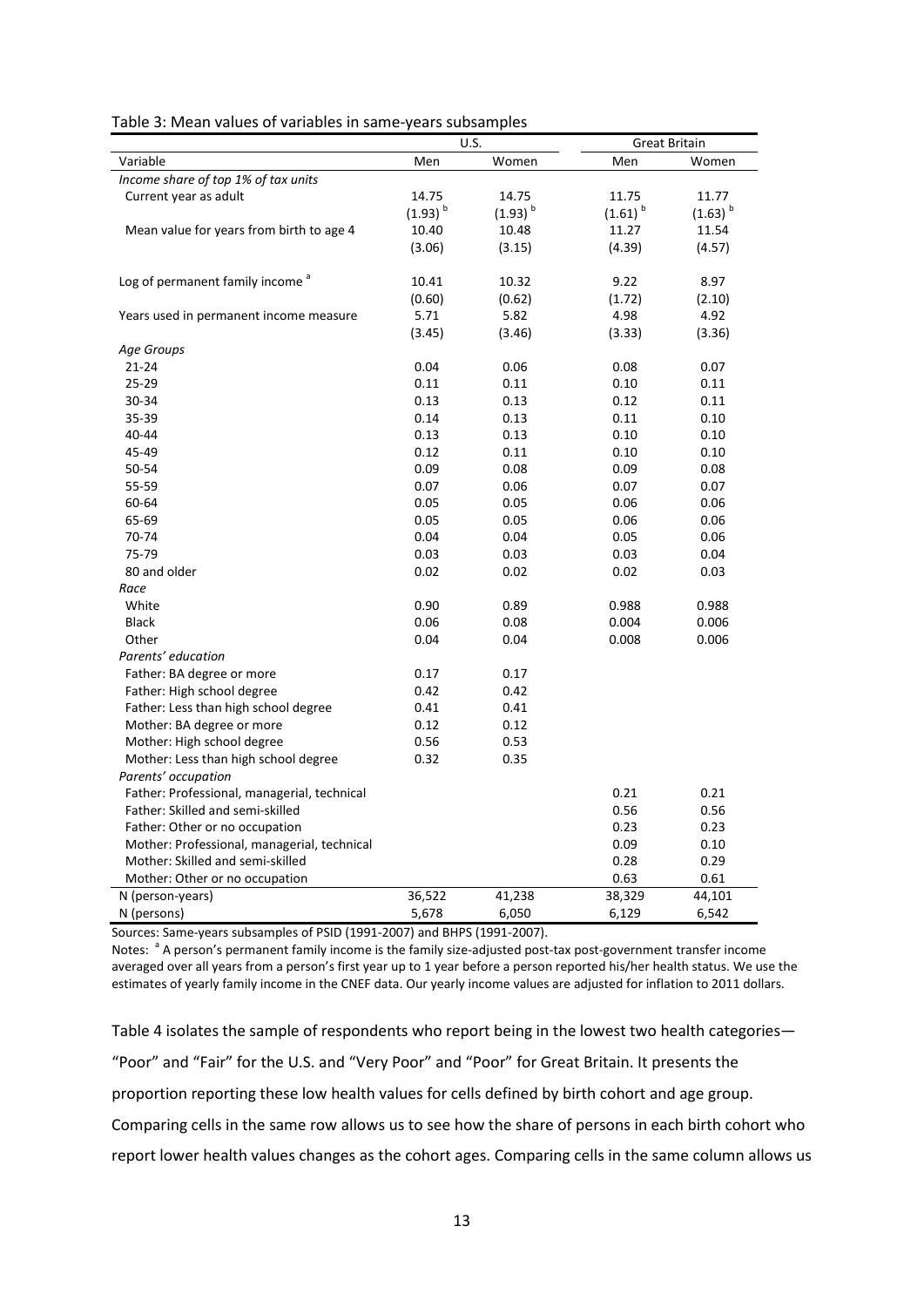| Table 3: Mean values of variables in same-years subsamples |  |  |
|------------------------------------------------------------|--|--|
|------------------------------------------------------------|--|--|

|                                             |              | U.S.         | <b>Great Britain</b>  |              |
|---------------------------------------------|--------------|--------------|-----------------------|--------------|
| Variable                                    | Men          | Women        | Men                   | Women        |
| Income share of top 1% of tax units         |              |              |                       |              |
| Current year as adult                       | 14.75        | 14.75        | 11.75                 | 11.77        |
|                                             | $(1.93)^{b}$ | $(1.93)^{b}$ | $(1.61)$ <sup>b</sup> | $(1.63)^{b}$ |
| Mean value for years from birth to age 4    | 10.40        | 10.48        | 11.27                 | 11.54        |
|                                             | (3.06)       | (3.15)       | (4.39)                | (4.57)       |
|                                             |              |              |                       |              |
| Log of permanent family income <sup>a</sup> | 10.41        | 10.32        | 9.22                  | 8.97         |
|                                             | (0.60)       | (0.62)       | (1.72)                | (2.10)       |
| Years used in permanent income measure      | 5.71         | 5.82         | 4.98                  | 4.92         |
|                                             | (3.45)       | (3.46)       | (3.33)                | (3.36)       |
| Age Groups                                  |              |              |                       |              |
| $21 - 24$                                   | 0.04         | 0.06         | 0.08                  | 0.07         |
| 25-29                                       | 0.11         | 0.11         | 0.10                  | 0.11         |
| 30-34                                       | 0.13         | 0.13         | 0.12                  | 0.11         |
| 35-39                                       | 0.14         | 0.13         | 0.11                  | 0.10         |
| 40-44                                       | 0.13         | 0.13         | 0.10                  | 0.10         |
| 45-49                                       | 0.12         | 0.11         | 0.10                  | 0.10         |
| 50-54                                       | 0.09         | 0.08         | 0.09                  | 0.08         |
| 55-59                                       | 0.07         | 0.06         | 0.07                  | 0.07         |
| 60-64                                       | 0.05         | 0.05         | 0.06                  | 0.06         |
| 65-69                                       | 0.05         | 0.05         | 0.06                  | 0.06         |
| 70-74                                       | 0.04         | 0.04         | 0.05                  | 0.06         |
| 75-79                                       | 0.03         | 0.03         | 0.03                  | 0.04         |
| 80 and older                                | 0.02         | 0.02         | 0.02                  | 0.03         |
| Race                                        |              |              |                       |              |
| White                                       | 0.90         | 0.89         | 0.988                 | 0.988        |
| <b>Black</b>                                | 0.06         | 0.08         | 0.004                 | 0.006        |
| Other                                       | 0.04         | 0.04         | 0.008                 | 0.006        |
| Parents' education                          |              |              |                       |              |
| Father: BA degree or more                   | 0.17         | 0.17         |                       |              |
| Father: High school degree                  | 0.42         | 0.42         |                       |              |
| Father: Less than high school degree        | 0.41         | 0.41         |                       |              |
| Mother: BA degree or more                   | 0.12         | 0.12         |                       |              |
| Mother: High school degree                  | 0.56         | 0.53         |                       |              |
| Mother: Less than high school degree        | 0.32         | 0.35         |                       |              |
| Parents' occupation                         |              |              |                       |              |
| Father: Professional, managerial, technical |              |              | 0.21                  | 0.21         |
| Father: Skilled and semi-skilled            |              |              | 0.56                  | 0.56         |
| Father: Other or no occupation              |              |              | 0.23                  | 0.23         |
| Mother: Professional, managerial, technical |              |              | 0.09                  | 0.10         |
| Mother: Skilled and semi-skilled            |              |              | 0.28                  | 0.29         |
| Mother: Other or no occupation              |              |              | 0.63                  | 0.61         |
| N (person-years)                            | 36,522       | 41,238       | 38,329                | 44,101       |
| N (persons)                                 | 5,678        | 6,050        | 6,129                 | 6,542        |

Sources: Same-years subsamples of PSID (1991-2007) and BHPS (1991-2007).

Notes: <sup>a</sup> A person's permanent family income is the family size-adjusted post-tax post-government transfer income averaged over all years from a person's first year up to 1 year before a person reported his/her health status. We use the estimates of yearly family income in the CNEF data. Our yearly income values are adjusted for inflation to 2011 dollars.

Table 4 isolates the sample of respondents who report being in the lowest two health categories— "Poor" and "Fair" for the U.S. and "Very Poor" and "Poor" for Great Britain. It presents the proportion reporting these low health values for cells defined by birth cohort and age group. Comparing cells in the same row allows us to see how the share of persons in each birth cohort who report lower health values changes as the cohort ages. Comparing cells in the same column allows us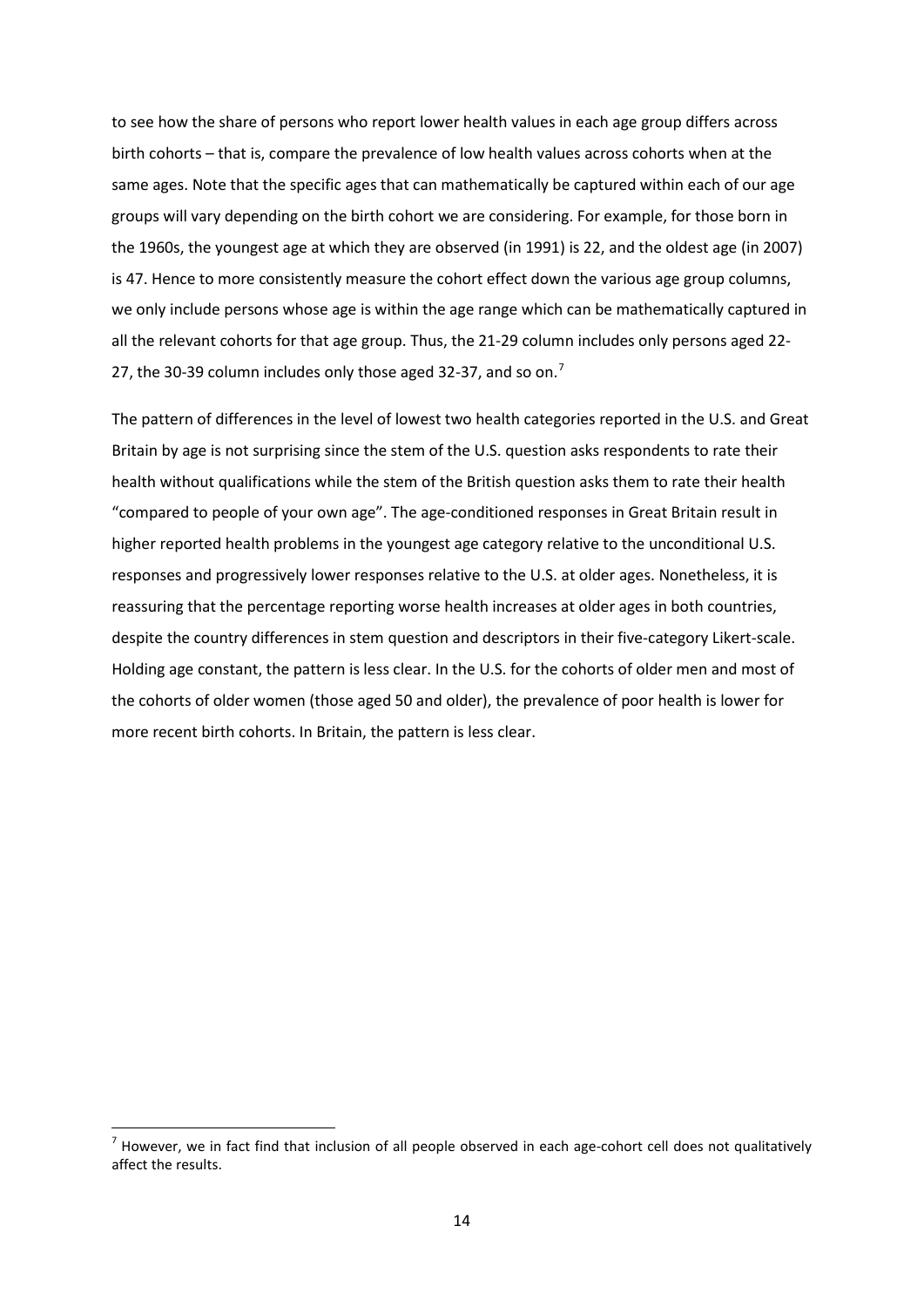to see how the share of persons who report lower health values in each age group differs across birth cohorts – that is, compare the prevalence of low health values across cohorts when at the same ages. Note that the specific ages that can mathematically be captured within each of our age groups will vary depending on the birth cohort we are considering. For example, for those born in the 1960s, the youngest age at which they are observed (in 1991) is 22, and the oldest age (in 2007) is 47. Hence to more consistently measure the cohort effect down the various age group columns, we only include persons whose age is within the age range which can be mathematically captured in all the relevant cohorts for that age group. Thus, the 21-29 column includes only persons aged 22- 2[7](#page-13-0), the 30-39 column includes only those aged 32-37, and so on.<sup>7</sup>

The pattern of differences in the level of lowest two health categories reported in the U.S. and Great Britain by age is not surprising since the stem of the U.S. question asks respondents to rate their health without qualifications while the stem of the British question asks them to rate their health "compared to people of your own age". The age-conditioned responses in Great Britain result in higher reported health problems in the youngest age category relative to the unconditional U.S. responses and progressively lower responses relative to the U.S. at older ages. Nonetheless, it is reassuring that the percentage reporting worse health increases at older ages in both countries, despite the country differences in stem question and descriptors in their five-category Likert-scale. Holding age constant, the pattern is less clear. In the U.S. for the cohorts of older men and most of the cohorts of older women (those aged 50 and older), the prevalence of poor health is lower for more recent birth cohorts. In Britain, the pattern is less clear.

**.** 

<span id="page-13-0"></span> $<sup>7</sup>$  However, we in fact find that inclusion of all people observed in each age-cohort cell does not qualitatively</sup> affect the results.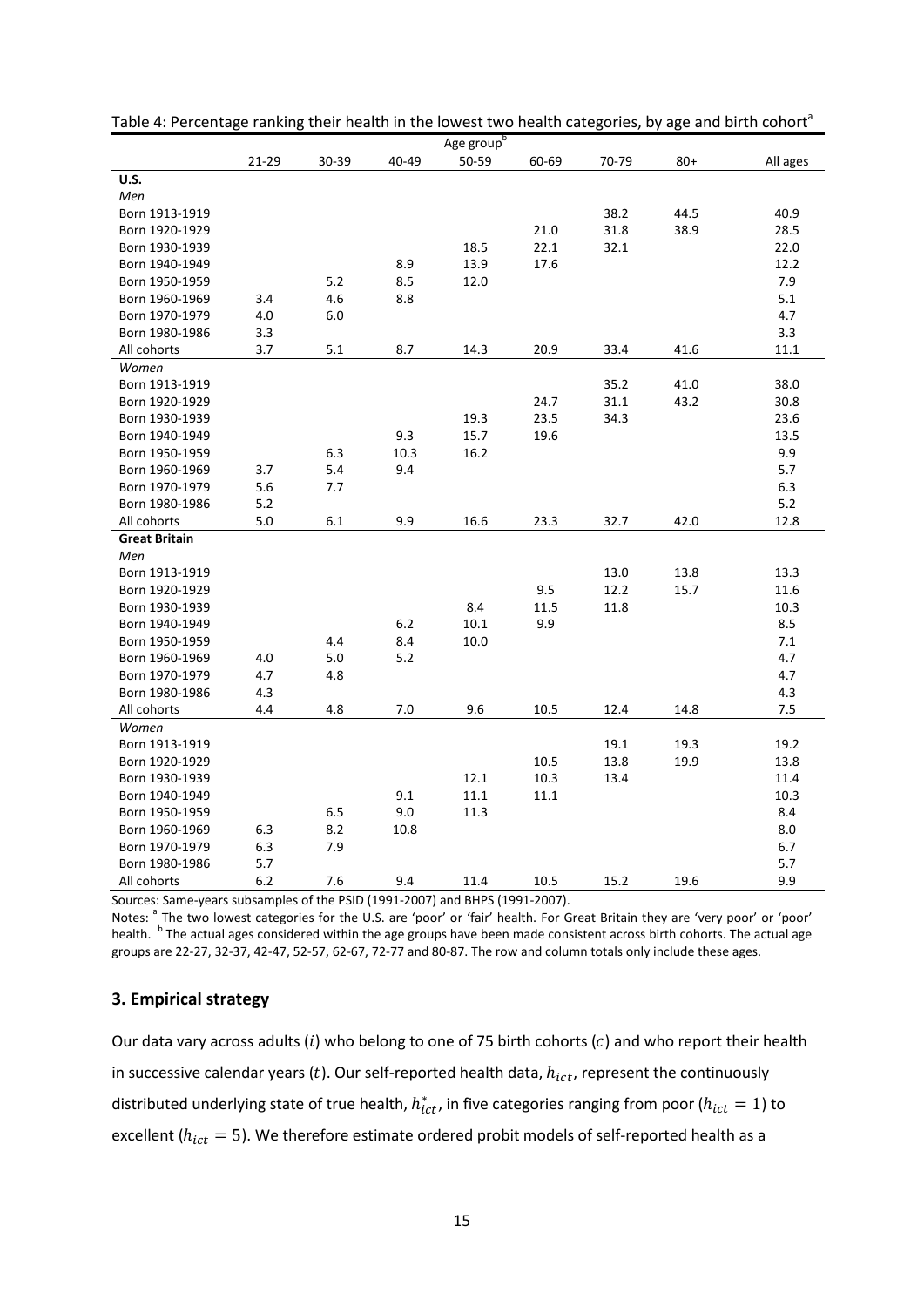|                      |       |       |       | Age group <sup>b</sup> |       |       |       |          |
|----------------------|-------|-------|-------|------------------------|-------|-------|-------|----------|
|                      | 21-29 | 30-39 | 40-49 | 50-59                  | 60-69 | 70-79 | $80+$ | All ages |
| U.S.                 |       |       |       |                        |       |       |       |          |
| Men                  |       |       |       |                        |       |       |       |          |
| Born 1913-1919       |       |       |       |                        |       | 38.2  | 44.5  | 40.9     |
| Born 1920-1929       |       |       |       |                        | 21.0  | 31.8  | 38.9  | 28.5     |
| Born 1930-1939       |       |       |       | 18.5                   | 22.1  | 32.1  |       | 22.0     |
| Born 1940-1949       |       |       | 8.9   | 13.9                   | 17.6  |       |       | 12.2     |
| Born 1950-1959       |       | 5.2   | 8.5   | 12.0                   |       |       |       | 7.9      |
| Born 1960-1969       | 3.4   | 4.6   | 8.8   |                        |       |       |       | 5.1      |
| Born 1970-1979       | 4.0   | 6.0   |       |                        |       |       |       | 4.7      |
| Born 1980-1986       | 3.3   |       |       |                        |       |       |       | 3.3      |
| All cohorts          | 3.7   | 5.1   | 8.7   | 14.3                   | 20.9  | 33.4  | 41.6  | 11.1     |
| Women                |       |       |       |                        |       |       |       |          |
| Born 1913-1919       |       |       |       |                        |       | 35.2  | 41.0  | 38.0     |
| Born 1920-1929       |       |       |       |                        | 24.7  | 31.1  | 43.2  | 30.8     |
| Born 1930-1939       |       |       |       | 19.3                   | 23.5  | 34.3  |       | 23.6     |
| Born 1940-1949       |       |       | 9.3   | 15.7                   | 19.6  |       |       | 13.5     |
| Born 1950-1959       |       | 6.3   | 10.3  | 16.2                   |       |       |       | 9.9      |
| Born 1960-1969       | 3.7   | 5.4   | 9.4   |                        |       |       |       | 5.7      |
| Born 1970-1979       | 5.6   | 7.7   |       |                        |       |       |       | 6.3      |
| Born 1980-1986       | 5.2   |       |       |                        |       |       |       | 5.2      |
| All cohorts          | 5.0   | 6.1   | 9.9   | 16.6                   | 23.3  | 32.7  | 42.0  | 12.8     |
| <b>Great Britain</b> |       |       |       |                        |       |       |       |          |
| Men                  |       |       |       |                        |       |       |       |          |
| Born 1913-1919       |       |       |       |                        |       | 13.0  | 13.8  | 13.3     |
| Born 1920-1929       |       |       |       |                        | 9.5   | 12.2  | 15.7  | 11.6     |
| Born 1930-1939       |       |       |       | 8.4                    | 11.5  | 11.8  |       | 10.3     |
| Born 1940-1949       |       |       | 6.2   | 10.1                   | 9.9   |       |       | 8.5      |
| Born 1950-1959       |       | 4.4   | 8.4   | 10.0                   |       |       |       | 7.1      |
| Born 1960-1969       | 4.0   | 5.0   | 5.2   |                        |       |       |       | 4.7      |
| Born 1970-1979       | 4.7   | 4.8   |       |                        |       |       |       | 4.7      |
| Born 1980-1986       | 4.3   |       |       |                        |       |       |       | 4.3      |
| All cohorts          | 4.4   | 4.8   | 7.0   | 9.6                    | 10.5  | 12.4  | 14.8  | 7.5      |
| Women                |       |       |       |                        |       |       |       |          |
| Born 1913-1919       |       |       |       |                        |       | 19.1  | 19.3  | 19.2     |
| Born 1920-1929       |       |       |       |                        | 10.5  | 13.8  | 19.9  | 13.8     |
| Born 1930-1939       |       |       |       | 12.1                   | 10.3  | 13.4  |       | 11.4     |
| Born 1940-1949       |       |       | 9.1   | 11.1                   | 11.1  |       |       | 10.3     |
| Born 1950-1959       |       | 6.5   | 9.0   | 11.3                   |       |       |       | 8.4      |
| Born 1960-1969       | 6.3   | 8.2   | 10.8  |                        |       |       |       | 8.0      |
| Born 1970-1979       | 6.3   | 7.9   |       |                        |       |       |       | 6.7      |
| Born 1980-1986       | 5.7   |       |       |                        |       |       |       | 5.7      |
| All cohorts          | 6.2   | 7.6   | 9.4   | 11.4                   | 10.5  | 15.2  | 19.6  | 9.9      |

Table 4: Percentage ranking their health in the lowest two health categories, by age and birth cohort<sup>a</sup>

Sources: Same-years subsamples of the PSID (1991-2007) and BHPS (1991-2007).

Notes: <sup>a</sup> The two lowest categories for the U.S. are 'poor' or 'fair' health. For Great Britain they are 'very poor' or 'poor' health. <sup>b</sup> The actual ages considered within the age groups have been made consistent across birth cohorts. The actual age groups are 22-27, 32-37, 42-47, 52-57, 62-67, 72-77 and 80-87. The row and column totals only include these ages.

# **3. Empirical strategy**

Our data vary across adults (i) who belong to one of 75 birth cohorts (c) and who report their health in successive calendar years (t). Our self-reported health data,  $h_{ict}$ , represent the continuously distributed underlying state of true health,  $h_{ict}^*$ , in five categories ranging from poor ( $h_{ict} = 1$ ) to excellent ( $h_{ict} = 5$ ). We therefore estimate ordered probit models of self-reported health as a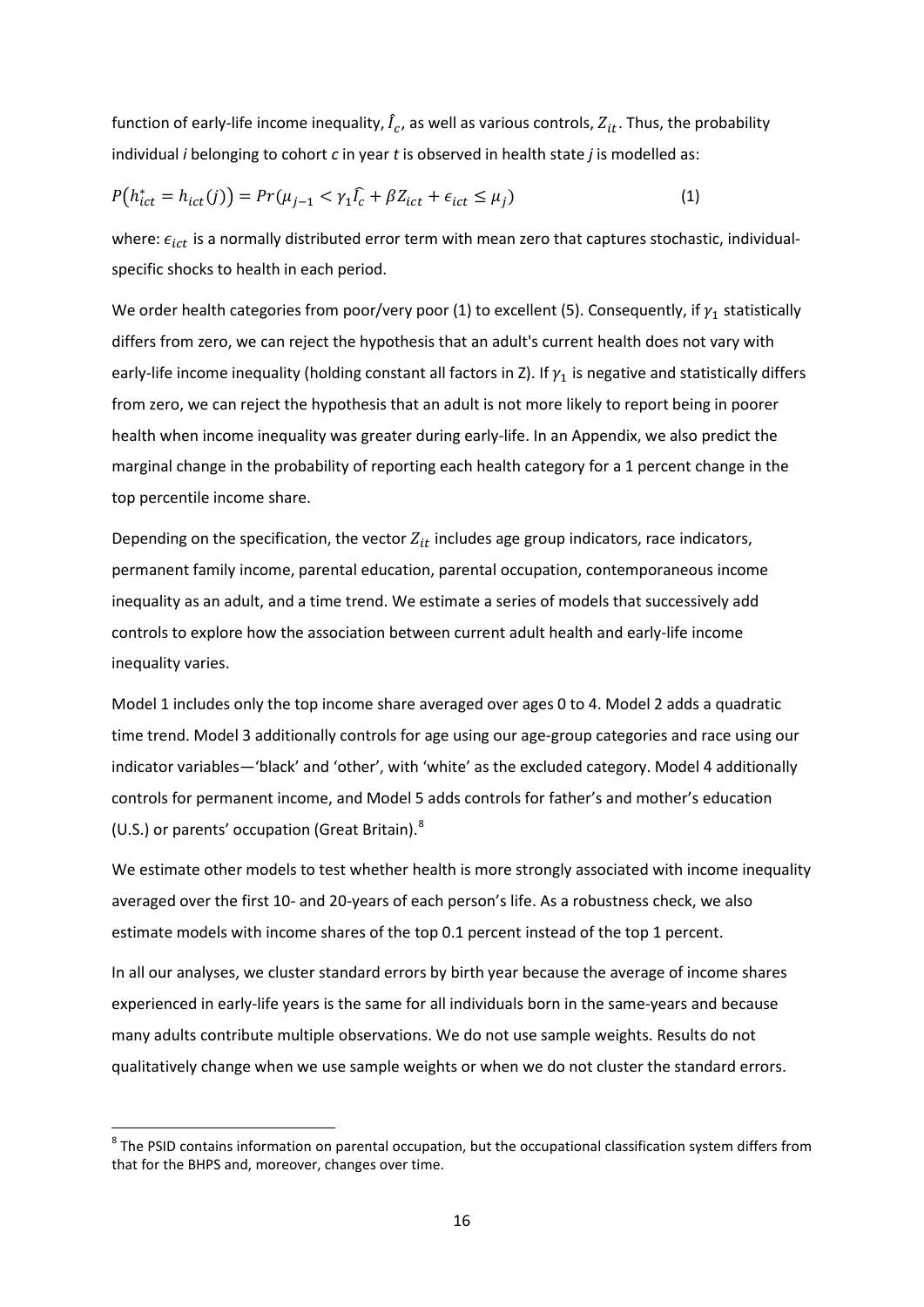function of early-life income inequality,  $\hat{I}_c$ , as well as various controls,  $Z_{it}$ . Thus, the probability individual *i* belonging to cohort *c* in year *t* is observed in health state *j* is modelled as:

$$
P(h_{ict}^* = h_{ict}(j)) = Pr(\mu_{j-1} < \gamma_1 \widehat{l_c} + \beta Z_{ict} + \epsilon_{ict} \le \mu_j) \tag{1}
$$

where:  $\epsilon_{ict}$  is a normally distributed error term with mean zero that captures stochastic, individualspecific shocks to health in each period.

We order health categories from poor/very poor (1) to excellent (5). Consequently, if  $\gamma_1$  statistically differs from zero, we can reject the hypothesis that an adult's current health does not vary with early-life income inequality (holding constant all factors in Z). If  $\gamma_1$  is negative and statistically differs from zero, we can reject the hypothesis that an adult is not more likely to report being in poorer health when income inequality was greater during early-life. In an Appendix, we also predict the marginal change in the probability of reporting each health category for a 1 percent change in the top percentile income share.

Depending on the specification, the vector  $Z_{it}$  includes age group indicators, race indicators, permanent family income, parental education, parental occupation, contemporaneous income inequality as an adult, and a time trend. We estimate a series of models that successively add controls to explore how the association between current adult health and early-life income inequality varies.

Model 1 includes only the top income share averaged over ages 0 to 4. Model 2 adds a quadratic time trend. Model 3 additionally controls for age using our age-group categories and race using our indicator variables—'black' and 'other', with 'white' as the excluded category. Model 4 additionally controls for permanent income, and Model 5 adds controls for father's and mother's education (U.S.) or parents' occupation (Great Britain). $8$ 

We estimate other models to test whether health is more strongly associated with income inequality averaged over the first 10- and 20-years of each person's life. As a robustness check, we also estimate models with income shares of the top 0.1 percent instead of the top 1 percent.

In all our analyses, we cluster standard errors by birth year because the average of income shares experienced in early-life years is the same for all individuals born in the same-years and because many adults contribute multiple observations. We do not use sample weights. Results do not qualitatively change when we use sample weights or when we do not cluster the standard errors.

**.** 

<span id="page-15-0"></span> $8$  The PSID contains information on parental occupation, but the occupational classification system differs from that for the BHPS and, moreover, changes over time.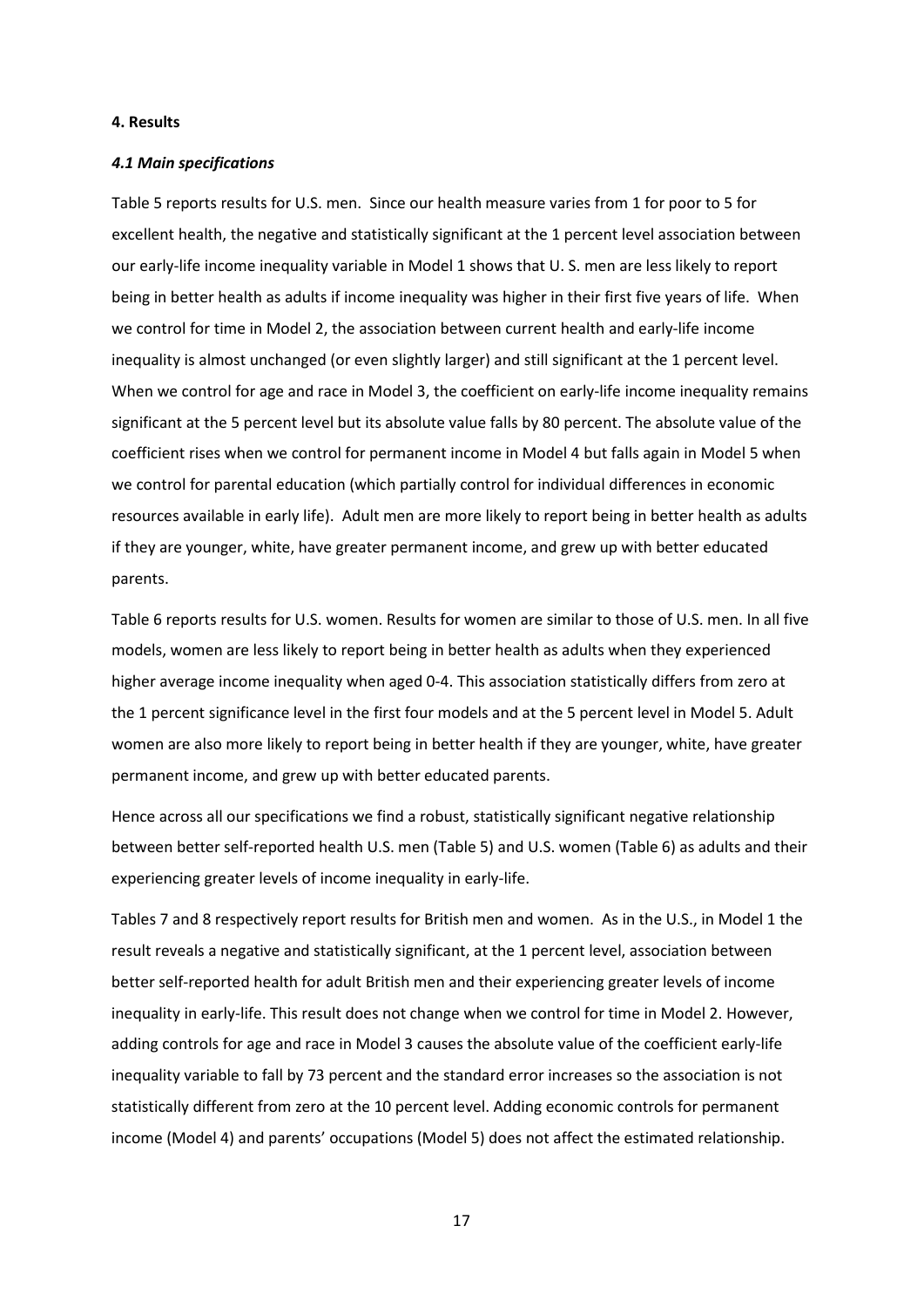# **4. Results**

# *4.1 Main specifications*

Table 5 reports results for U.S. men. Since our health measure varies from 1 for poor to 5 for excellent health, the negative and statistically significant at the 1 percent level association between our early-life income inequality variable in Model 1 shows that U. S. men are less likely to report being in better health as adults if income inequality was higher in their first five years of life. When we control for time in Model 2, the association between current health and early-life income inequality is almost unchanged (or even slightly larger) and still significant at the 1 percent level. When we control for age and race in Model 3, the coefficient on early-life income inequality remains significant at the 5 percent level but its absolute value falls by 80 percent. The absolute value of the coefficient rises when we control for permanent income in Model 4 but falls again in Model 5 when we control for parental education (which partially control for individual differences in economic resources available in early life). Adult men are more likely to report being in better health as adults if they are younger, white, have greater permanent income, and grew up with better educated parents.

Table 6 reports results for U.S. women. Results for women are similar to those of U.S. men. In all five models, women are less likely to report being in better health as adults when they experienced higher average income inequality when aged 0-4. This association statistically differs from zero at the 1 percent significance level in the first four models and at the 5 percent level in Model 5. Adult women are also more likely to report being in better health if they are younger, white, have greater permanent income, and grew up with better educated parents.

Hence across all our specifications we find a robust, statistically significant negative relationship between better self-reported health U.S. men (Table 5) and U.S. women (Table 6) as adults and their experiencing greater levels of income inequality in early-life.

Tables 7 and 8 respectively report results for British men and women. As in the U.S., in Model 1 the result reveals a negative and statistically significant, at the 1 percent level, association between better self-reported health for adult British men and their experiencing greater levels of income inequality in early-life. This result does not change when we control for time in Model 2. However, adding controls for age and race in Model 3 causes the absolute value of the coefficient early-life inequality variable to fall by 73 percent and the standard error increases so the association is not statistically different from zero at the 10 percent level. Adding economic controls for permanent income (Model 4) and parents' occupations (Model 5) does not affect the estimated relationship.

17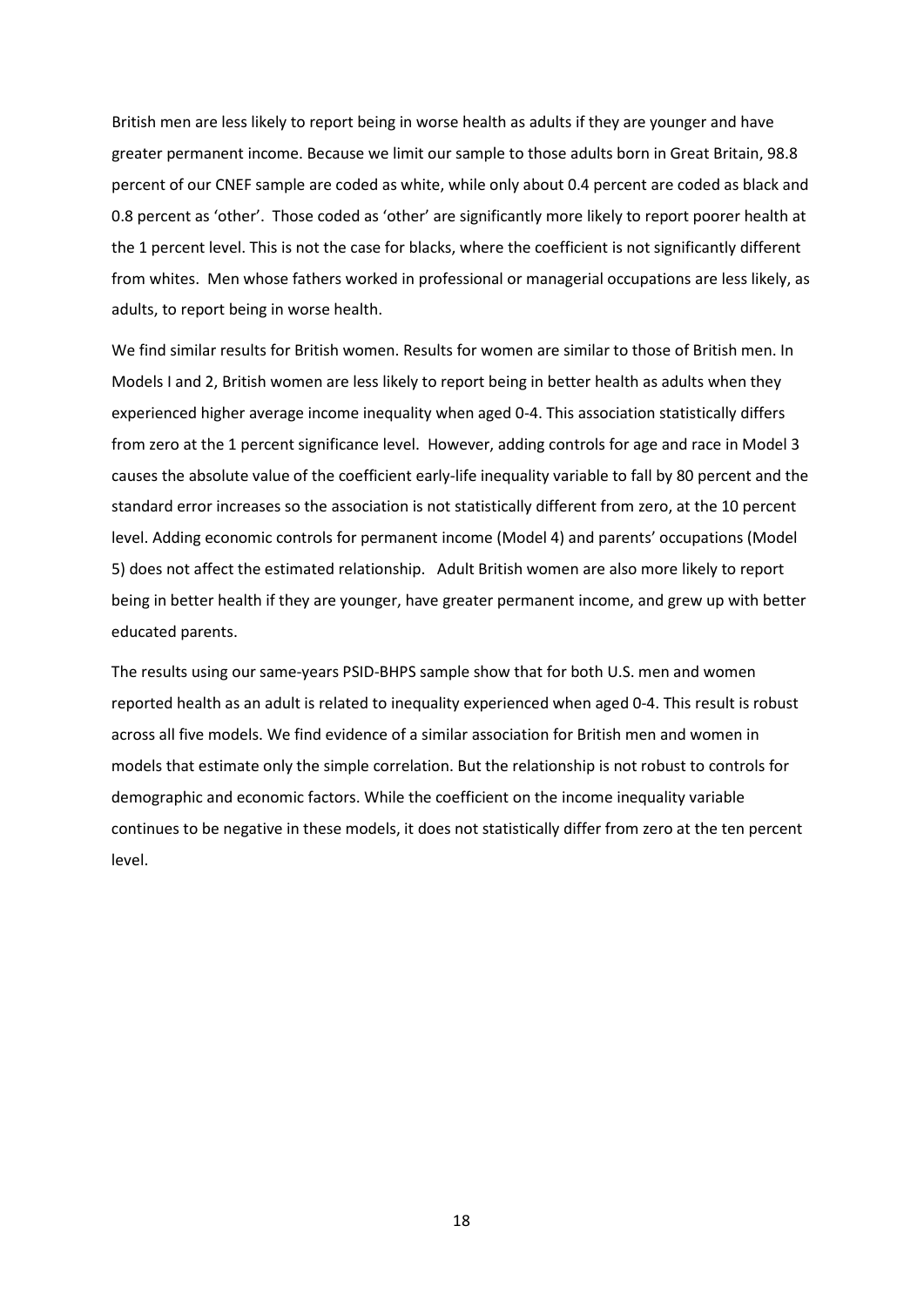British men are less likely to report being in worse health as adults if they are younger and have greater permanent income. Because we limit our sample to those adults born in Great Britain, 98.8 percent of our CNEF sample are coded as white, while only about 0.4 percent are coded as black and 0.8 percent as 'other'. Those coded as 'other' are significantly more likely to report poorer health at the 1 percent level. This is not the case for blacks, where the coefficient is not significantly different from whites. Men whose fathers worked in professional or managerial occupations are less likely, as adults, to report being in worse health.

We find similar results for British women. Results for women are similar to those of British men. In Models I and 2, British women are less likely to report being in better health as adults when they experienced higher average income inequality when aged 0-4. This association statistically differs from zero at the 1 percent significance level. However, adding controls for age and race in Model 3 causes the absolute value of the coefficient early-life inequality variable to fall by 80 percent and the standard error increases so the association is not statistically different from zero, at the 10 percent level. Adding economic controls for permanent income (Model 4) and parents' occupations (Model 5) does not affect the estimated relationship. Adult British women are also more likely to report being in better health if they are younger, have greater permanent income, and grew up with better educated parents.

The results using our same-years PSID-BHPS sample show that for both U.S. men and women reported health as an adult is related to inequality experienced when aged 0-4. This result is robust across all five models. We find evidence of a similar association for British men and women in models that estimate only the simple correlation. But the relationship is not robust to controls for demographic and economic factors. While the coefficient on the income inequality variable continues to be negative in these models, it does not statistically differ from zero at the ten percent level.

18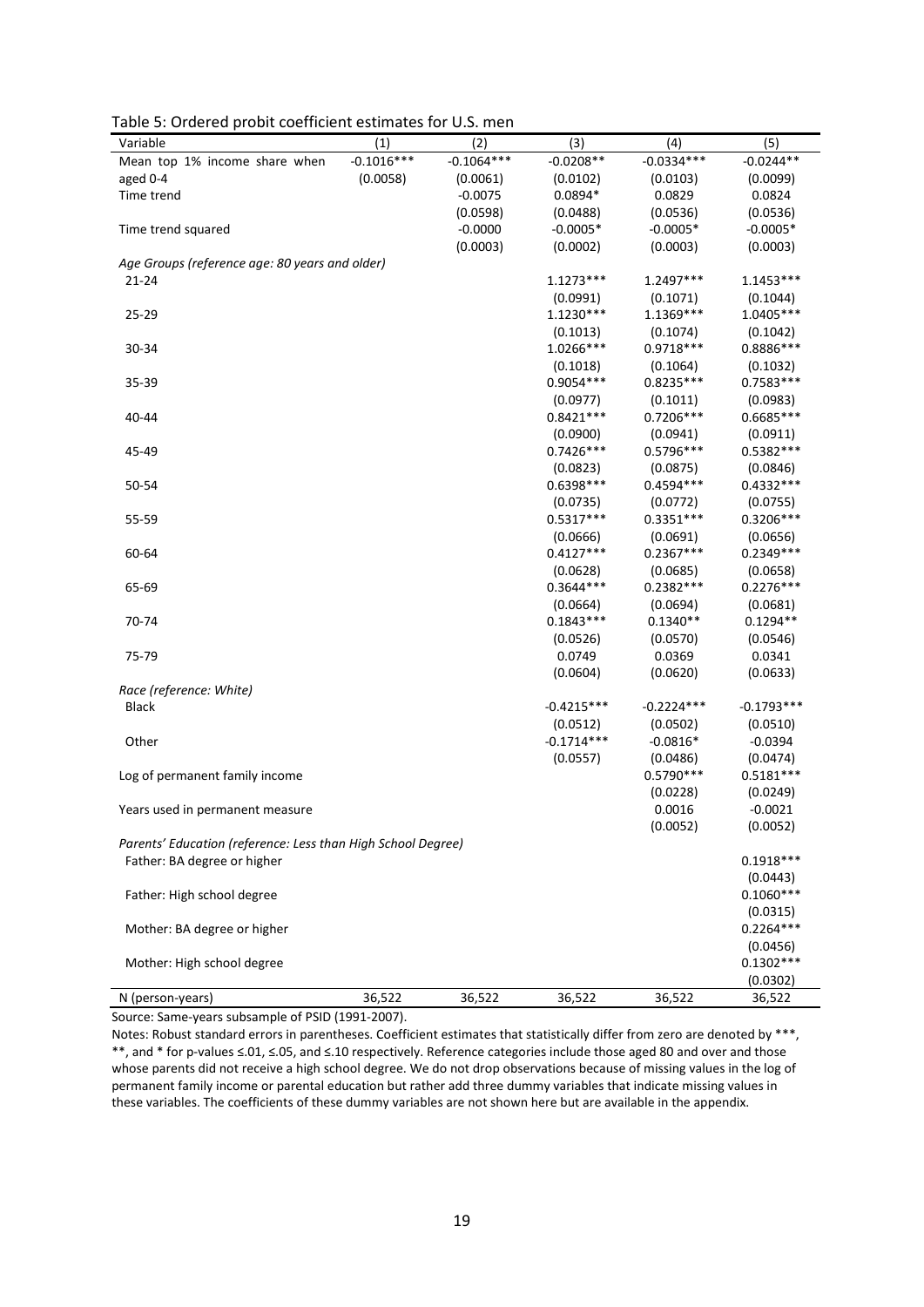| rable 5. Ordered probit coerneient estimates for             |                     |                     | (3)          | (4)          | (5)                     |
|--------------------------------------------------------------|---------------------|---------------------|--------------|--------------|-------------------------|
| Variable                                                     | (1)<br>$-0.1016***$ | (2)<br>$-0.1064***$ | $-0.0208**$  | $-0.0334***$ | $-0.0244**$             |
| Mean top 1% income share when                                |                     |                     |              |              |                         |
| aged 0-4                                                     | (0.0058)            | (0.0061)            | (0.0102)     | (0.0103)     | (0.0099)                |
| Time trend                                                   |                     | $-0.0075$           | $0.0894*$    | 0.0829       | 0.0824                  |
|                                                              |                     | (0.0598)            | (0.0488)     | (0.0536)     | (0.0536)                |
| Time trend squared                                           |                     | $-0.0000$           | $-0.0005*$   | $-0.0005*$   | $-0.0005*$              |
|                                                              |                     | (0.0003)            | (0.0002)     | (0.0003)     | (0.0003)                |
| Age Groups (reference age: 80 years and older)               |                     |                     |              |              |                         |
| 21-24                                                        |                     |                     | $1.1273***$  | 1.2497***    | $1.1453***$             |
|                                                              |                     |                     | (0.0991)     | (0.1071)     | (0.1044)                |
| 25-29                                                        |                     |                     | 1.1230***    | 1.1369***    | $1.0405***$             |
|                                                              |                     |                     | (0.1013)     | (0.1074)     | (0.1042)                |
| 30-34                                                        |                     |                     | 1.0266***    | $0.9718***$  | 0.8886 ***              |
|                                                              |                     |                     | (0.1018)     | (0.1064)     | (0.1032)                |
| 35-39                                                        |                     |                     | 0.9054 ***   | $0.8235***$  | $0.7583***$             |
|                                                              |                     |                     | (0.0977)     | (0.1011)     | (0.0983)                |
| 40-44                                                        |                     |                     | $0.8421***$  | $0.7206***$  | 0.6685***               |
|                                                              |                     |                     | (0.0900)     | (0.0941)     | (0.0911)                |
| 45-49                                                        |                     |                     | $0.7426***$  | 0.5796***    | 0.5382 ***              |
|                                                              |                     |                     | (0.0823)     | (0.0875)     | (0.0846)                |
| 50-54                                                        |                     |                     | 0.6398***    | $0.4594***$  | $0.4332***$             |
|                                                              |                     |                     | (0.0735)     | (0.0772)     | (0.0755)                |
| 55-59                                                        |                     |                     | $0.5317***$  | $0.3351***$  | 0.3206***               |
|                                                              |                     |                     | (0.0666)     | (0.0691)     | (0.0656)                |
| 60-64                                                        |                     |                     | $0.4127***$  | $0.2367***$  | $0.2349***$             |
|                                                              |                     |                     | (0.0628)     | (0.0685)     | (0.0658)                |
| 65-69                                                        |                     |                     | $0.3644***$  | $0.2382***$  | $0.2276***$             |
|                                                              |                     |                     | (0.0664)     | (0.0694)     | (0.0681)                |
| 70-74                                                        |                     |                     | $0.1843***$  | $0.1340**$   | $0.1294**$              |
|                                                              |                     |                     | (0.0526)     | (0.0570)     | (0.0546)                |
| 75-79                                                        |                     |                     | 0.0749       | 0.0369       | 0.0341                  |
|                                                              |                     |                     | (0.0604)     | (0.0620)     | (0.0633)                |
| Race (reference: White)                                      |                     |                     |              |              |                         |
| <b>Black</b>                                                 |                     |                     | $-0.4215***$ | $-0.2224***$ | $-0.1793***$            |
|                                                              |                     |                     | (0.0512)     | (0.0502)     | (0.0510)                |
| Other                                                        |                     |                     | $-0.1714***$ | $-0.0816*$   | $-0.0394$               |
|                                                              |                     |                     | (0.0557)     | (0.0486)     | (0.0474)                |
| Log of permanent family income                               |                     |                     |              | $0.5790***$  | $0.5181***$             |
|                                                              |                     |                     |              | (0.0228)     | (0.0249)                |
| Years used in permanent measure                              |                     |                     |              | 0.0016       | $-0.0021$               |
|                                                              |                     |                     |              | (0.0052)     | (0.0052)                |
| Parents' Education (reference: Less than High School Degree) |                     |                     |              |              |                         |
| Father: BA degree or higher                                  |                     |                     |              |              | $0.1918***$             |
|                                                              |                     |                     |              |              | (0.0443)                |
| Father: High school degree                                   |                     |                     |              |              | $0.1060***$             |
|                                                              |                     |                     |              |              | (0.0315)                |
| Mother: BA degree or higher                                  |                     |                     |              |              | $0.2264***$             |
|                                                              |                     |                     |              |              |                         |
|                                                              |                     |                     |              |              | (0.0456)<br>$0.1302***$ |
| Mother: High school degree                                   |                     |                     |              |              |                         |
|                                                              |                     |                     |              |              | (0.0302)                |
| N (person-years)                                             | 36,522              | 36,522              | 36,522       | 36,522       | 36,522                  |

Table 5: Ordered probit coefficient estimates for U.S. men

Source: Same-years subsample of PSID (1991-2007).

Notes: Robust standard errors in parentheses. Coefficient estimates that statistically differ from zero are denoted by \*\*\*, \*\*, and \* for p-values ≤.01, ≤.05, and ≤.10 respectively. Reference categories include those aged 80 and over and those whose parents did not receive a high school degree. We do not drop observations because of missing values in the log of permanent family income or parental education but rather add three dummy variables that indicate missing values in these variables. The coefficients of these dummy variables are not shown here but are available in the appendix.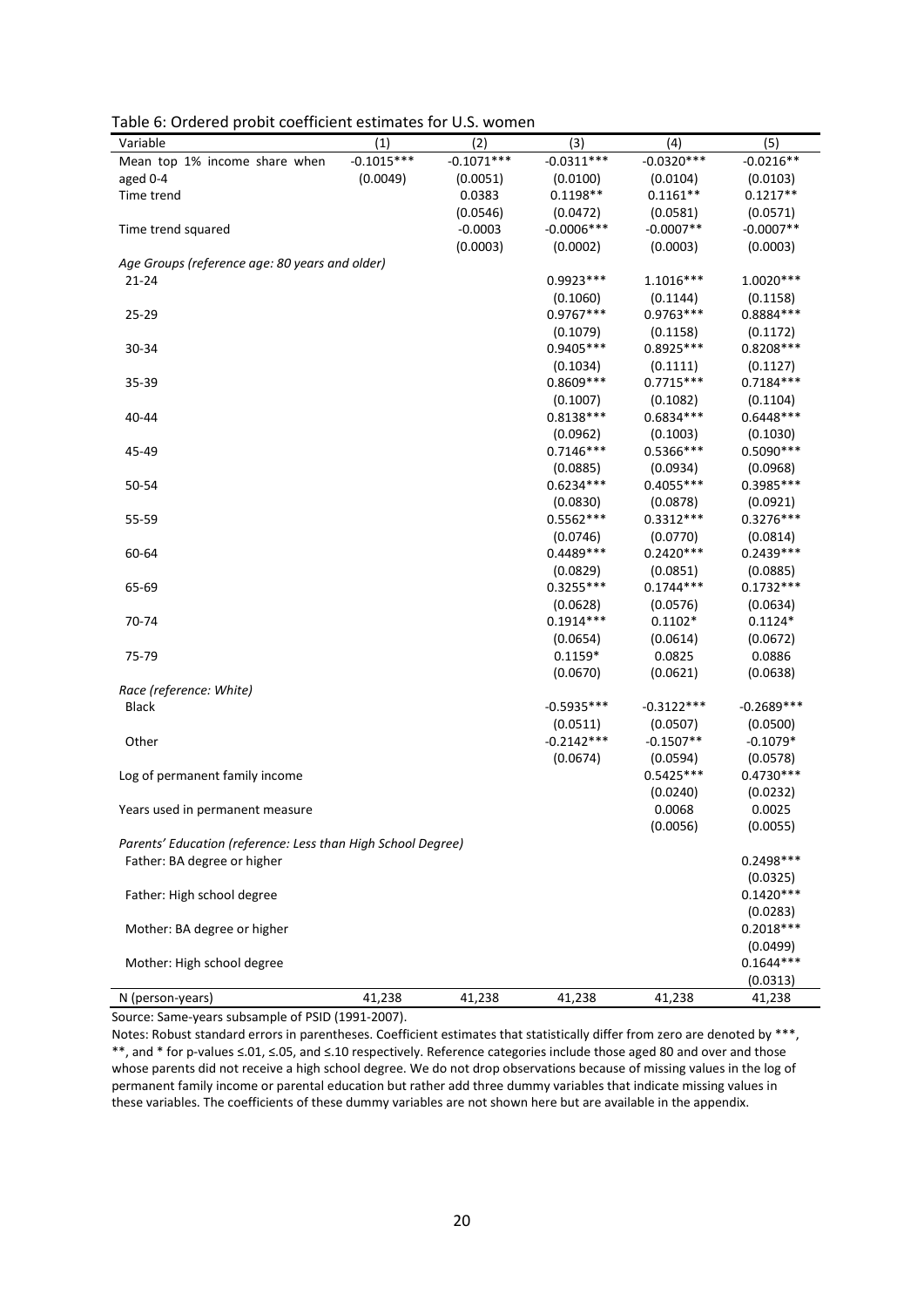| Variable                                                     | (1)          | (2)          | (3)                     | (4)                     | (5)                     |
|--------------------------------------------------------------|--------------|--------------|-------------------------|-------------------------|-------------------------|
| Mean top 1% income share when                                | $-0.1015***$ | $-0.1071***$ | $-0.0311***$            | $-0.0320***$            | $-0.0216**$             |
| aged 0-4                                                     | (0.0049)     | (0.0051)     | (0.0100)                | (0.0104)                | (0.0103)                |
| Time trend                                                   |              | 0.0383       | $0.1198**$              | $0.1161**$              | $0.1217**$              |
|                                                              |              | (0.0546)     | (0.0472)                | (0.0581)                | (0.0571)                |
| Time trend squared                                           |              | $-0.0003$    | $-0.0006$ ***           | $-0.0007**$             | $-0.0007**$             |
|                                                              |              | (0.0003)     | (0.0002)                | (0.0003)                | (0.0003)                |
| Age Groups (reference age: 80 years and older)               |              |              |                         |                         |                         |
| $21 - 24$                                                    |              |              | $0.9923***$             | $1.1016***$             | $1.0020***$             |
|                                                              |              |              | (0.1060)                | (0.1144)                | (0.1158)                |
| 25-29                                                        |              |              | $0.9767***$             | $0.9763***$             | 0.8884 ***              |
|                                                              |              |              | (0.1079)                | (0.1158)                | (0.1172)                |
| 30-34                                                        |              |              | $0.9405***$             | $0.8925***$             | $0.8208***$             |
|                                                              |              |              |                         |                         |                         |
|                                                              |              |              | (0.1034)<br>$0.8609***$ | (0.1111)<br>$0.7715***$ | (0.1127)<br>$0.7184***$ |
| 35-39                                                        |              |              |                         |                         |                         |
|                                                              |              |              | (0.1007)                | (0.1082)                | (0.1104)                |
| 40-44                                                        |              |              | $0.8138***$             | $0.6834***$             | $0.6448***$             |
|                                                              |              |              | (0.0962)                | (0.1003)                | (0.1030)                |
| 45-49                                                        |              |              | $0.7146***$             | $0.5366***$             | $0.5090***$             |
|                                                              |              |              | (0.0885)                | (0.0934)                | (0.0968)                |
| 50-54                                                        |              |              | $0.6234***$             | $0.4055***$             | 0.3985 ***              |
|                                                              |              |              | (0.0830)                | (0.0878)                | (0.0921)                |
| 55-59                                                        |              |              | $0.5562***$             | $0.3312***$             | $0.3276***$             |
|                                                              |              |              | (0.0746)                | (0.0770)                | (0.0814)                |
| 60-64                                                        |              |              | $0.4489***$             | $0.2420***$             | $0.2439***$             |
|                                                              |              |              | (0.0829)                | (0.0851)                | (0.0885)                |
| 65-69                                                        |              |              | $0.3255***$             | $0.1744***$             | $0.1732***$             |
|                                                              |              |              | (0.0628)                | (0.0576)                | (0.0634)                |
| 70-74                                                        |              |              | $0.1914***$             | $0.1102*$               | $0.1124*$               |
|                                                              |              |              | (0.0654)                | (0.0614)                | (0.0672)                |
| 75-79                                                        |              |              | $0.1159*$               | 0.0825                  | 0.0886                  |
|                                                              |              |              | (0.0670)                | (0.0621)                | (0.0638)                |
| Race (reference: White)                                      |              |              |                         |                         |                         |
| <b>Black</b>                                                 |              |              | $-0.5935***$            | $-0.3122***$            | $-0.2689***$            |
|                                                              |              |              | (0.0511)                | (0.0507)                | (0.0500)                |
| Other                                                        |              |              | $-0.2142***$            | $-0.1507**$             | $-0.1079*$              |
|                                                              |              |              | (0.0674)                | (0.0594)                | (0.0578)                |
| Log of permanent family income                               |              |              |                         | $0.5425***$             | $0.4730***$             |
|                                                              |              |              |                         | (0.0240)                | (0.0232)                |
| Years used in permanent measure                              |              |              |                         | 0.0068                  | 0.0025                  |
|                                                              |              |              |                         | (0.0056)                | (0.0055)                |
| Parents' Education (reference: Less than High School Degree) |              |              |                         |                         |                         |
| Father: BA degree or higher                                  |              |              |                         |                         | 0.2498 ***              |
|                                                              |              |              |                         |                         | (0.0325)                |
| Father: High school degree                                   |              |              |                         |                         | $0.1420***$             |
|                                                              |              |              |                         |                         | (0.0283)                |
| Mother: BA degree or higher                                  |              |              |                         |                         | $0.2018***$             |
|                                                              |              |              |                         |                         | (0.0499)                |
| Mother: High school degree                                   |              |              |                         |                         | $0.1644***$             |
|                                                              |              |              |                         |                         | (0.0313)                |
| N (person-years)                                             | 41,238       | 41,238       | 41,238                  | 41,238                  | 41,238                  |

Table 6: Ordered probit coefficient estimates for U.S. women

Source: Same-years subsample of PSID (1991-2007).

Notes: Robust standard errors in parentheses. Coefficient estimates that statistically differ from zero are denoted by \*\*\*, \*\*, and \* for p-values ≤.01, ≤.05, and ≤.10 respectively. Reference categories include those aged 80 and over and those whose parents did not receive a high school degree. We do not drop observations because of missing values in the log of permanent family income or parental education but rather add three dummy variables that indicate missing values in these variables. The coefficients of these dummy variables are not shown here but are available in the appendix.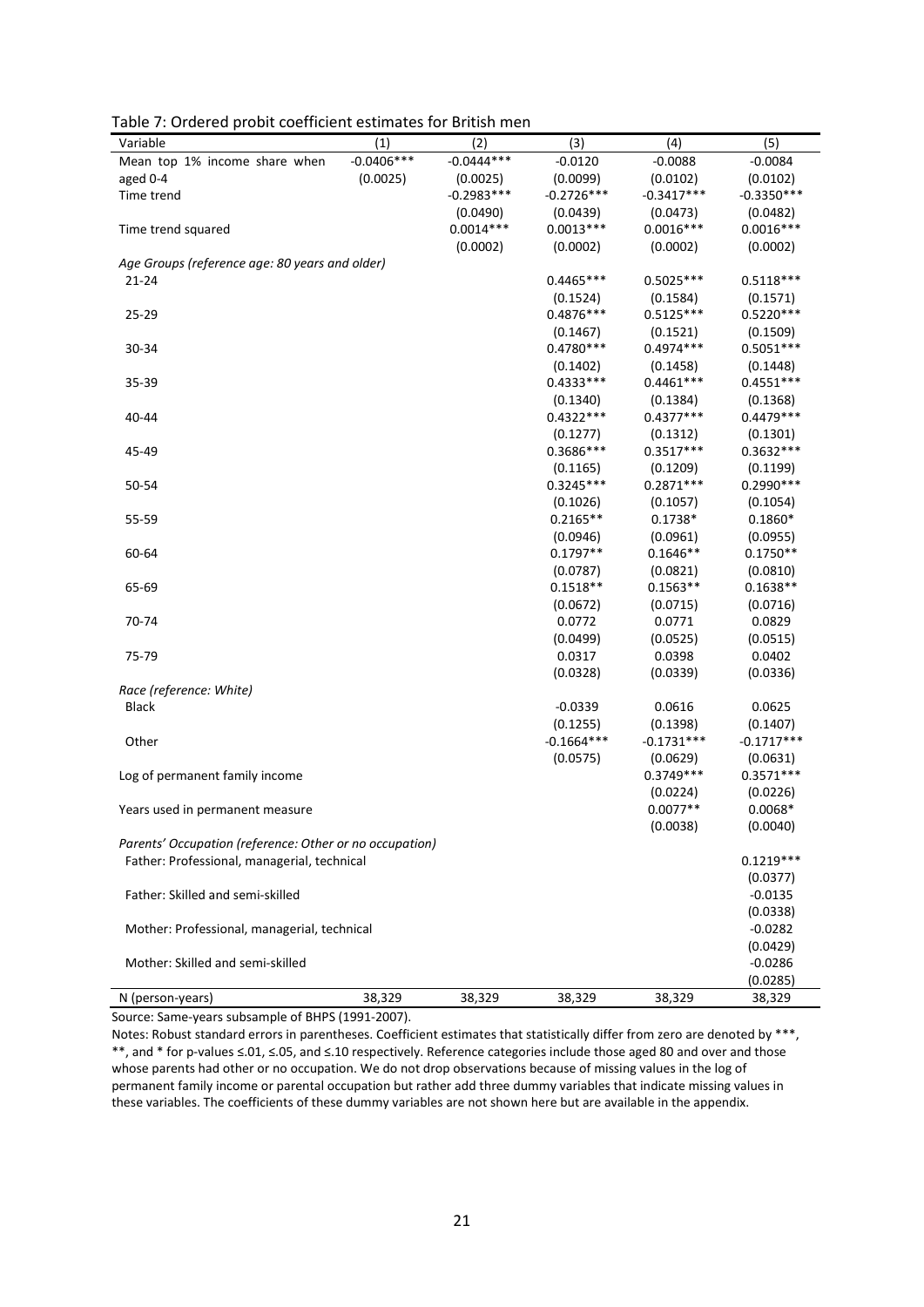| Variable                                                | (1)          | (2)          | (3)          | (4)          | (5)                |
|---------------------------------------------------------|--------------|--------------|--------------|--------------|--------------------|
| Mean top 1% income share when                           | $-0.0406***$ | $-0.0444***$ | $-0.0120$    | $-0.0088$    | $-0.0084$          |
| aged 0-4                                                | (0.0025)     | (0.0025)     | (0.0099)     | (0.0102)     | (0.0102)           |
| Time trend                                              |              | $-0.2983***$ | $-0.2726***$ | $-0.3417***$ | $-0.3350***$       |
|                                                         |              | (0.0490)     | (0.0439)     | (0.0473)     | (0.0482)           |
| Time trend squared                                      |              | $0.0014***$  | $0.0013***$  | $0.0016***$  | $0.0016***$        |
|                                                         |              | (0.0002)     | (0.0002)     | (0.0002)     | (0.0002)           |
| Age Groups (reference age: 80 years and older)          |              |              |              |              |                    |
| 21-24                                                   |              |              | $0.4465***$  | $0.5025***$  | $0.5118***$        |
|                                                         |              |              | (0.1524)     | (0.1584)     | (0.1571)           |
| $25 - 29$                                               |              |              | $0.4876***$  | $0.5125***$  | $0.5220***$        |
|                                                         |              |              | (0.1467)     | (0.1521)     | (0.1509)           |
| 30-34                                                   |              |              | $0.4780***$  | $0.4974***$  | $0.5051***$        |
|                                                         |              |              | (0.1402)     | (0.1458)     | (0.1448)           |
| 35-39                                                   |              |              | $0.4333***$  | $0.4461***$  | $0.4551***$        |
|                                                         |              |              | (0.1340)     | (0.1384)     | (0.1368)           |
| 40-44                                                   |              |              | $0.4322***$  | $0.4377***$  | $0.4479***$        |
|                                                         |              |              | (0.1277)     | (0.1312)     | (0.1301)           |
| 45-49                                                   |              |              | 0.3686***    | $0.3517***$  | 0.3632 ***         |
|                                                         |              |              | (0.1165)     | (0.1209)     | (0.1199)           |
| 50-54                                                   |              |              | $0.3245***$  | $0.2871***$  | $0.2990***$        |
|                                                         |              |              | (0.1026)     | (0.1057)     | (0.1054)           |
| 55-59                                                   |              |              | $0.2165**$   | $0.1738*$    | $0.1860*$          |
|                                                         |              |              | (0.0946)     | (0.0961)     | (0.0955)           |
| 60-64                                                   |              |              | $0.1797**$   | $0.1646**$   | $0.1750**$         |
|                                                         |              |              | (0.0787)     | (0.0821)     | (0.0810)           |
| 65-69                                                   |              |              | $0.1518**$   | $0.1563**$   | $0.1638**$         |
|                                                         |              |              |              |              |                    |
|                                                         |              |              | (0.0672)     | (0.0715)     | (0.0716)<br>0.0829 |
| 70-74                                                   |              |              | 0.0772       | 0.0771       |                    |
|                                                         |              |              | (0.0499)     | (0.0525)     | (0.0515)           |
| 75-79                                                   |              |              | 0.0317       | 0.0398       | 0.0402             |
|                                                         |              |              | (0.0328)     | (0.0339)     | (0.0336)           |
| Race (reference: White)                                 |              |              |              |              |                    |
| Black                                                   |              |              | $-0.0339$    | 0.0616       | 0.0625             |
|                                                         |              |              | (0.1255)     | (0.1398)     | (0.1407)           |
| Other                                                   |              |              | $-0.1664***$ | $-0.1731***$ | $-0.1717***$       |
|                                                         |              |              | (0.0575)     | (0.0629)     | (0.0631)           |
| Log of permanent family income                          |              |              |              | $0.3749***$  | $0.3571***$        |
|                                                         |              |              |              | (0.0224)     | (0.0226)           |
| Years used in permanent measure                         |              |              |              | $0.0077**$   | $0.0068*$          |
|                                                         |              |              |              | (0.0038)     | (0.0040)           |
| Parents' Occupation (reference: Other or no occupation) |              |              |              |              |                    |
| Father: Professional, managerial, technical             |              |              |              |              | $0.1219***$        |
|                                                         |              |              |              |              | (0.0377)           |
| Father: Skilled and semi-skilled                        |              |              |              |              | $-0.0135$          |
|                                                         |              |              |              |              | (0.0338)           |
| Mother: Professional, managerial, technical             |              |              |              |              | $-0.0282$          |
|                                                         |              |              |              |              | (0.0429)           |
| Mother: Skilled and semi-skilled                        |              |              |              |              | $-0.0286$          |
|                                                         |              |              |              |              | (0.0285)           |
| N (person-years)                                        | 38,329       | 38,329       | 38,329       | 38,329       | 38,329             |

Table 7: Ordered probit coefficient estimates for British men

Source: Same-years subsample of BHPS (1991-2007).

Notes: Robust standard errors in parentheses. Coefficient estimates that statistically differ from zero are denoted by \*\*\*, \*\*, and \* for p-values ≤.01, ≤.05, and ≤.10 respectively. Reference categories include those aged 80 and over and those whose parents had other or no occupation. We do not drop observations because of missing values in the log of permanent family income or parental occupation but rather add three dummy variables that indicate missing values in these variables. The coefficients of these dummy variables are not shown here but are available in the appendix.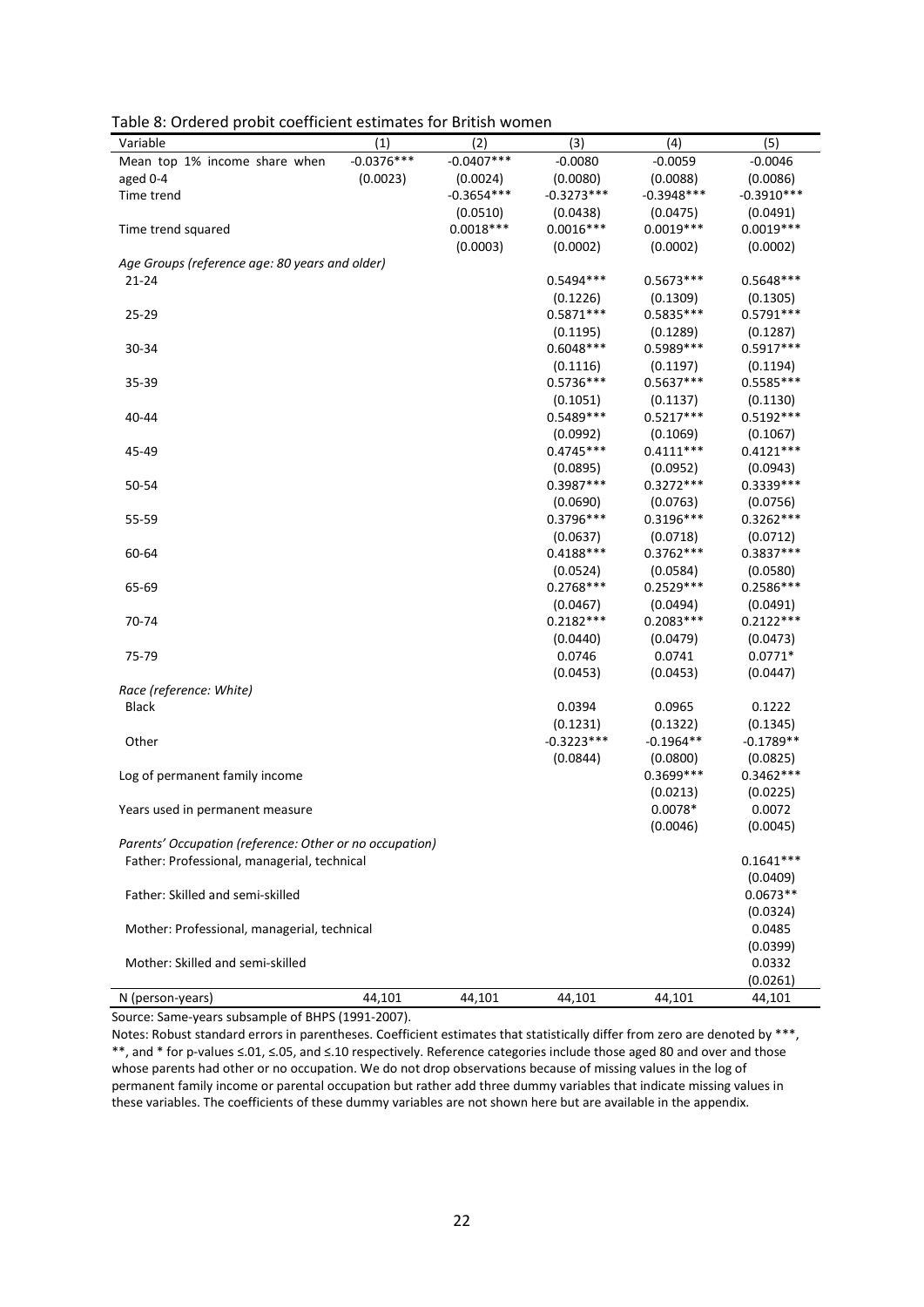| rable of Ordered probit coemcient estimates for british women<br>Variable | (1)          | (2)          | (3)          | (4)          | (5)          |
|---------------------------------------------------------------------------|--------------|--------------|--------------|--------------|--------------|
| Mean top 1% income share when                                             | $-0.0376***$ | $-0.0407***$ | $-0.0080$    | $-0.0059$    | $-0.0046$    |
| aged 0-4                                                                  | (0.0023)     | (0.0024)     | (0.0080)     | (0.0088)     | (0.0086)     |
| Time trend                                                                |              | $-0.3654***$ | $-0.3273***$ | $-0.3948***$ | $-0.3910***$ |
|                                                                           |              | (0.0510)     | (0.0438)     | (0.0475)     | (0.0491)     |
| Time trend squared                                                        |              | $0.0018***$  | $0.0016***$  | $0.0019***$  | $0.0019***$  |
|                                                                           |              |              |              |              |              |
|                                                                           |              | (0.0003)     | (0.0002)     | (0.0002)     | (0.0002)     |
| Age Groups (reference age: 80 years and older)<br>21-24                   |              |              | $0.5494***$  | $0.5673***$  | $0.5648***$  |
|                                                                           |              |              |              |              |              |
|                                                                           |              |              | (0.1226)     | (0.1309)     | (0.1305)     |
| $25 - 29$                                                                 |              |              | $0.5871***$  | $0.5835***$  | $0.5791***$  |
|                                                                           |              |              | (0.1195)     | (0.1289)     | (0.1287)     |
| 30-34                                                                     |              |              | $0.6048***$  | 0.5989 ***   | $0.5917***$  |
|                                                                           |              |              | (0.1116)     | (0.1197)     | (0.1194)     |
| 35-39                                                                     |              |              | $0.5736***$  | $0.5637***$  | $0.5585***$  |
|                                                                           |              |              | (0.1051)     | (0.1137)     | (0.1130)     |
| 40-44                                                                     |              |              | 0.5489***    | $0.5217***$  | $0.5192***$  |
|                                                                           |              |              | (0.0992)     | (0.1069)     | (0.1067)     |
| 45-49                                                                     |              |              | $0.4745***$  | $0.4111***$  | $0.4121***$  |
|                                                                           |              |              | (0.0895)     | (0.0952)     | (0.0943)     |
| 50-54                                                                     |              |              | 0.3987***    | $0.3272***$  | 0.3339 ***   |
|                                                                           |              |              | (0.0690)     | (0.0763)     | (0.0756)     |
| 55-59                                                                     |              |              | 0.3796***    | $0.3196***$  | $0.3262***$  |
|                                                                           |              |              | (0.0637)     | (0.0718)     | (0.0712)     |
| 60-64                                                                     |              |              | $0.4188***$  | $0.3762***$  | 0.3837***    |
|                                                                           |              |              | (0.0524)     | (0.0584)     | (0.0580)     |
| 65-69                                                                     |              |              | $0.2768***$  | $0.2529***$  | $0.2586***$  |
|                                                                           |              |              | (0.0467)     | (0.0494)     | (0.0491)     |
| 70-74                                                                     |              |              | $0.2182***$  | $0.2083***$  | $0.2122***$  |
|                                                                           |              |              | (0.0440)     | (0.0479)     | (0.0473)     |
| 75-79                                                                     |              |              | 0.0746       | 0.0741       | $0.0771*$    |
|                                                                           |              |              | (0.0453)     | (0.0453)     | (0.0447)     |
| Race (reference: White)                                                   |              |              |              |              |              |
| Black                                                                     |              |              | 0.0394       | 0.0965       | 0.1222       |
|                                                                           |              |              | (0.1231)     | (0.1322)     | (0.1345)     |
| Other                                                                     |              |              | $-0.3223***$ | $-0.1964**$  | $-0.1789**$  |
|                                                                           |              |              | (0.0844)     | (0.0800)     | (0.0825)     |
| Log of permanent family income                                            |              |              |              | 0.3699 ***   | 0.3462 ***   |
|                                                                           |              |              |              | (0.0213)     | (0.0225)     |
| Years used in permanent measure                                           |              |              |              | $0.0078*$    | 0.0072       |
|                                                                           |              |              |              | (0.0046)     | (0.0045)     |
| Parents' Occupation (reference: Other or no occupation)                   |              |              |              |              |              |
| Father: Professional, managerial, technical                               |              |              |              |              | $0.1641***$  |
|                                                                           |              |              |              |              | (0.0409)     |
| Father: Skilled and semi-skilled                                          |              |              |              |              | $0.0673**$   |
|                                                                           |              |              |              |              | (0.0324)     |
| Mother: Professional, managerial, technical                               |              |              |              |              | 0.0485       |
|                                                                           |              |              |              |              | (0.0399)     |
| Mother: Skilled and semi-skilled                                          |              |              |              |              | 0.0332       |
|                                                                           |              |              |              |              | (0.0261)     |
| N (person-years)                                                          | 44,101       | 44,101       | 44,101       | 44,101       | 44,101       |

Table 8: Ordered probit coefficient estimates for British women

Source: Same-years subsample of BHPS (1991-2007).

Notes: Robust standard errors in parentheses. Coefficient estimates that statistically differ from zero are denoted by \*\*\*, \*\*, and \* for p-values ≤.01, ≤.05, and ≤.10 respectively. Reference categories include those aged 80 and over and those whose parents had other or no occupation. We do not drop observations because of missing values in the log of permanent family income or parental occupation but rather add three dummy variables that indicate missing values in these variables. The coefficients of these dummy variables are not shown here but are available in the appendix.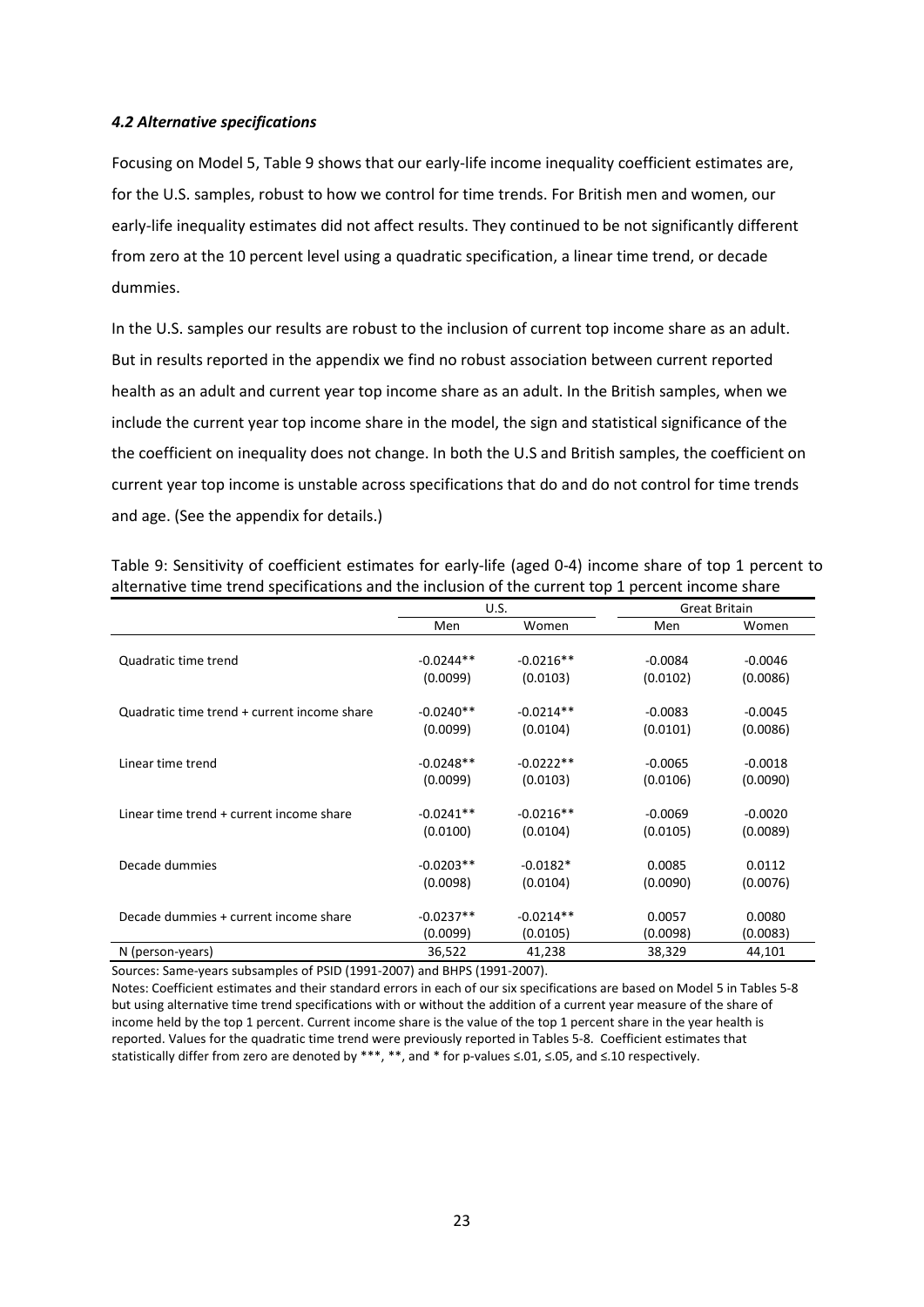# *4.2 Alternative specifications*

Focusing on Model 5, Table 9 shows that our early-life income inequality coefficient estimates are, for the U.S. samples, robust to how we control for time trends. For British men and women, our early-life inequality estimates did not affect results. They continued to be not significantly different from zero at the 10 percent level using a quadratic specification, a linear time trend, or decade dummies.

In the U.S. samples our results are robust to the inclusion of current top income share as an adult. But in results reported in the appendix we find no robust association between current reported health as an adult and current year top income share as an adult. In the British samples, when we include the current year top income share in the model, the sign and statistical significance of the the coefficient on inequality does not change. In both the U.S and British samples, the coefficient on current year top income is unstable across specifications that do and do not control for time trends and age. (See the appendix for details.)

|                                             | U.S.        |             | <b>Great Britain</b> |           |
|---------------------------------------------|-------------|-------------|----------------------|-----------|
|                                             | Men         | Women       | Men                  | Women     |
|                                             |             |             |                      |           |
| Quadratic time trend                        | $-0.0244**$ | $-0.0216**$ | $-0.0084$            | $-0.0046$ |
|                                             | (0.0099)    | (0.0103)    | (0.0102)             | (0.0086)  |
|                                             |             |             |                      |           |
| Quadratic time trend + current income share | $-0.0240**$ | $-0.0214**$ | $-0.0083$            | $-0.0045$ |
|                                             | (0.0099)    | (0.0104)    | (0.0101)             | (0.0086)  |
|                                             |             |             |                      |           |
| Linear time trend                           | $-0.0248**$ | $-0.0222**$ | $-0.0065$            | $-0.0018$ |
|                                             | (0.0099)    | (0.0103)    | (0.0106)             | (0.0090)  |
|                                             |             |             |                      |           |
| Linear time trend + current income share    | $-0.0241**$ | $-0.0216**$ | $-0.0069$            | $-0.0020$ |
|                                             | (0.0100)    | (0.0104)    | (0.0105)             | (0.0089)  |
|                                             |             |             |                      |           |
| Decade dummies                              | $-0.0203**$ | $-0.0182*$  | 0.0085               | 0.0112    |
|                                             | (0.0098)    | (0.0104)    | (0.0090)             | (0.0076)  |
|                                             |             |             |                      |           |
| Decade dummies + current income share       | $-0.0237**$ | $-0.0214**$ | 0.0057               | 0.0080    |
|                                             | (0.0099)    | (0.0105)    | (0.0098)             | (0.0083)  |
| N (person-years)                            | 36,522      | 41,238      | 38,329               | 44,101    |

Table 9: Sensitivity of coefficient estimates for early-life (aged 0-4) income share of top 1 percent to alternative time trend specifications and the inclusion of the current top 1 percent income share

Sources: Same-years subsamples of PSID (1991-2007) and BHPS (1991-2007).

Notes: Coefficient estimates and their standard errors in each of our six specifications are based on Model 5 in Tables 5-8 but using alternative time trend specifications with or without the addition of a current year measure of the share of income held by the top 1 percent. Current income share is the value of the top 1 percent share in the year health is reported. Values for the quadratic time trend were previously reported in Tables 5-8. Coefficient estimates that statistically differ from zero are denoted by \*\*\*, \*\*, and \* for p-values ≤.01, ≤.05, and ≤.10 respectively.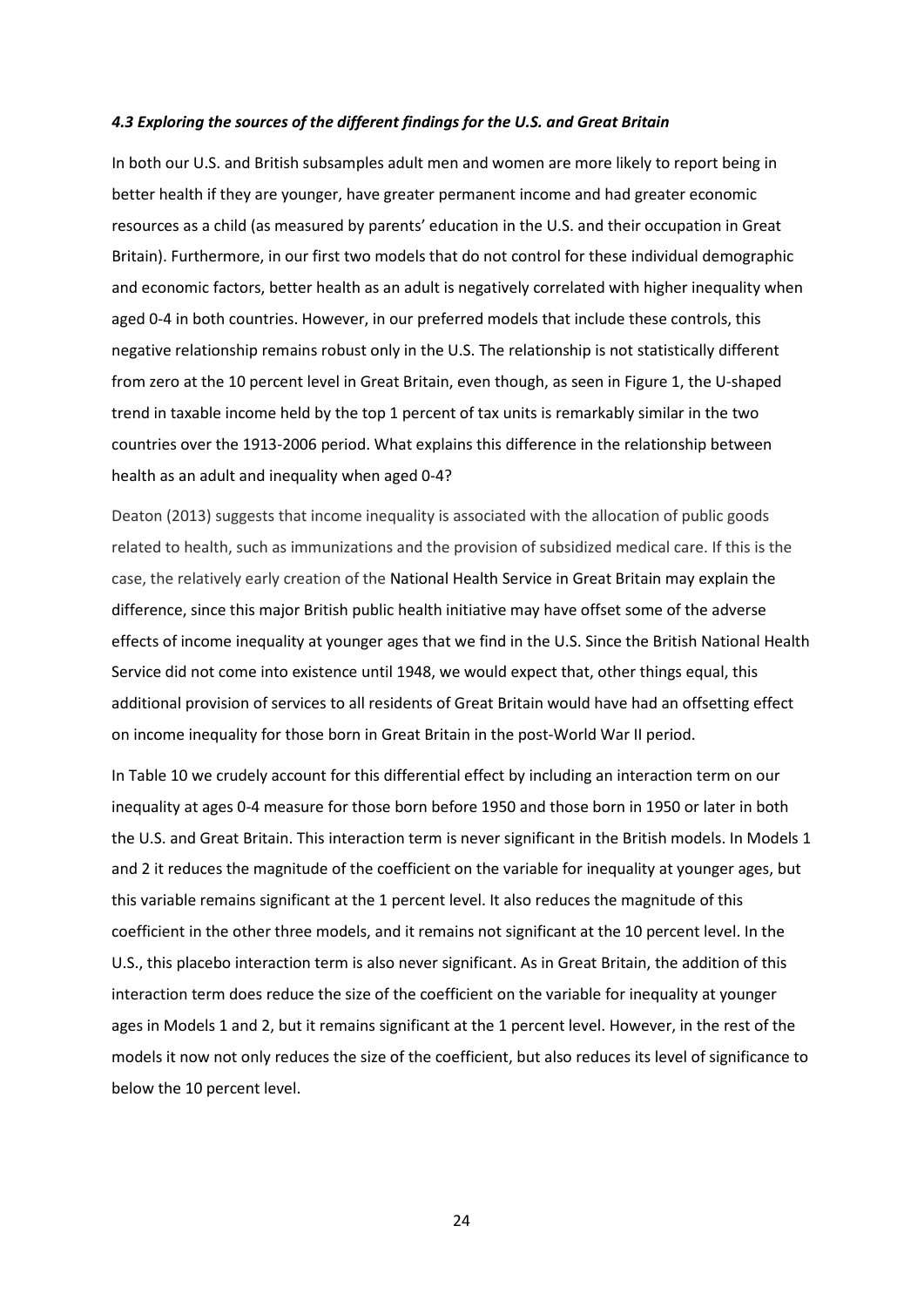# *4.3 Exploring the sources of the different findings for the U.S. and Great Britain*

In both our U.S. and British subsamples adult men and women are more likely to report being in better health if they are younger, have greater permanent income and had greater economic resources as a child (as measured by parents' education in the U.S. and their occupation in Great Britain). Furthermore, in our first two models that do not control for these individual demographic and economic factors, better health as an adult is negatively correlated with higher inequality when aged 0-4 in both countries. However, in our preferred models that include these controls, this negative relationship remains robust only in the U.S. The relationship is not statistically different from zero at the 10 percent level in Great Britain, even though, as seen in Figure 1, the U-shaped trend in taxable income held by the top 1 percent of tax units is remarkably similar in the two countries over the 1913-2006 period. What explains this difference in the relationship between health as an adult and inequality when aged 0-4?

Deaton (2013) suggests that income inequality is associated with the allocation of public goods related to health, such as immunizations and the provision of subsidized medical care. If this is the case, the relatively early creation of the National Health Service in Great Britain may explain the difference, since this major British public health initiative may have offset some of the adverse effects of income inequality at younger ages that we find in the U.S. Since the British National Health Service did not come into existence until 1948, we would expect that, other things equal, this additional provision of services to all residents of Great Britain would have had an offsetting effect on income inequality for those born in Great Britain in the post-World War II period.

In Table 10 we crudely account for this differential effect by including an interaction term on our inequality at ages 0-4 measure for those born before 1950 and those born in 1950 or later in both the U.S. and Great Britain. This interaction term is never significant in the British models. In Models 1 and 2 it reduces the magnitude of the coefficient on the variable for inequality at younger ages, but this variable remains significant at the 1 percent level. It also reduces the magnitude of this coefficient in the other three models, and it remains not significant at the 10 percent level. In the U.S., this placebo interaction term is also never significant. As in Great Britain, the addition of this interaction term does reduce the size of the coefficient on the variable for inequality at younger ages in Models 1 and 2, but it remains significant at the 1 percent level. However, in the rest of the models it now not only reduces the size of the coefficient, but also reduces its level of significance to below the 10 percent level.

24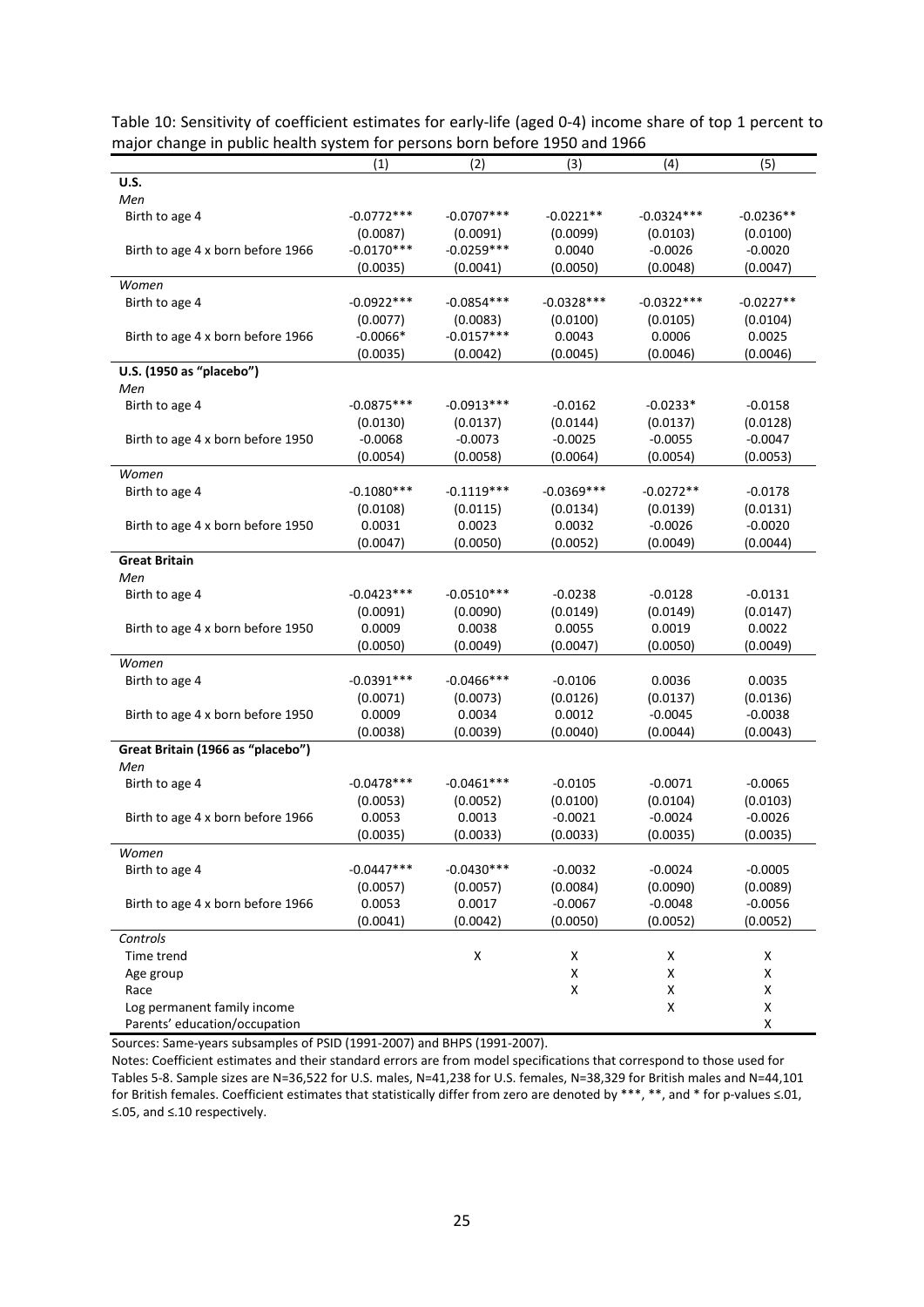| Table 10: Sensitivity of coefficient estimates for early-life (aged 0-4) income share of top 1 percent to |
|-----------------------------------------------------------------------------------------------------------|
| major change in public health system for persons born before 1950 and 1966                                |

|                                   | (1)          | (2)           | (3)                | (4)                | (5)         |
|-----------------------------------|--------------|---------------|--------------------|--------------------|-------------|
| U.S.                              |              |               |                    |                    |             |
| Men                               |              |               |                    |                    |             |
| Birth to age 4                    | $-0.0772***$ | $-0.0707***$  | $-0.0221**$        | $-0.0324***$       | $-0.0236**$ |
|                                   | (0.0087)     | (0.0091)      | (0.0099)           | (0.0103)           | (0.0100)    |
| Birth to age 4 x born before 1966 | $-0.0170***$ | $-0.0259***$  | 0.0040             | $-0.0026$          | $-0.0020$   |
|                                   | (0.0035)     | (0.0041)      | (0.0050)           | (0.0048)           | (0.0047)    |
| Women                             |              |               |                    |                    |             |
| Birth to age 4                    | $-0.0922***$ | $-0.0854***$  | $-0.0328***$       | $-0.0322***$       | $-0.0227**$ |
|                                   | (0.0077)     | (0.0083)      | (0.0100)           | (0.0105)           | (0.0104)    |
| Birth to age 4 x born before 1966 | $-0.0066*$   | $-0.0157***$  | 0.0043             | 0.0006             | 0.0025      |
|                                   | (0.0035)     | (0.0042)      | (0.0045)           | (0.0046)           | (0.0046)    |
| U.S. (1950 as "placebo")          |              |               |                    |                    |             |
| Men                               |              |               |                    |                    |             |
| Birth to age 4                    | $-0.0875***$ | $-0.0913***$  | $-0.0162$          | $-0.0233*$         | $-0.0158$   |
|                                   | (0.0130)     | (0.0137)      | (0.0144)           | (0.0137)           | (0.0128)    |
| Birth to age 4 x born before 1950 | $-0.0068$    | $-0.0073$     | $-0.0025$          | $-0.0055$          | $-0.0047$   |
|                                   | (0.0054)     | (0.0058)      | (0.0064)           | (0.0054)           | (0.0053)    |
| Women                             |              |               |                    |                    |             |
| Birth to age 4                    | $-0.1080***$ | $-0.1119***$  | $-0.0369***$       | $-0.0272**$        | $-0.0178$   |
|                                   | (0.0108)     | (0.0115)      | (0.0134)           | (0.0139)           | (0.0131)    |
| Birth to age 4 x born before 1950 | 0.0031       | 0.0023        | 0.0032             | $-0.0026$          | $-0.0020$   |
|                                   |              |               |                    |                    |             |
|                                   | (0.0047)     | (0.0050)      | (0.0052)           | (0.0049)           | (0.0044)    |
| <b>Great Britain</b>              |              |               |                    |                    |             |
| Men                               |              |               |                    |                    |             |
| Birth to age 4                    | $-0.0423***$ | $-0.0510***$  | $-0.0238$          | $-0.0128$          | $-0.0131$   |
|                                   | (0.0091)     | (0.0090)      | (0.0149)           | (0.0149)           | (0.0147)    |
| Birth to age 4 x born before 1950 | 0.0009       | 0.0038        | 0.0055             | 0.0019             | 0.0022      |
|                                   | (0.0050)     | (0.0049)      | (0.0047)           | (0.0050)           | (0.0049)    |
| Women                             |              |               |                    |                    |             |
| Birth to age 4                    | $-0.0391***$ | $-0.0466$ *** | $-0.0106$          | 0.0036             | 0.0035      |
|                                   | (0.0071)     | (0.0073)      | (0.0126)           | (0.0137)           | (0.0136)    |
| Birth to age 4 x born before 1950 | 0.0009       | 0.0034        | 0.0012             | $-0.0045$          | $-0.0038$   |
|                                   | (0.0038)     | (0.0039)      | (0.0040)           | (0.0044)           | (0.0043)    |
| Great Britain (1966 as "placebo") |              |               |                    |                    |             |
| Men                               |              |               |                    |                    |             |
| Birth to age 4                    | $-0.0478***$ | $-0.0461***$  | $-0.0105$          | $-0.0071$          | $-0.0065$   |
|                                   | (0.0053)     | (0.0052)      | (0.0100)           | (0.0104)           | (0.0103)    |
| Birth to age 4 x born before 1966 | 0.0053       | 0.0013        | $-0.0021$          | $-0.0024$          | $-0.0026$   |
|                                   | (0.0035)     | (0.0033)      | (0.0033)           | (0.0035)           | (0.0035)    |
| Women                             |              |               |                    |                    |             |
| Birth to age 4                    | $-0.0447***$ | $-0.0430***$  | $-0.0032$          | $-0.0024$          | $-0.0005$   |
|                                   | (0.0057)     | (0.0057)      | (0.0084)           | (0.0090)           | (0.0089)    |
| Birth to age 4 x born before 1966 | 0.0053       | 0.0017        | $-0.0067$          | $-0.0048$          | $-0.0056$   |
|                                   | (0.0041)     | (0.0042)      | (0.0050)           | (0.0052)           | (0.0052)    |
| Controls                          |              |               |                    |                    |             |
| Time trend                        |              | X             | X                  | Χ                  | Χ           |
| Age group                         |              |               | $\pmb{\mathsf{X}}$ | $\pmb{\mathsf{X}}$ | Χ           |
| Race                              |              |               | $\pmb{\mathsf{X}}$ | $\pmb{\mathsf{X}}$ | Χ           |
| Log permanent family income       |              |               |                    | $\pmb{\mathsf{X}}$ | Χ           |
| Parents' education/occupation     |              |               |                    |                    | Χ           |

Sources: Same-years subsamples of PSID (1991-2007) and BHPS (1991-2007).

Notes: Coefficient estimates and their standard errors are from model specifications that correspond to those used for Tables 5-8. Sample sizes are N=36,522 for U.S. males, N=41,238 for U.S. females, N=38,329 for British males and N=44,101 for British females. Coefficient estimates that statistically differ from zero are denoted by \*\*\*, \*\*, and \* for p-values ≤.01, ≤.05, and ≤.10 respectively.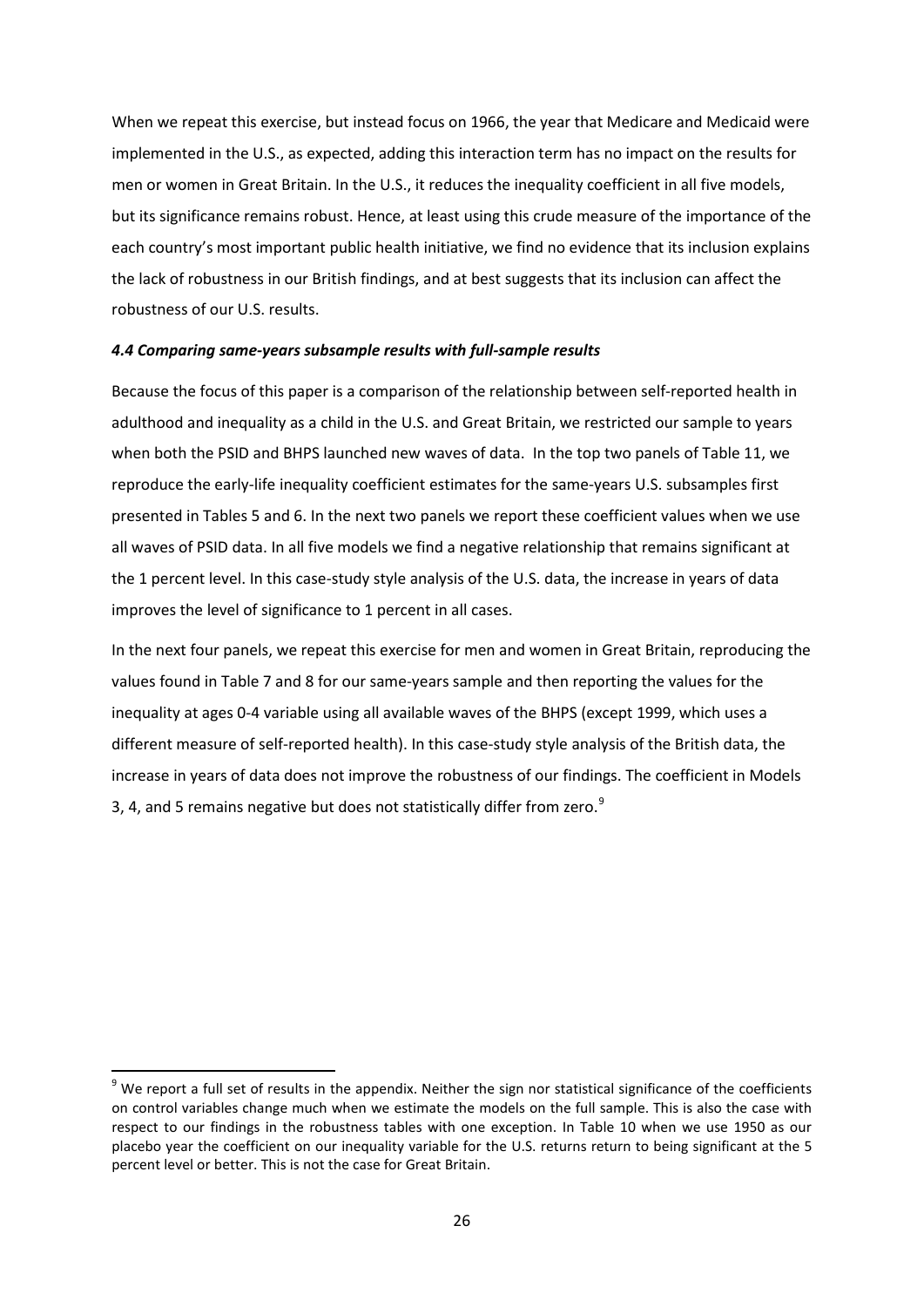When we repeat this exercise, but instead focus on 1966, the year that Medicare and Medicaid were implemented in the U.S., as expected, adding this interaction term has no impact on the results for men or women in Great Britain. In the U.S., it reduces the inequality coefficient in all five models, but its significance remains robust. Hence, at least using this crude measure of the importance of the each country's most important public health initiative, we find no evidence that its inclusion explains the lack of robustness in our British findings, and at best suggests that its inclusion can affect the robustness of our U.S. results.

# *4.4 Comparing same-years subsample results with full-sample results*

Because the focus of this paper is a comparison of the relationship between self-reported health in adulthood and inequality as a child in the U.S. and Great Britain, we restricted our sample to years when both the PSID and BHPS launched new waves of data. In the top two panels of Table 11, we reproduce the early-life inequality coefficient estimates for the same-years U.S. subsamples first presented in Tables 5 and 6. In the next two panels we report these coefficient values when we use all waves of PSID data. In all five models we find a negative relationship that remains significant at the 1 percent level. In this case-study style analysis of the U.S. data, the increase in years of data improves the level of significance to 1 percent in all cases.

In the next four panels, we repeat this exercise for men and women in Great Britain, reproducing the values found in Table 7 and 8 for our same-years sample and then reporting the values for the inequality at ages 0-4 variable using all available waves of the BHPS (except 1999, which uses a different measure of self-reported health). In this case-study style analysis of the British data, the increase in years of data does not improve the robustness of our findings. The coefficient in Models 3, 4, and 5 remains negative but does not statistically differ from zero.<sup>[9](#page-25-0)</sup>

**.** 

<span id="page-25-0"></span> $9$  We report a full set of results in the appendix. Neither the sign nor statistical significance of the coefficients on control variables change much when we estimate the models on the full sample. This is also the case with respect to our findings in the robustness tables with one exception. In Table 10 when we use 1950 as our placebo year the coefficient on our inequality variable for the U.S. returns return to being significant at the 5 percent level or better. This is not the case for Great Britain.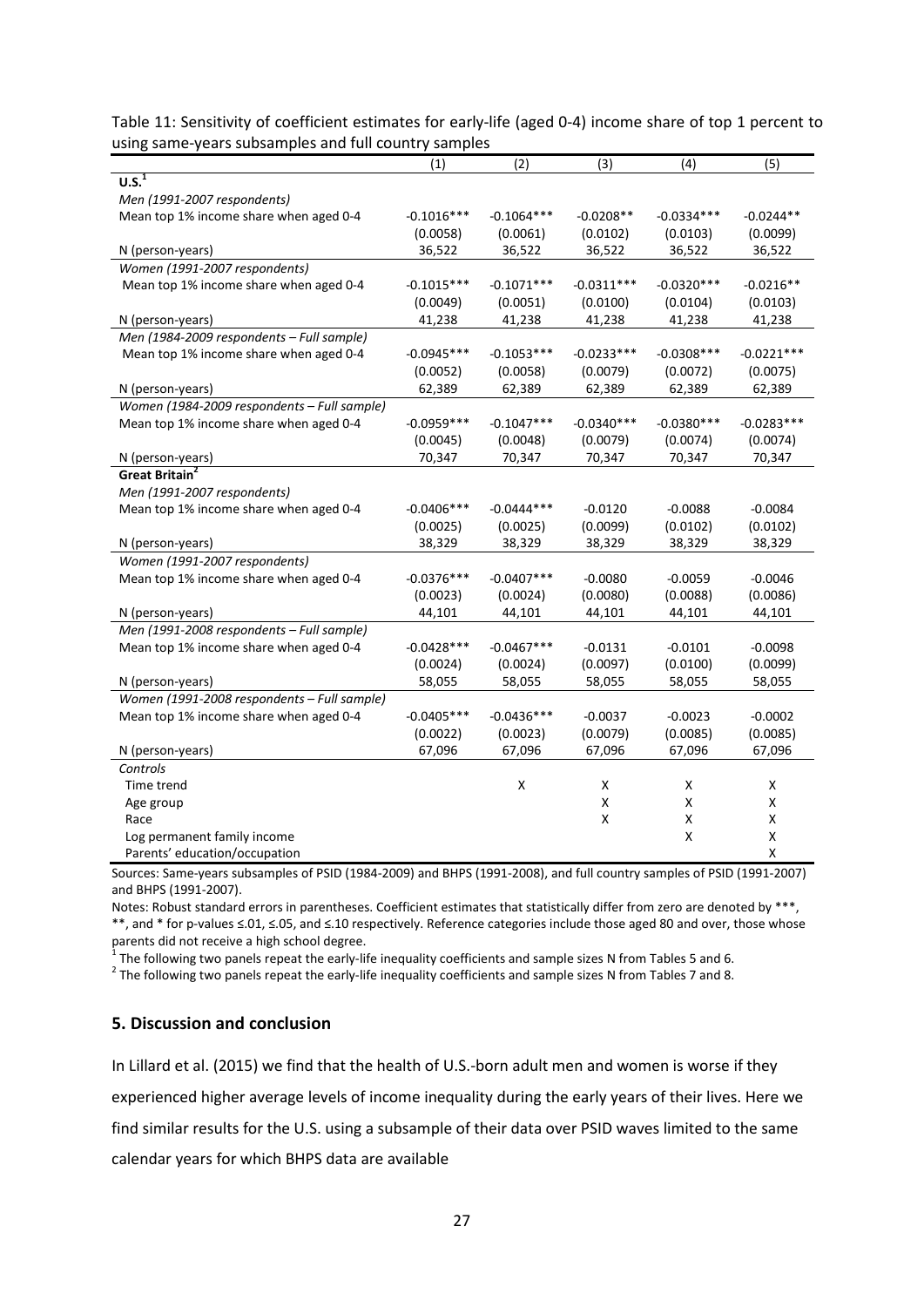| Table 11: Sensitivity of coefficient estimates for early-life (aged 0-4) income share of top 1 percent to |  |
|-----------------------------------------------------------------------------------------------------------|--|
| using same-years subsamples and full country samples                                                      |  |

|                                                                                                             | (1)          | (2)          | (3)                                           | (4)              | (5)                                               |
|-------------------------------------------------------------------------------------------------------------|--------------|--------------|-----------------------------------------------|------------------|---------------------------------------------------|
| $\overline{U.S.}^1$                                                                                         |              |              |                                               |                  |                                                   |
| Men (1991-2007 respondents)                                                                                 |              |              |                                               |                  |                                                   |
| Mean top 1% income share when aged 0-4                                                                      | $-0.1016***$ | $-0.1064***$ | $-0.0208**$                                   | $-0.0334***$     | $-0.0244**$                                       |
|                                                                                                             | (0.0058)     | (0.0061)     | (0.0102)                                      | (0.0103)         | (0.0099)                                          |
| N (person-years)                                                                                            | 36,522       | 36,522       | 36,522                                        | 36,522           | 36,522                                            |
| Women (1991-2007 respondents)                                                                               |              |              |                                               |                  |                                                   |
| Mean top 1% income share when aged 0-4                                                                      | $-0.1015***$ | $-0.1071***$ | $-0.0311***$                                  | $-0.0320***$     | $-0.0216**$                                       |
|                                                                                                             | (0.0049)     | (0.0051)     | (0.0100)                                      | (0.0104)         | (0.0103)                                          |
| N (person-years)                                                                                            | 41,238       | 41,238       | 41,238                                        | 41,238           | 41,238                                            |
| Men (1984-2009 respondents - Full sample)                                                                   |              |              |                                               |                  |                                                   |
| Mean top 1% income share when aged 0-4                                                                      | $-0.0945***$ | $-0.1053***$ | $-0.0233***$                                  | $-0.0308$ ***    | $-0.0221***$                                      |
|                                                                                                             | (0.0052)     | (0.0058)     | (0.0079)                                      | (0.0072)         | (0.0075)                                          |
| N (person-years)                                                                                            | 62,389       | 62,389       | 62,389                                        | 62,389           | 62,389                                            |
| Women (1984-2009 respondents - Full sample)                                                                 |              |              |                                               |                  |                                                   |
| Mean top 1% income share when aged 0-4                                                                      | $-0.0959***$ | $-0.1047***$ | $-0.0340***$                                  | $-0.0380***$     | $-0.0283***$                                      |
|                                                                                                             | (0.0045)     | (0.0048)     | (0.0079)                                      | (0.0074)         | (0.0074)                                          |
| N (person-years)                                                                                            | 70,347       | 70,347       | 70,347                                        | 70,347           | 70,347                                            |
| Great Britain <sup>2</sup>                                                                                  |              |              |                                               |                  |                                                   |
| Men (1991-2007 respondents)                                                                                 |              |              |                                               |                  |                                                   |
| Mean top 1% income share when aged 0-4                                                                      | $-0.0406***$ | $-0.0444***$ | $-0.0120$                                     | $-0.0088$        | $-0.0084$                                         |
|                                                                                                             | (0.0025)     | (0.0025)     | (0.0099)                                      | (0.0102)         | (0.0102)                                          |
| N (person-years)                                                                                            | 38,329       | 38,329       | 38,329                                        | 38,329           | 38,329                                            |
| Women (1991-2007 respondents)                                                                               |              |              |                                               |                  |                                                   |
| Mean top 1% income share when aged 0-4                                                                      | $-0.0376***$ | $-0.0407***$ | $-0.0080$                                     | $-0.0059$        | $-0.0046$                                         |
|                                                                                                             | (0.0023)     | (0.0024)     | (0.0080)                                      | (0.0088)         | (0.0086)                                          |
| N (person-years)                                                                                            | 44,101       | 44,101       | 44,101                                        | 44,101           | 44,101                                            |
| Men (1991-2008 respondents - Full sample)                                                                   |              |              |                                               |                  |                                                   |
| Mean top 1% income share when aged 0-4                                                                      | $-0.0428***$ | $-0.0467***$ | $-0.0131$                                     | $-0.0101$        | $-0.0098$                                         |
|                                                                                                             | (0.0024)     | (0.0024)     | (0.0097)                                      | (0.0100)         | (0.0099)                                          |
| N (person-years)                                                                                            | 58,055       | 58,055       | 58,055                                        | 58,055           | 58,055                                            |
| Women (1991-2008 respondents - Full sample)                                                                 |              |              |                                               |                  |                                                   |
| Mean top 1% income share when aged 0-4                                                                      | $-0.0405***$ | $-0.0436***$ | $-0.0037$                                     | $-0.0023$        | $-0.0002$                                         |
|                                                                                                             | (0.0022)     | (0.0023)     | (0.0079)                                      | (0.0085)         | (0.0085)                                          |
| N (person-years)                                                                                            | 67,096       | 67,096       | 67,096                                        | 67,096           | 67,096                                            |
|                                                                                                             |              |              |                                               |                  |                                                   |
|                                                                                                             |              |              |                                               |                  |                                                   |
|                                                                                                             |              |              |                                               |                  |                                                   |
|                                                                                                             |              |              |                                               |                  |                                                   |
|                                                                                                             |              |              |                                               |                  |                                                   |
|                                                                                                             |              |              |                                               |                  |                                                   |
| Controls<br>Time trend<br>Age group<br>Race<br>Log permanent family income<br>Parents' education/occupation |              | Χ            | X<br>$\pmb{\mathsf{X}}$<br>$\pmb{\mathsf{X}}$ | X<br>Χ<br>Χ<br>Χ | X<br>Χ<br>Χ<br>$\pmb{\mathsf{X}}$<br>$\mathsf{x}$ |

Sources: Same-years subsamples of PSID (1984-2009) and BHPS (1991-2008), and full country samples of PSID (1991-2007) and BHPS (1991-2007).

Notes: Robust standard errors in parentheses. Coefficient estimates that statistically differ from zero are denoted by \*\*\*, \*\*, and \* for p-values ≤.01, ≤.05, and ≤.10 respectively. Reference categories include those aged 80 and over, those whose parents did not receive a high school degree.<br><sup>1</sup> The following two panels repeat the early-life inequality coefficients and sample sizes N from Tables 5 and 6.

 $2$  The following two panels repeat the early-life inequality coefficients and sample sizes N from Tables 7 and 8.

# **5. Discussion and conclusion**

In Lillard et al. (2015) we find that the health of U.S.-born adult men and women is worse if they experienced higher average levels of income inequality during the early years of their lives. Here we find similar results for the U.S. using a subsample of their data over PSID waves limited to the same calendar years for which BHPS data are available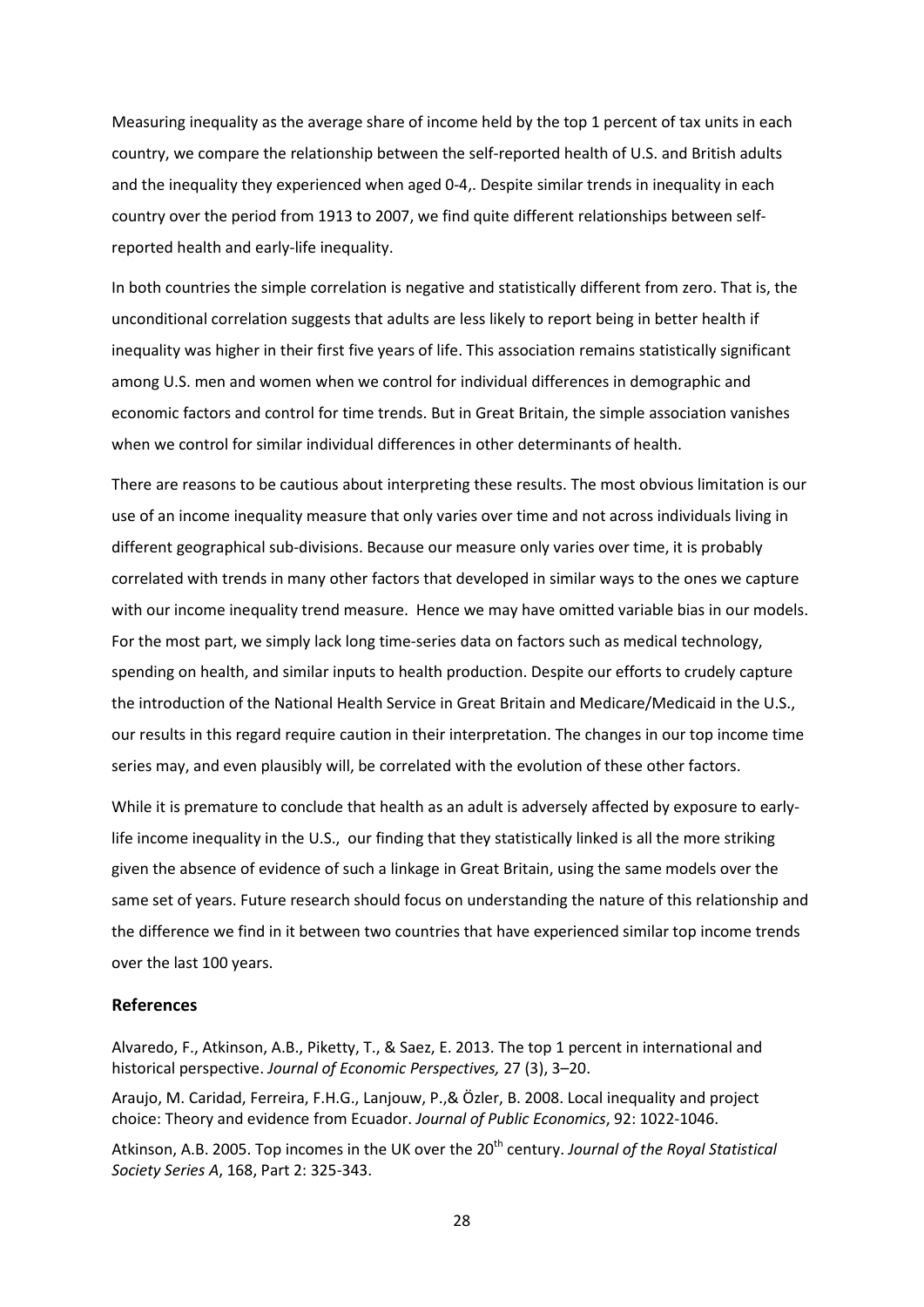Measuring inequality as the average share of income held by the top 1 percent of tax units in each country, we compare the relationship between the self-reported health of U.S. and British adults and the inequality they experienced when aged 0-4,. Despite similar trends in inequality in each country over the period from 1913 to 2007, we find quite different relationships between selfreported health and early-life inequality.

In both countries the simple correlation is negative and statistically different from zero. That is, the unconditional correlation suggests that adults are less likely to report being in better health if inequality was higher in their first five years of life. This association remains statistically significant among U.S. men and women when we control for individual differences in demographic and economic factors and control for time trends. But in Great Britain, the simple association vanishes when we control for similar individual differences in other determinants of health.

There are reasons to be cautious about interpreting these results. The most obvious limitation is our use of an income inequality measure that only varies over time and not across individuals living in different geographical sub-divisions. Because our measure only varies over time, it is probably correlated with trends in many other factors that developed in similar ways to the ones we capture with our income inequality trend measure. Hence we may have omitted variable bias in our models. For the most part, we simply lack long time-series data on factors such as medical technology, spending on health, and similar inputs to health production. Despite our efforts to crudely capture the introduction of the National Health Service in Great Britain and Medicare/Medicaid in the U.S., our results in this regard require caution in their interpretation. The changes in our top income time series may, and even plausibly will, be correlated with the evolution of these other factors.

While it is premature to conclude that health as an adult is adversely affected by exposure to earlylife income inequality in the U.S., our finding that they statistically linked is all the more striking given the absence of evidence of such a linkage in Great Britain, using the same models over the same set of years. Future research should focus on understanding the nature of this relationship and the difference we find in it between two countries that have experienced similar top income trends over the last 100 years.

# **References**

Alvaredo, F., Atkinson, A.B., Piketty, T., & Saez, E. 2013. The top 1 percent in international and historical perspective. *Journal of Economic Perspectives,* 27 (3), 3–20.

Araujo, M. Caridad, Ferreira, F.H.G., Lanjouw, P.,& Özler, B. 2008. Local inequality and project choice: Theory and evidence from Ecuador. *Journal of Public Economics*, 92: 1022-1046.

Atkinson, A.B. 2005. Top incomes in the UK over the 20<sup>th</sup> century. *Journal of the Royal Statistical Society Series A*, 168, Part 2: 325-343.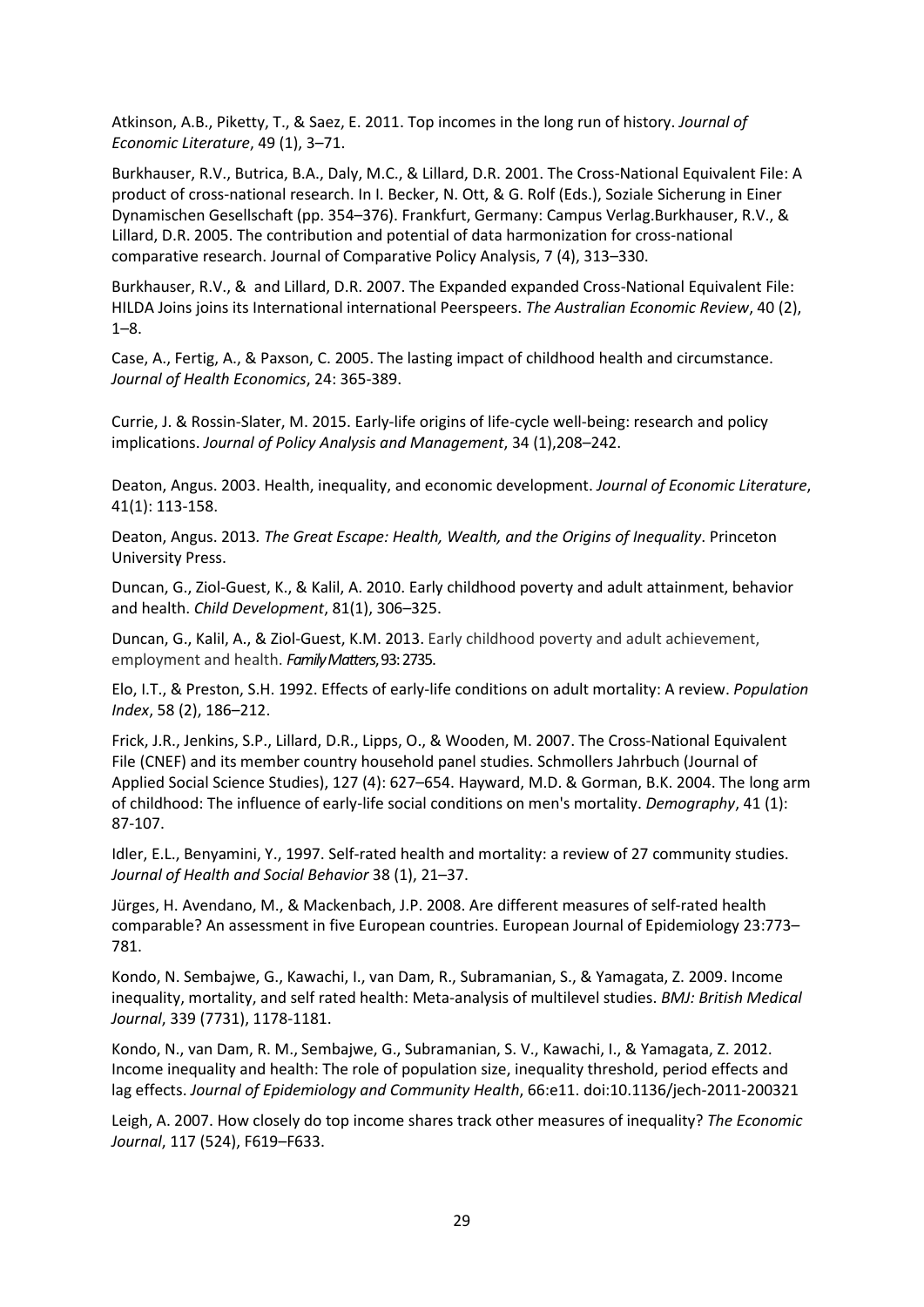Atkinson, A.B., Piketty, T., & Saez, E. 2011. Top incomes in the long run of history. *Journal of Economic Literature*, 49 (1), 3–71.

Burkhauser, R.V., Butrica, B.A., Daly, M.C., & Lillard, D.R. 2001. The Cross-National Equivalent File: A product of cross-national research. In I. Becker, N. Ott, & G. Rolf (Eds.), Soziale Sicherung in Einer Dynamischen Gesellschaft (pp. 354–376). Frankfurt, Germany: Campus Verlag.Burkhauser, R.V., & Lillard, D.R. 2005. The contribution and potential of data harmonization for cross-national comparative research. Journal of Comparative Policy Analysis, 7 (4), 313–330.

Burkhauser, R.V., & and Lillard, D.R. 2007. The Expanded expanded Cross-National Equivalent File: HILDA Joins joins its International international Peerspeers. *The Australian Economic Review*, 40 (2), 1–8.

Case, A., Fertig, A., & Paxson, C. 2005. The lasting impact of childhood health and circumstance. *Journal of Health Economics*, 24: 365-389.

Currie, J. & Rossin-Slater, M. 2015. Early-life origins of life-cycle well-being: research and policy implications. *Journal of Policy Analysis and Management*, 34 (1),208–242.

Deaton, Angus. 2003. Health, inequality, and economic development. *Journal of Economic Literature*, 41(1): 113-158.

Deaton, Angus. 2013*. The Great Escape: Health, Wealth, and the Origins of Inequality*. Princeton University Press.

Duncan, G., Ziol-Guest, K., & Kalil, A. 2010. Early childhood poverty and adult attainment, behavior and health. *Child Development*, 81(1), 306–325.

Duncan, G., Kalil, A., & Ziol-Guest, K.M. 2013. Early childhood poverty and adult achievement, employment and health. *Family Matters*, 93: 2735.

Elo, I.T., & Preston, S.H. 1992. Effects of early-life conditions on adult mortality: A review. *Population Index*, 58 (2), 186–212.

Frick, J.R., Jenkins, S.P., Lillard, D.R., Lipps, O., & Wooden, M. 2007. The Cross-National Equivalent File (CNEF) and its member country household panel studies. Schmollers Jahrbuch (Journal of Applied Social Science Studies), 127 (4): 627–654. Hayward, M.D. & Gorman, B.K. 2004. The long arm of childhood: The influence of early-life social conditions on men's mortality. *Demography*, 41 (1): 87-107.

Idler, E.L., Benyamini, Y., 1997. Self-rated health and mortality: a review of 27 community studies. *Journal of Health and Social Behavior* 38 (1), 21–37.

Jürges, H. Avendano, M., & Mackenbach, J.P. 2008. Are different measures of self-rated health comparable? An assessment in five European countries. European Journal of Epidemiology 23:773– 781.

Kondo, N. Sembajwe, G., Kawachi, I., van Dam, R., Subramanian, S., & Yamagata, Z. 2009. Income inequality, mortality, and self rated health: Meta-analysis of multilevel studies. *BMJ: British Medical Journal*, 339 (7731), 1178-1181.

Kondo, N., van Dam, R. M., Sembajwe, G., Subramanian, S. V., Kawachi, I., & Yamagata, Z. 2012. Income inequality and health: The role of population size, inequality threshold, period effects and lag effects. *Journal of Epidemiology and Community Health*, 66:e11. doi:10.1136/jech-2011-200321

Leigh, A. 2007. How closely do top income shares track other measures of inequality? *The Economic Journal*, 117 (524), F619–F633.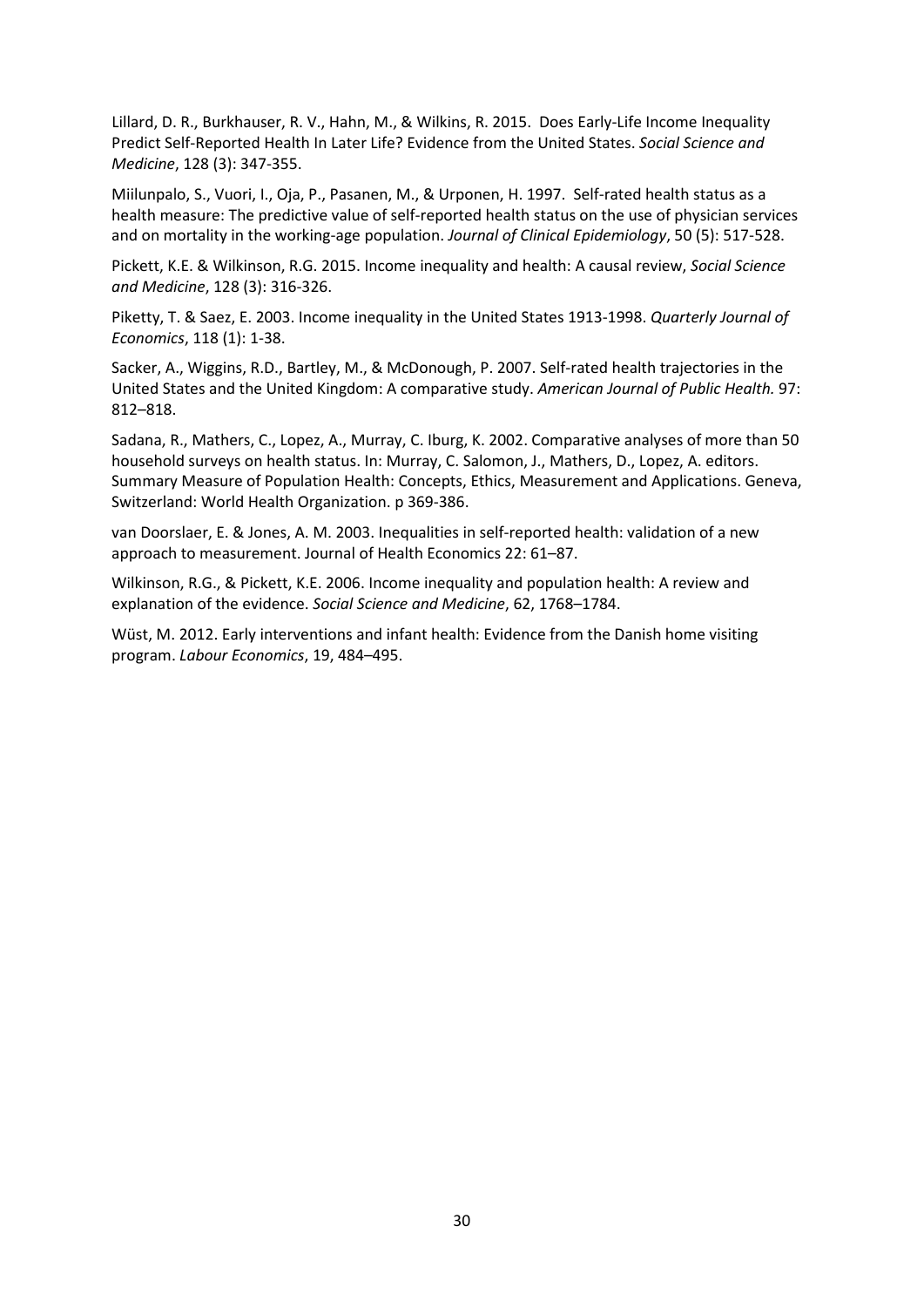Lillard, D. R., Burkhauser, R. V., Hahn, M., & Wilkins, R. 2015. Does Early-Life Income Inequality Predict Self-Reported Health In Later Life? Evidence from the United States. *Social Science and Medicine*, 128 (3): 347-355.

Miilunpalo, S., Vuori, I., Oja, P., Pasanen, M., & Urponen, H. 1997. Self-rated health status as a health measure: The predictive value of self-reported health status on the use of physician services and on mortality in the working-age population. *Journal of Clinical Epidemiology*, 50 (5): 517-528.

Pickett, K.E. & Wilkinson, R.G. 2015. Income inequality and health: A causal review, *Social Science and Medicine*, 128 (3): 316-326.

Piketty, T. & Saez, E. 2003. Income inequality in the United States 1913-1998. *Quarterly Journal of Economics*, 118 (1): 1-38.

Sacker, A., Wiggins, R.D., Bartley, M., & McDonough, P. 2007. Self-rated health trajectories in the United States and the United Kingdom: A comparative study. *American Journal of Public Health.* 97: 812–818.

Sadana, R., Mathers, C., Lopez, A., Murray, C. Iburg, K. 2002. Comparative analyses of more than 50 household surveys on health status. In: Murray, C. Salomon, J., Mathers, D., Lopez, A. editors. Summary Measure of Population Health: Concepts, Ethics, Measurement and Applications. Geneva, Switzerland: World Health Organization. p 369-386.

van Doorslaer, E. & Jones, A. M. 2003. Inequalities in self-reported health: validation of a new approach to measurement. Journal of Health Economics 22: 61–87.

Wilkinson, R.G., & Pickett, K.E. 2006. Income inequality and population health: A review and explanation of the evidence. *Social Science and Medicine*, 62, 1768–1784.

Wüst, M. 2012. Early interventions and infant health: Evidence from the Danish home visiting program. *Labour Economics*, 19, 484–495.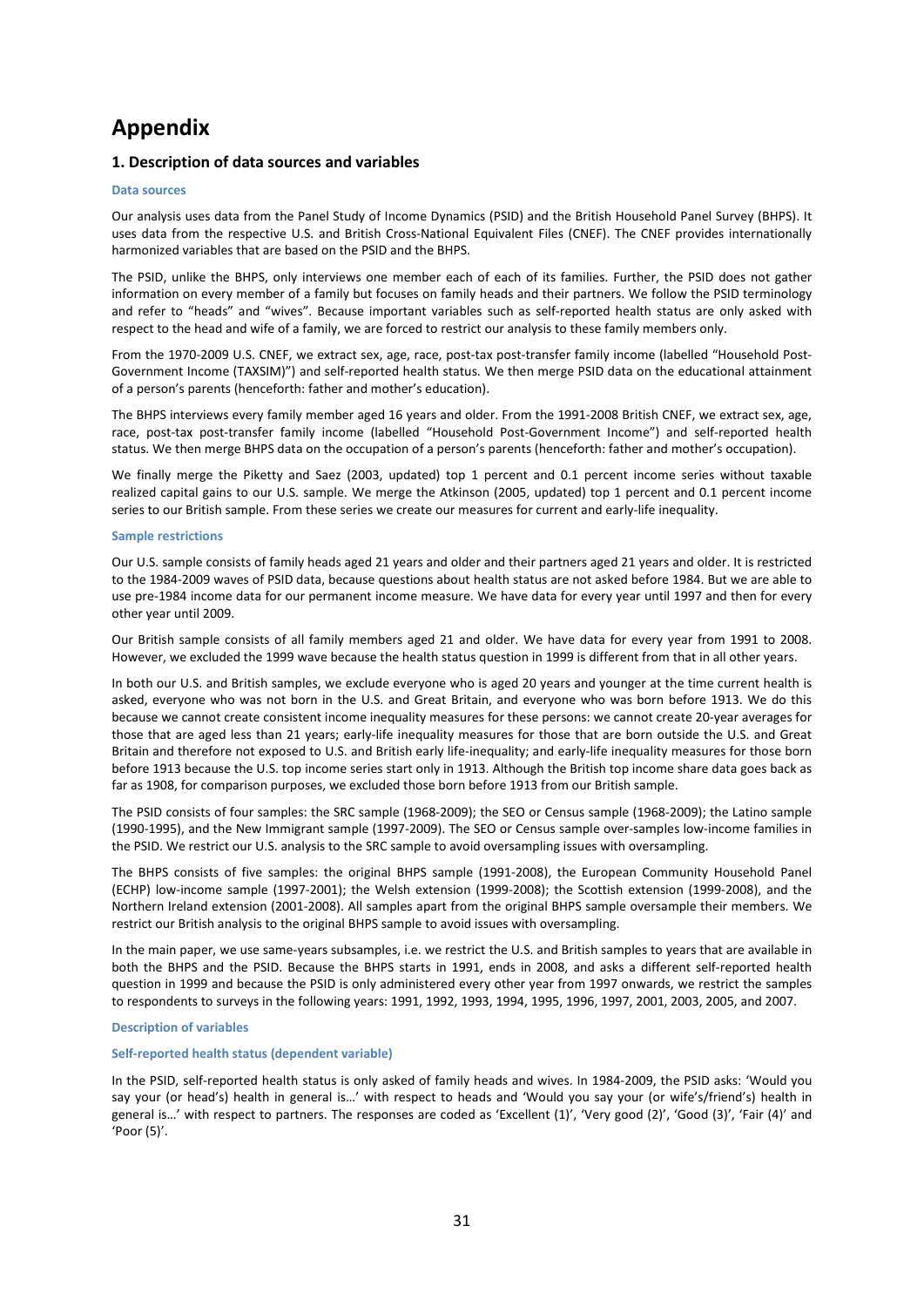# **Appendix**

# **1. Description of data sources and variables**

## **Data sources**

Our analysis uses data from the Panel Study of Income Dynamics (PSID) and the British Household Panel Survey (BHPS). It uses data from the respective U.S. and British Cross-National Equivalent Files (CNEF). The CNEF provides internationally harmonized variables that are based on the PSID and the BHPS.

The PSID, unlike the BHPS, only interviews one member each of each of its families. Further, the PSID does not gather information on every member of a family but focuses on family heads and their partners. We follow the PSID terminology and refer to "heads" and "wives". Because important variables such as self-reported health status are only asked with respect to the head and wife of a family, we are forced to restrict our analysis to these family members only.

From the 1970-2009 U.S. CNEF, we extract sex, age, race, post-tax post-transfer family income (labelled "Household Post-Government Income (TAXSIM)") and self-reported health status. We then merge PSID data on the educational attainment of a person's parents (henceforth: father and mother's education).

The BHPS interviews every family member aged 16 years and older. From the 1991-2008 British CNEF, we extract sex, age, race, post-tax post-transfer family income (labelled "Household Post-Government Income") and self-reported health status. We then merge BHPS data on the occupation of a person's parents (henceforth: father and mother's occupation).

We finally merge the Piketty and Saez (2003, updated) top 1 percent and 0.1 percent income series without taxable realized capital gains to our U.S. sample. We merge the Atkinson (2005, updated) top 1 percent and 0.1 percent income series to our British sample. From these series we create our measures for current and early-life inequality.

## **Sample restrictions**

Our U.S. sample consists of family heads aged 21 years and older and their partners aged 21 years and older. It is restricted to the 1984-2009 waves of PSID data, because questions about health status are not asked before 1984. But we are able to use pre-1984 income data for our permanent income measure. We have data for every year until 1997 and then for every other year until 2009.

Our British sample consists of all family members aged 21 and older. We have data for every year from 1991 to 2008. However, we excluded the 1999 wave because the health status question in 1999 is different from that in all other years.

In both our U.S. and British samples, we exclude everyone who is aged 20 years and younger at the time current health is asked, everyone who was not born in the U.S. and Great Britain, and everyone who was born before 1913. We do this because we cannot create consistent income inequality measures for these persons: we cannot create 20-year averages for those that are aged less than 21 years; early-life inequality measures for those that are born outside the U.S. and Great Britain and therefore not exposed to U.S. and British early life-inequality; and early-life inequality measures for those born before 1913 because the U.S. top income series start only in 1913. Although the British top income share data goes back as far as 1908, for comparison purposes, we excluded those born before 1913 from our British sample.

The PSID consists of four samples: the SRC sample (1968-2009); the SEO or Census sample (1968-2009); the Latino sample (1990-1995), and the New Immigrant sample (1997-2009). The SEO or Census sample over-samples low-income families in the PSID. We restrict our U.S. analysis to the SRC sample to avoid oversampling issues with oversampling.

The BHPS consists of five samples: the original BHPS sample (1991-2008), the European Community Household Panel (ECHP) low-income sample (1997-2001); the Welsh extension (1999-2008); the Scottish extension (1999-2008), and the Northern Ireland extension (2001-2008). All samples apart from the original BHPS sample oversample their members. We restrict our British analysis to the original BHPS sample to avoid issues with oversampling.

In the main paper, we use same-years subsamples, i.e. we restrict the U.S. and British samples to years that are available in both the BHPS and the PSID. Because the BHPS starts in 1991, ends in 2008, and asks a different self-reported health question in 1999 and because the PSID is only administered every other year from 1997 onwards, we restrict the samples to respondents to surveys in the following years: 1991, 1992, 1993, 1994, 1995, 1996, 1997, 2001, 2003, 2005, and 2007.

# **Description of variables**

## **Self-reported health status (dependent variable)**

In the PSID, self-reported health status is only asked of family heads and wives. In 1984-2009, the PSID asks: 'Would you say your (or head's) health in general is…' with respect to heads and 'Would you say your (or wife's/friend's) health in general is…' with respect to partners. The responses are coded as 'Excellent (1)', 'Very good (2)', 'Good (3)', 'Fair (4)' and 'Poor (5)'.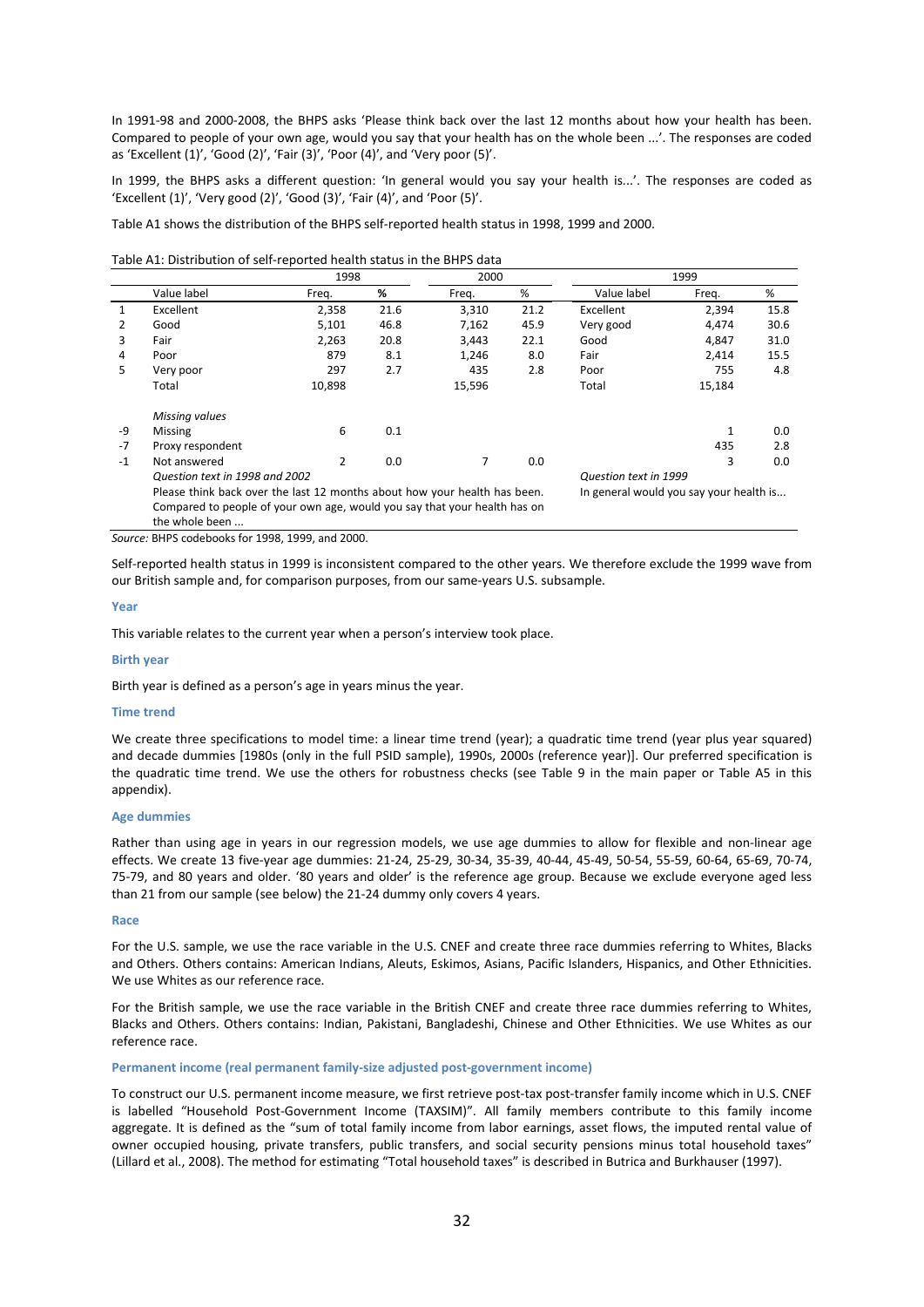In 1991-98 and 2000-2008, the BHPS asks 'Please think back over the last 12 months about how your health has been. Compared to people of your own age, would you say that your health has on the whole been ...'. The responses are coded as 'Excellent (1)', 'Good (2)', 'Fair (3)', 'Poor (4)', and 'Very poor (5)'.

In 1999, the BHPS asks a different question: 'In general would you say your health is...'. The responses are coded as 'Excellent (1)', 'Very good (2)', 'Good (3)', 'Fair (4)', and 'Poor (5)'.

[Table A1](#page-31-0) shows the distribution of the BHPS self-reported health status in 1998, 1999 and 2000.

<span id="page-31-0"></span>

|              | 1998                                                                      |               |      | 2000   |      |                                         | 1999         |      |
|--------------|---------------------------------------------------------------------------|---------------|------|--------|------|-----------------------------------------|--------------|------|
|              | Value label                                                               | Freg.         | %    | Freq.  | %    | Value label                             | Freq.        | %    |
| $\mathbf{1}$ | Excellent                                                                 | 2,358         | 21.6 | 3,310  | 21.2 | Excellent                               | 2,394        | 15.8 |
|              | Good                                                                      | 5,101         | 46.8 | 7,162  | 45.9 | Very good                               | 4,474        | 30.6 |
| 3            | Fair                                                                      | 2,263         | 20.8 | 3,443  | 22.1 | Good                                    | 4,847        | 31.0 |
| 4            | Poor                                                                      | 879           | 8.1  | 1,246  | 8.0  | Fair                                    | 2,414        | 15.5 |
| 5.           | Very poor                                                                 | 297           | 2.7  | 435    | 2.8  | Poor                                    | 755          | 4.8  |
|              | Total                                                                     | 10,898        |      | 15,596 |      | Total                                   | 15,184       |      |
|              | Missing values                                                            |               |      |        |      |                                         |              |      |
| -9           | <b>Missing</b>                                                            | 6             | 0.1  |        |      |                                         | $\mathbf{1}$ | 0.0  |
| $-7$         | Proxy respondent                                                          |               |      |        |      |                                         | 435          | 2.8  |
| $-1$         | Not answered                                                              | $\mathcal{P}$ | 0.0  | 7      | 0.0  |                                         | 3            | 0.0  |
|              | Question text in 1998 and 2002                                            |               |      |        |      | Question text in 1999                   |              |      |
|              | Please think back over the last 12 months about how your health has been. |               |      |        |      | In general would you say your health is |              |      |
|              | Compared to people of your own age, would you say that your health has on |               |      |        |      |                                         |              |      |
|              | the whole been                                                            |               |      |        |      |                                         |              |      |

*Source:* BHPS codebooks for 1998, 1999, and 2000.

Self-reported health status in 1999 is inconsistent compared to the other years. We therefore exclude the 1999 wave from our British sample and, for comparison purposes, from our same-years U.S. subsample.

## **Year**

This variable relates to the current year when a person's interview took place.

#### **Birth year**

Birth year is defined as a person's age in years minus the year.

#### **Time trend**

We create three specifications to model time: a linear time trend (year); a quadratic time trend (year plus year squared) and decade dummies [1980s (only in the full PSID sample), 1990s, 2000s (reference year)]. Our preferred specification is the quadratic time trend. We use the others for robustness checks (see Table 9 in the main paper or [Table A5](#page-45-0) in this appendix).

## **Age dummies**

Rather than using age in years in our regression models, we use age dummies to allow for flexible and non-linear age effects. We create 13 five-year age dummies: 21-24, 25-29, 30-34, 35-39, 40-44, 45-49, 50-54, 55-59, 60-64, 65-69, 70-74, 75-79, and 80 years and older. '80 years and older' is the reference age group. Because we exclude everyone aged less than 21 from our sample (see below) the 21-24 dummy only covers 4 years.

#### **Race**

For the U.S. sample, we use the race variable in the U.S. CNEF and create three race dummies referring to Whites, Blacks and Others. Others contains: American Indians, Aleuts, Eskimos, Asians, Pacific Islanders, Hispanics, and Other Ethnicities. We use Whites as our reference race.

For the British sample, we use the race variable in the British CNEF and create three race dummies referring to Whites, Blacks and Others. Others contains: Indian, Pakistani, Bangladeshi, Chinese and Other Ethnicities. We use Whites as our reference race.

## **Permanent income (real permanent family-size adjusted post-government income)**

To construct our U.S. permanent income measure, we first retrieve post-tax post-transfer family income which in U.S. CNEF is labelled "Household Post-Government Income (TAXSIM)". All family members contribute to this family income aggregate. It is defined as the "sum of total family income from labor earnings, asset flows, the imputed rental value of owner occupied housing, private transfers, public transfers, and social security pensions minus total household taxes" (Lillard et al., 2008). The method for estimating "Total household taxes" is described in Butrica and Burkhauser (1997).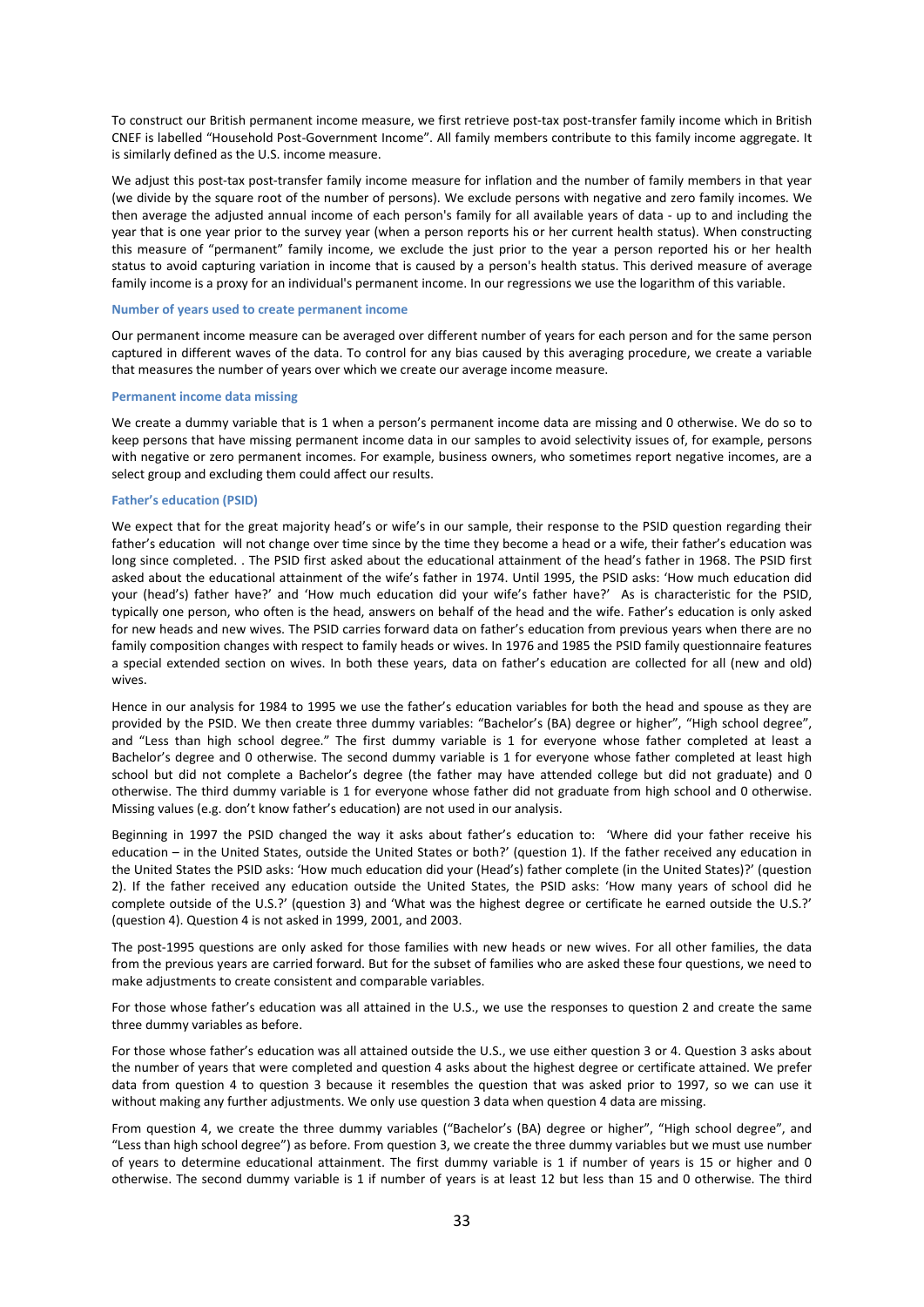To construct our British permanent income measure, we first retrieve post-tax post-transfer family income which in British CNEF is labelled "Household Post-Government Income". All family members contribute to this family income aggregate. It is similarly defined as the U.S. income measure.

We adjust this post-tax post-transfer family income measure for inflation and the number of family members in that year (we divide by the square root of the number of persons). We exclude persons with negative and zero family incomes. We then average the adjusted annual income of each person's family for all available years of data - up to and including the year that is one year prior to the survey year (when a person reports his or her current health status). When constructing this measure of "permanent" family income, we exclude the just prior to the year a person reported his or her health status to avoid capturing variation in income that is caused by a person's health status. This derived measure of average family income is a proxy for an individual's permanent income. In our regressions we use the logarithm of this variable.

#### **Number of years used to create permanent income**

Our permanent income measure can be averaged over different number of years for each person and for the same person captured in different waves of the data. To control for any bias caused by this averaging procedure, we create a variable that measures the number of years over which we create our average income measure.

# **Permanent income data missing**

We create a dummy variable that is 1 when a person's permanent income data are missing and 0 otherwise. We do so to keep persons that have missing permanent income data in our samples to avoid selectivity issues of, for example, persons with negative or zero permanent incomes. For example, business owners, who sometimes report negative incomes, are a select group and excluding them could affect our results.

## **Father's education (PSID)**

We expect that for the great majority head's or wife's in our sample, their response to the PSID question regarding their father's education will not change over time since by the time they become a head or a wife, their father's education was long since completed. . The PSID first asked about the educational attainment of the head's father in 1968. The PSID first asked about the educational attainment of the wife's father in 1974. Until 1995, the PSID asks: 'How much education did your (head's) father have?' and 'How much education did your wife's father have?' As is characteristic for the PSID, typically one person, who often is the head, answers on behalf of the head and the wife. Father's education is only asked for new heads and new wives. The PSID carries forward data on father's education from previous years when there are no family composition changes with respect to family heads or wives. In 1976 and 1985 the PSID family questionnaire features a special extended section on wives. In both these years, data on father's education are collected for all (new and old) wives.

Hence in our analysis for 1984 to 1995 we use the father's education variables for both the head and spouse as they are provided by the PSID. We then create three dummy variables: "Bachelor's (BA) degree or higher", "High school degree", and "Less than high school degree." The first dummy variable is 1 for everyone whose father completed at least a Bachelor's degree and 0 otherwise. The second dummy variable is 1 for everyone whose father completed at least high school but did not complete a Bachelor's degree (the father may have attended college but did not graduate) and 0 otherwise. The third dummy variable is 1 for everyone whose father did not graduate from high school and 0 otherwise. Missing values (e.g. don't know father's education) are not used in our analysis.

Beginning in 1997 the PSID changed the way it asks about father's education to: 'Where did your father receive his education – in the United States, outside the United States or both?' (question 1). If the father received any education in the United States the PSID asks: 'How much education did your (Head's) father complete (in the United States)?' (question 2). If the father received any education outside the United States, the PSID asks: 'How many years of school did he complete outside of the U.S.?' (question 3) and 'What was the highest degree or certificate he earned outside the U.S.?' (question 4). Question 4 is not asked in 1999, 2001, and 2003.

The post-1995 questions are only asked for those families with new heads or new wives. For all other families, the data from the previous years are carried forward. But for the subset of families who are asked these four questions, we need to make adjustments to create consistent and comparable variables.

For those whose father's education was all attained in the U.S., we use the responses to question 2 and create the same three dummy variables as before.

For those whose father's education was all attained outside the U.S., we use either question 3 or 4. Question 3 asks about the number of years that were completed and question 4 asks about the highest degree or certificate attained. We prefer data from question 4 to question 3 because it resembles the question that was asked prior to 1997, so we can use it without making any further adjustments. We only use question 3 data when question 4 data are missing.

From question 4, we create the three dummy variables ("Bachelor's (BA) degree or higher", "High school degree", and "Less than high school degree") as before. From question 3, we create the three dummy variables but we must use number of years to determine educational attainment. The first dummy variable is 1 if number of years is 15 or higher and 0 otherwise. The second dummy variable is 1 if number of years is at least 12 but less than 15 and 0 otherwise. The third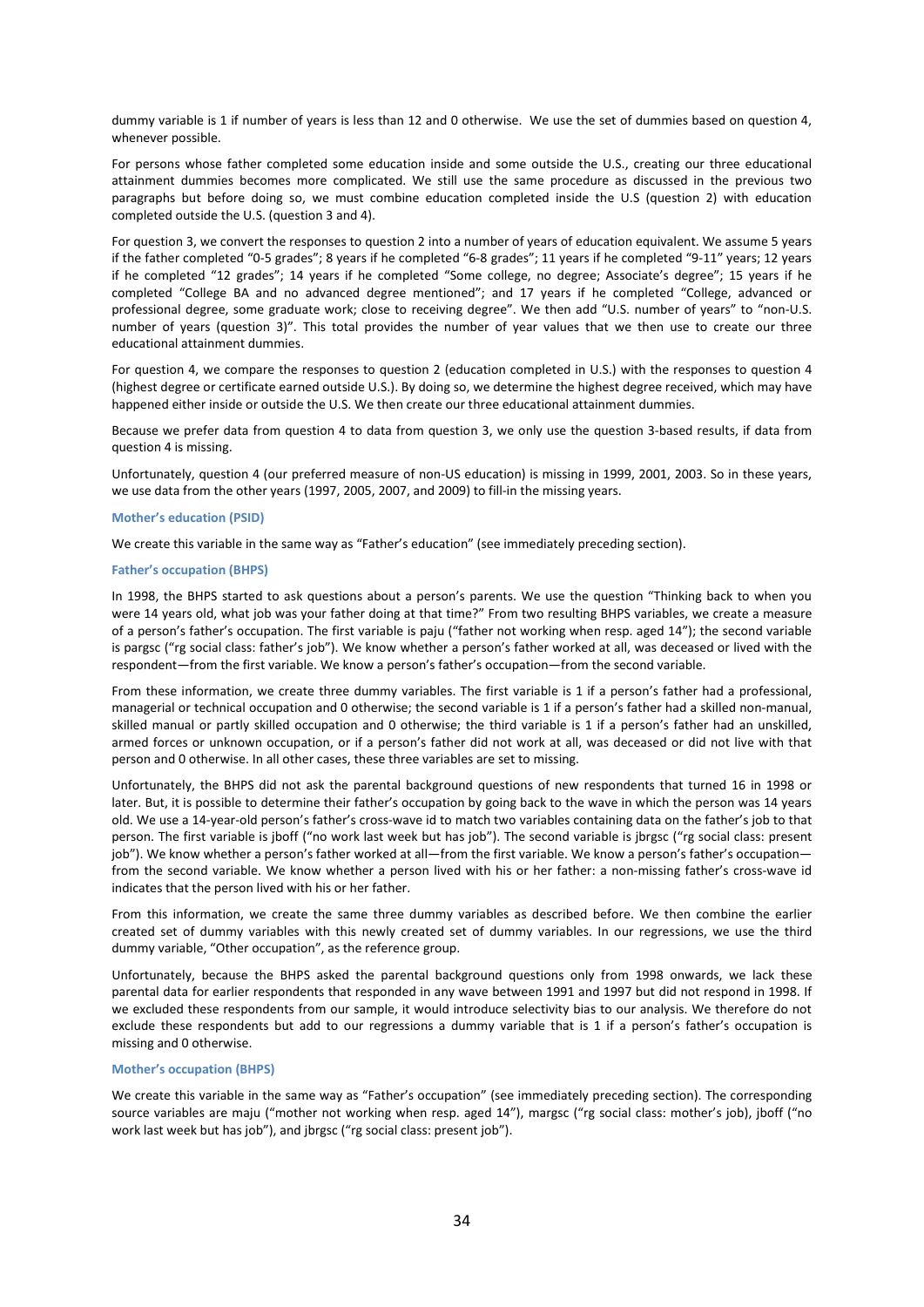dummy variable is 1 if number of years is less than 12 and 0 otherwise. We use the set of dummies based on question 4, whenever possible.

For persons whose father completed some education inside and some outside the U.S., creating our three educational attainment dummies becomes more complicated. We still use the same procedure as discussed in the previous two paragraphs but before doing so, we must combine education completed inside the U.S (question 2) with education completed outside the U.S. (question 3 and 4).

For question 3, we convert the responses to question 2 into a number of years of education equivalent. We assume 5 years if the father completed "0-5 grades"; 8 years if he completed "6-8 grades"; 11 years if he completed "9-11" years; 12 years if he completed "12 grades"; 14 years if he completed "Some college, no degree; Associate's degree"; 15 years if he completed "College BA and no advanced degree mentioned"; and 17 years if he completed "College, advanced or professional degree, some graduate work; close to receiving degree". We then add "U.S. number of years" to "non-U.S. number of years (question 3)". This total provides the number of year values that we then use to create our three educational attainment dummies.

For question 4, we compare the responses to question 2 (education completed in U.S.) with the responses to question 4 (highest degree or certificate earned outside U.S.). By doing so, we determine the highest degree received, which may have happened either inside or outside the U.S. We then create our three educational attainment dummies.

Because we prefer data from question 4 to data from question 3, we only use the question 3-based results, if data from question 4 is missing.

Unfortunately, question 4 (our preferred measure of non-US education) is missing in 1999, 2001, 2003. So in these years, we use data from the other years (1997, 2005, 2007, and 2009) to fill-in the missing years.

## **Mother's education (PSID)**

We create this variable in the same way as "Father's education" (see immediately preceding section).

# **Father's occupation (BHPS)**

In 1998, the BHPS started to ask questions about a person's parents. We use the question "Thinking back to when you were 14 years old, what job was your father doing at that time?" From two resulting BHPS variables, we create a measure of a person's father's occupation. The first variable is paju ("father not working when resp. aged 14"); the second variable is pargsc ("rg social class: father's job"). We know whether a person's father worked at all, was deceased or lived with the respondent—from the first variable. We know a person's father's occupation—from the second variable.

From these information, we create three dummy variables. The first variable is 1 if a person's father had a professional, managerial or technical occupation and 0 otherwise; the second variable is 1 if a person's father had a skilled non-manual, skilled manual or partly skilled occupation and 0 otherwise; the third variable is 1 if a person's father had an unskilled, armed forces or unknown occupation, or if a person's father did not work at all, was deceased or did not live with that person and 0 otherwise. In all other cases, these three variables are set to missing.

Unfortunately, the BHPS did not ask the parental background questions of new respondents that turned 16 in 1998 or later. But, it is possible to determine their father's occupation by going back to the wave in which the person was 14 years old. We use a 14-year-old person's father's cross-wave id to match two variables containing data on the father's job to that person. The first variable is jboff ("no work last week but has job"). The second variable is jbrgsc ("rg social class: present job"). We know whether a person's father worked at all—from the first variable. We know a person's father's occupation from the second variable. We know whether a person lived with his or her father: a non-missing father's cross-wave id indicates that the person lived with his or her father.

From this information, we create the same three dummy variables as described before. We then combine the earlier created set of dummy variables with this newly created set of dummy variables. In our regressions, we use the third dummy variable, "Other occupation", as the reference group.

Unfortunately, because the BHPS asked the parental background questions only from 1998 onwards, we lack these parental data for earlier respondents that responded in any wave between 1991 and 1997 but did not respond in 1998. If we excluded these respondents from our sample, it would introduce selectivity bias to our analysis. We therefore do not exclude these respondents but add to our regressions a dummy variable that is 1 if a person's father's occupation is missing and 0 otherwise.

## **Mother's occupation (BHPS)**

We create this variable in the same way as "Father's occupation" (see immediately preceding section). The corresponding source variables are maju ("mother not working when resp. aged 14"), margsc ("rg social class: mother's job), jboff ("no work last week but has job"), and jbrgsc ("rg social class: present job").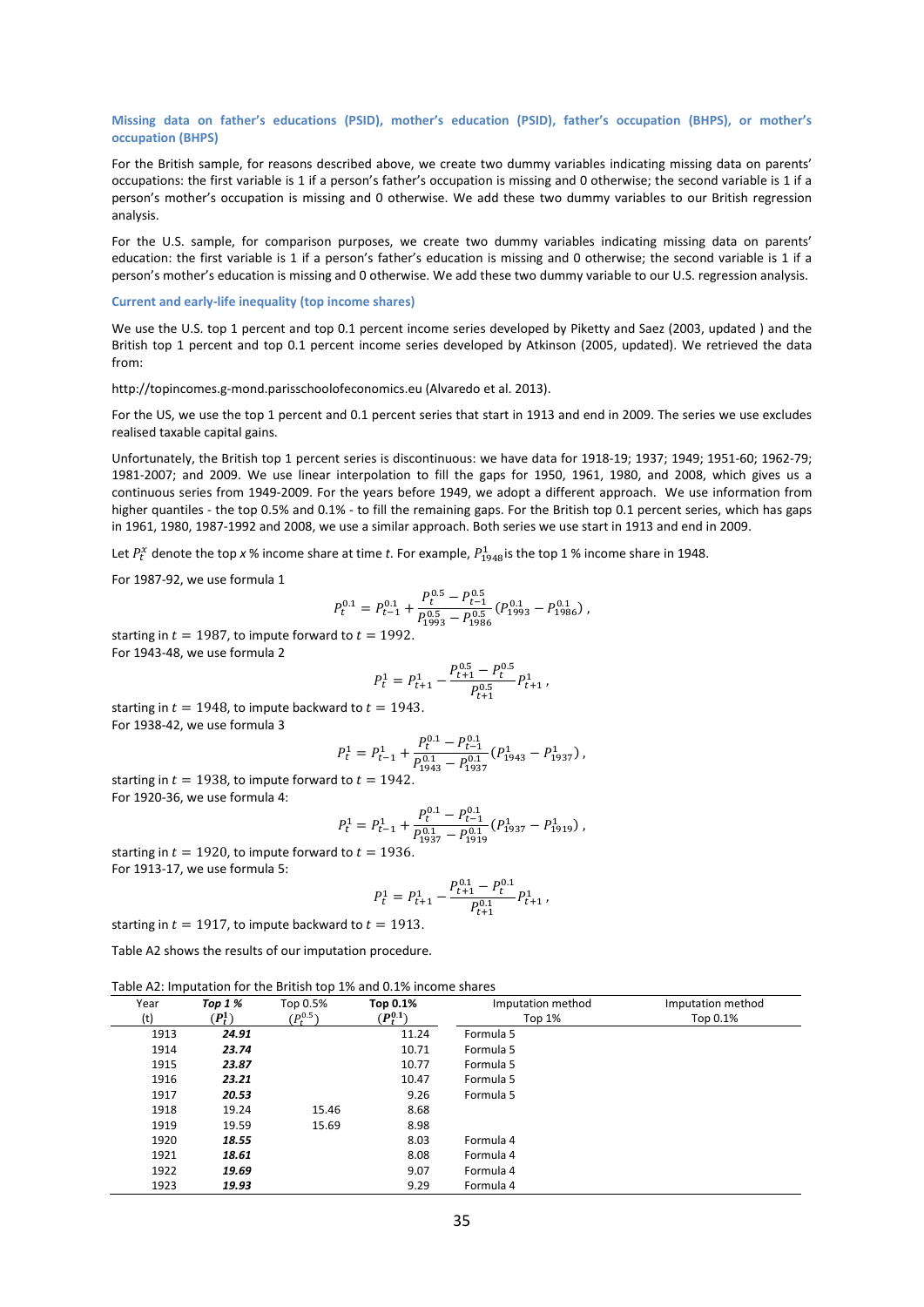## **Missing data on father's educations (PSID), mother's education (PSID), father's occupation (BHPS), or mother's occupation (BHPS)**

For the British sample, for reasons described above, we create two dummy variables indicating missing data on parents' occupations: the first variable is 1 if a person's father's occupation is missing and 0 otherwise; the second variable is 1 if a person's mother's occupation is missing and 0 otherwise. We add these two dummy variables to our British regression analysis.

For the U.S. sample, for comparison purposes, we create two dummy variables indicating missing data on parents' education: the first variable is 1 if a person's father's education is missing and 0 otherwise; the second variable is 1 if a person's mother's education is missing and 0 otherwise. We add these two dummy variable to our U.S. regression analysis.

#### **Current and early-life inequality (top income shares)**

We use the U.S. top 1 percent and top 0.1 percent income series developed by Piketty and Saez (2003, updated) and the British top 1 percent and top 0.1 percent income series developed by Atkinson (2005, updated). We retrieved the data from:

http://topincomes.g-mond.parisschoolofeconomics.eu (Alvaredo et al. 2013).

For the US, we use the top 1 percent and 0.1 percent series that start in 1913 and end in 2009. The series we use excludes realised taxable capital gains.

Unfortunately, the British top 1 percent series is discontinuous: we have data for 1918-19; 1937; 1949; 1951-60; 1962-79; 1981-2007; and 2009. We use linear interpolation to fill the gaps for 1950, 1961, 1980, and 2008, which gives us a continuous series from 1949-2009. For the years before 1949, we adopt a different approach. We use information from higher quantiles - the top 0.5% and 0.1% - to fill the remaining gaps. For the British top 0.1 percent series, which has gaps in 1961, 1980, 1987-1992 and 2008, we use a similar approach. Both series we use start in 1913 and end in 2009.

Let  $P_t^x$  denote the top x % income share at time *t*. For example,  $P_{1948}^1$  is the top 1 % income share in 1948.

For 1987-92, we use formula 1

$$
P_t^{0.1} = P_{t-1}^{0.1} + \frac{P_t^{0.5} - P_{t-1}^{0.5}}{P_{1993}^{0.5} - P_{1986}^{0.5}} (P_{1993}^{0.1} - P_{1986}^{0.1}),
$$

starting in  $t = 1987$ , to impute forward to  $t = 1992$ . For 1943-48, we use formula 2

$$
P_t^1 = P_{t+1}^1 - \frac{P_{t+1}^{0.5} - P_t^{0.5}}{P_{t+1}^{0.5}} P_{t+1}^1,
$$

starting in  $t = 1948$ , to impute backward to  $t = 1943$ . For 1938-42, we use formula 3

$$
P_t^1 = P_{t-1}^1 + \frac{P_t^{0.1} - P_{t-1}^{0.1}}{P_{1943}^{0.1} - P_{1937}^{0.1}} (P_{1943}^1 - P_{1937}^1),
$$

starting in  $t = 1938$ , to impute forward to  $t = 1942$ . For 1920-36, we use formula 4:

$$
P_t^1 = P_{t-1}^1 + \frac{P_t^{0.1} - P_{t-1}^{0.1}}{P_{1937}^{0.1} - P_{1919}^{0.1}} (P_{1937}^1 - P_{1919}^1),
$$

starting in  $t = 1920$ , to impute forward to  $t = 1936$ . For 1913-17, we use formula 5:

$$
P_t^1 = P_{t+1}^1 - \frac{P_{t+1}^{0.1} - P_t^{0.1}}{P_{t+1}^{0.1}} P_{t+1}^1,
$$

starting in  $t = 1917$ , to impute backward to  $t = 1913$ .

[Table A2](#page-34-0) shows the results of our imputation procedure.

<span id="page-34-0"></span>

| Year | Top $1%$  | Top 0.5%      | Top 0.1%      | Imputation method | Imputation method |
|------|-----------|---------------|---------------|-------------------|-------------------|
| (t)  | $(P_t^1)$ | $(P_t^{0.5})$ | $(P_t^{0.1})$ | Top 1%            | Top 0.1%          |
| 1913 | 24.91     |               | 11.24         | Formula 5         |                   |
| 1914 | 23.74     |               | 10.71         | Formula 5         |                   |
| 1915 | 23.87     |               | 10.77         | Formula 5         |                   |
| 1916 | 23.21     |               | 10.47         | Formula 5         |                   |
| 1917 | 20.53     |               | 9.26          | Formula 5         |                   |
| 1918 | 19.24     | 15.46         | 8.68          |                   |                   |
| 1919 | 19.59     | 15.69         | 8.98          |                   |                   |
| 1920 | 18.55     |               | 8.03          | Formula 4         |                   |
| 1921 | 18.61     |               | 8.08          | Formula 4         |                   |
| 1922 | 19.69     |               | 9.07          | Formula 4         |                   |
| 1923 | 19.93     |               | 9.29          | Formula 4         |                   |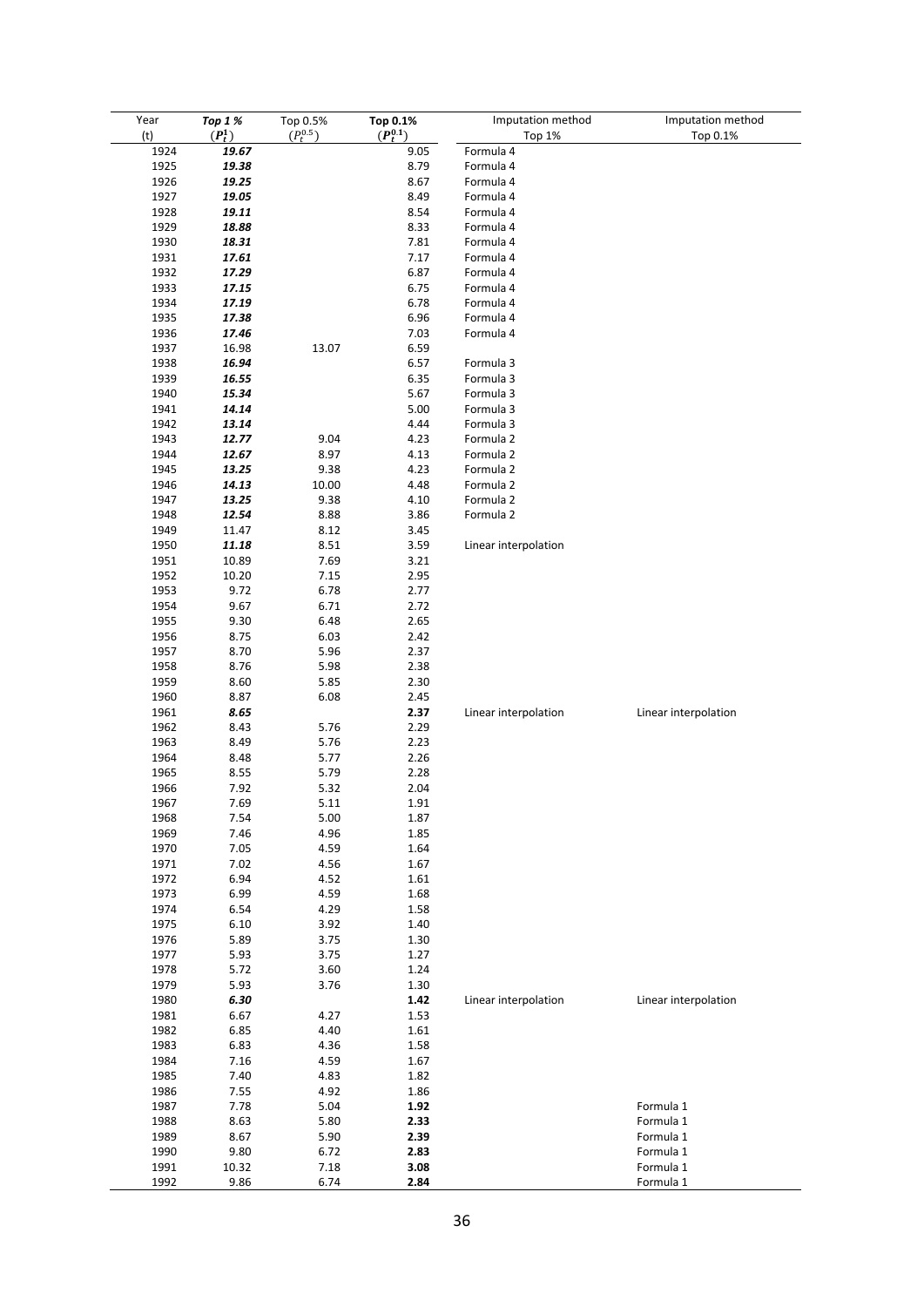| Year<br>(t) | Top 1 %<br>$(P_t^1)$ | Top 0.5%<br>$(P_t^{0.5})$ | Top 0.1%<br>$(P_t^{0.1})$ | Imputation method<br>Top 1% | Imputation method<br>Top 0.1% |
|-------------|----------------------|---------------------------|---------------------------|-----------------------------|-------------------------------|
| 1924        | 19.67                |                           | 9.05                      | Formula 4                   |                               |
|             |                      |                           |                           |                             |                               |
| 1925        | 19.38                |                           | 8.79                      | Formula 4                   |                               |
| 1926        | 19.25                |                           | 8.67                      | Formula 4                   |                               |
| 1927        | 19.05                |                           | 8.49                      | Formula 4                   |                               |
| 1928        | 19.11                |                           | 8.54                      | Formula 4                   |                               |
| 1929        | 18.88                |                           | 8.33                      | Formula 4                   |                               |
| 1930        | 18.31                |                           | 7.81                      | Formula 4                   |                               |
| 1931        | 17.61                |                           | 7.17                      | Formula 4                   |                               |
| 1932        | 17.29                |                           | 6.87                      | Formula 4                   |                               |
| 1933        | 17.15                |                           | 6.75                      | Formula 4                   |                               |
| 1934        | 17.19                |                           | 6.78                      | Formula 4                   |                               |
| 1935        | 17.38                |                           | 6.96                      | Formula 4                   |                               |
| 1936        | 17.46                |                           | 7.03                      | Formula 4                   |                               |
| 1937        | 16.98                | 13.07                     | 6.59                      |                             |                               |
| 1938        | 16.94                |                           | 6.57                      | Formula 3                   |                               |
| 1939        | 16.55                |                           | 6.35                      | Formula 3                   |                               |
|             |                      |                           |                           |                             |                               |
| 1940        | 15.34                |                           | 5.67                      | Formula 3                   |                               |
| 1941        | 14.14                |                           | 5.00                      | Formula 3                   |                               |
| 1942        | 13.14                |                           | 4.44                      | Formula 3                   |                               |
| 1943        | 12.77                | 9.04                      | 4.23                      | Formula 2                   |                               |
| 1944        | 12.67                | 8.97                      | 4.13                      | Formula 2                   |                               |
| 1945        | 13.25                | 9.38                      | 4.23                      | Formula 2                   |                               |
| 1946        | 14.13                | 10.00                     | 4.48                      | Formula 2                   |                               |
| 1947        | 13.25                | 9.38                      | 4.10                      | Formula 2                   |                               |
| 1948        | 12.54                | 8.88                      | 3.86                      | Formula 2                   |                               |
| 1949        | 11.47                | 8.12                      | 3.45                      |                             |                               |
| 1950        | 11.18                | 8.51                      | 3.59                      | Linear interpolation        |                               |
| 1951        | 10.89                | 7.69                      | 3.21                      |                             |                               |
| 1952        | 10.20                | 7.15                      | 2.95                      |                             |                               |
| 1953        | 9.72                 | 6.78                      | 2.77                      |                             |                               |
|             |                      |                           |                           |                             |                               |
| 1954        | 9.67                 | 6.71                      | 2.72                      |                             |                               |
| 1955        | 9.30                 | 6.48                      | 2.65                      |                             |                               |
| 1956        | 8.75                 | 6.03                      | 2.42                      |                             |                               |
| 1957        | 8.70                 | 5.96                      | 2.37                      |                             |                               |
| 1958        | 8.76                 | 5.98                      | 2.38                      |                             |                               |
| 1959        | 8.60                 | 5.85                      | 2.30                      |                             |                               |
| 1960        | 8.87                 | 6.08                      | 2.45                      |                             |                               |
| 1961        | 8.65                 |                           | 2.37                      | Linear interpolation        | Linear interpolation          |
| 1962        | 8.43                 | 5.76                      | 2.29                      |                             |                               |
| 1963        | 8.49                 | 5.76                      | 2.23                      |                             |                               |
| 1964        | 8.48                 | 5.77                      | 2.26                      |                             |                               |
| 1965        | 8.55                 | 5.79                      | 2.28                      |                             |                               |
| 1966        | 7.92                 | 5.32                      | 2.04                      |                             |                               |
| 1967        | 7.69                 | 5.11                      | 1.91                      |                             |                               |
| 1968        | 7.54                 | 5.00                      | 1.87                      |                             |                               |
|             |                      |                           |                           |                             |                               |
| 1969        | 7.46                 | 4.96                      | 1.85                      |                             |                               |
| 1970        | 7.05                 | 4.59                      | 1.64                      |                             |                               |
| 1971        | 7.02                 | 4.56                      | 1.67                      |                             |                               |
| 1972        | 6.94                 | 4.52                      | 1.61                      |                             |                               |
| 1973        | 6.99                 | 4.59                      | 1.68                      |                             |                               |
| 1974        | 6.54                 | 4.29                      | 1.58                      |                             |                               |
| 1975        | 6.10                 | 3.92                      | 1.40                      |                             |                               |
| 1976        | 5.89                 | 3.75                      | 1.30                      |                             |                               |
| 1977        | 5.93                 | 3.75                      | 1.27                      |                             |                               |
| 1978        | 5.72                 | 3.60                      | 1.24                      |                             |                               |
| 1979        | 5.93                 | 3.76                      | 1.30                      |                             |                               |
| 1980        | 6.30                 |                           | 1.42                      | Linear interpolation        | Linear interpolation          |
| 1981        | 6.67                 | 4.27                      | 1.53                      |                             |                               |
| 1982        | 6.85                 | 4.40                      | 1.61                      |                             |                               |
| 1983        | 6.83                 | 4.36                      | 1.58                      |                             |                               |
|             |                      |                           |                           |                             |                               |
| 1984        | 7.16                 | 4.59                      | 1.67                      |                             |                               |
| 1985        | 7.40                 | 4.83                      | 1.82                      |                             |                               |
| 1986        | 7.55                 | 4.92                      | 1.86                      |                             |                               |
| 1987        | 7.78                 | 5.04                      | 1.92                      |                             | Formula 1                     |
| 1988        | 8.63                 | 5.80                      | 2.33                      |                             | Formula 1                     |
| 1989        | 8.67                 | 5.90                      | 2.39                      |                             | Formula 1                     |
| 1990        | 9.80                 | 6.72                      | 2.83                      |                             | Formula 1                     |
| 1991        | 10.32                | 7.18                      | 3.08                      |                             | Formula 1                     |
| 1992        | 9.86                 | 6.74                      | 2.84                      |                             | Formula 1                     |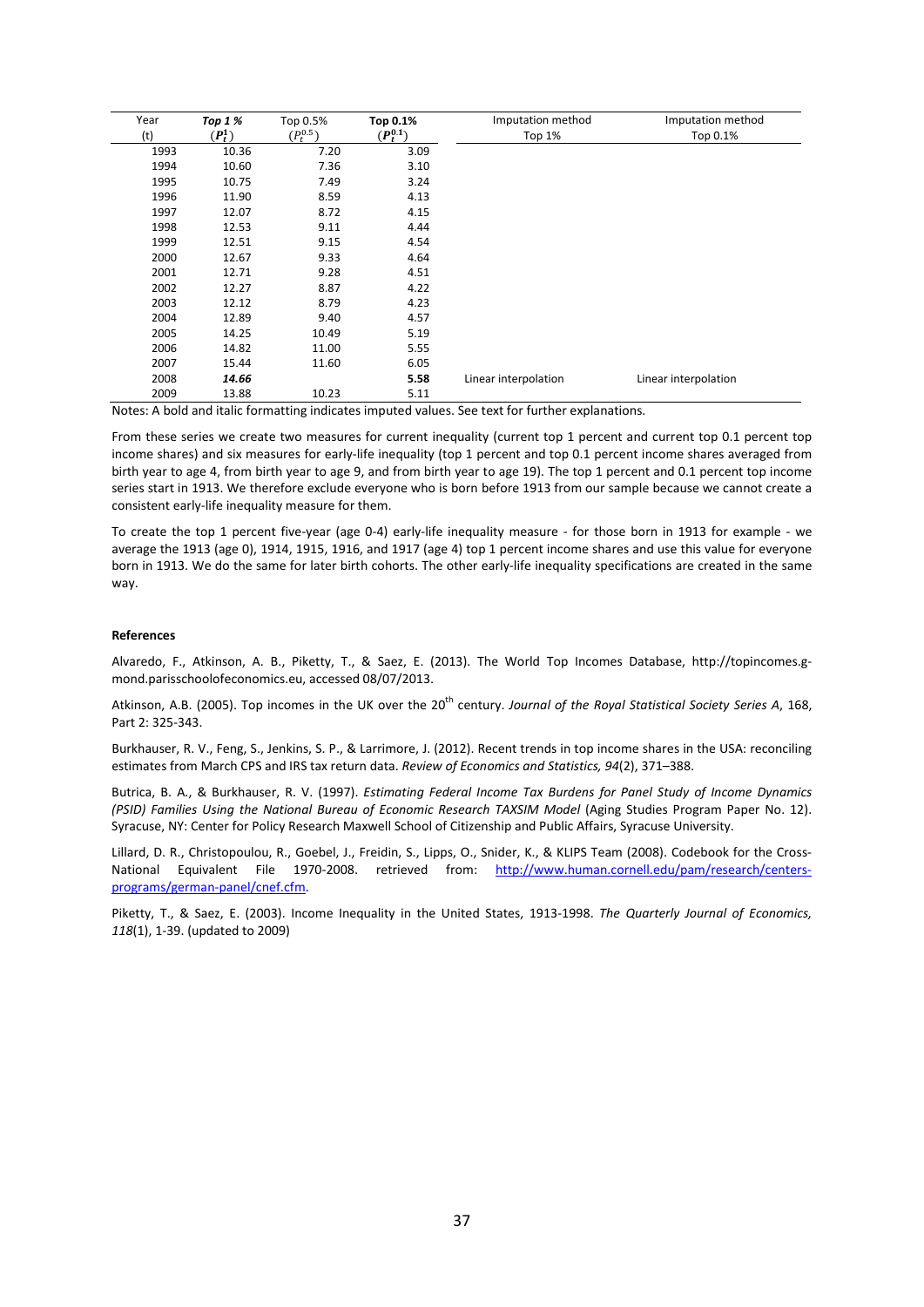| Year<br>(t) | <b>Top 1 %</b><br>$(P_t^1)$ | Top 0.5%<br>$(P_t^{0.5})$ | Top 0.1%<br>$(P_t^{0.1})$ | Imputation method<br>Top 1% | Imputation method<br>Top 0.1% |
|-------------|-----------------------------|---------------------------|---------------------------|-----------------------------|-------------------------------|
| 1993        | 10.36                       | 7.20                      | 3.09                      |                             |                               |
| 1994        | 10.60                       | 7.36                      | 3.10                      |                             |                               |
| 1995        | 10.75                       | 7.49                      | 3.24                      |                             |                               |
| 1996        | 11.90                       | 8.59                      | 4.13                      |                             |                               |
| 1997        | 12.07                       | 8.72                      | 4.15                      |                             |                               |
| 1998        | 12.53                       | 9.11                      | 4.44                      |                             |                               |
| 1999        | 12.51                       | 9.15                      | 4.54                      |                             |                               |
| 2000        | 12.67                       | 9.33                      | 4.64                      |                             |                               |
| 2001        | 12.71                       | 9.28                      | 4.51                      |                             |                               |
| 2002        | 12.27                       | 8.87                      | 4.22                      |                             |                               |
| 2003        | 12.12                       | 8.79                      | 4.23                      |                             |                               |
| 2004        | 12.89                       | 9.40                      | 4.57                      |                             |                               |
| 2005        | 14.25                       | 10.49                     | 5.19                      |                             |                               |
| 2006        | 14.82                       | 11.00                     | 5.55                      |                             |                               |
| 2007        | 15.44                       | 11.60                     | 6.05                      |                             |                               |
| 2008        | 14.66                       |                           | 5.58                      | Linear interpolation        | Linear interpolation          |
| 2009        | 13.88                       | 10.23                     | 5.11                      |                             |                               |

Notes: A bold and italic formatting indicates imputed values. See text for further explanations.

From these series we create two measures for current inequality (current top 1 percent and current top 0.1 percent top income shares) and six measures for early-life inequality (top 1 percent and top 0.1 percent income shares averaged from birth year to age 4, from birth year to age 9, and from birth year to age 19). The top 1 percent and 0.1 percent top income series start in 1913. We therefore exclude everyone who is born before 1913 from our sample because we cannot create a consistent early-life inequality measure for them.

To create the top 1 percent five-year (age 0-4) early-life inequality measure - for those born in 1913 for example - we average the 1913 (age 0), 1914, 1915, 1916, and 1917 (age 4) top 1 percent income shares and use this value for everyone born in 1913. We do the same for later birth cohorts. The other early-life inequality specifications are created in the same way.

#### **References**

Alvaredo, F., Atkinson, A. B., Piketty, T., & Saez, E. (2013). The World Top Incomes Database, http://topincomes.gmond.parisschoolofeconomics.eu, accessed 08/07/2013.

Atkinson, A.B. (2005). Top incomes in the UK over the 20<sup>th</sup> century. *Journal of the Royal Statistical Society Series A*, 168, Part 2: 325-343.

Burkhauser, R. V., Feng, S., Jenkins, S. P., & Larrimore, J. (2012). Recent trends in top income shares in the USA: reconciling estimates from March CPS and IRS tax return data. *Review of Economics and Statistics, 94*(2), 371–388.

Butrica, B. A., & Burkhauser, R. V. (1997). *Estimating Federal Income Tax Burdens for Panel Study of Income Dynamics (PSID) Families Using the National Bureau of Economic Research TAXSIM Model* (Aging Studies Program Paper No. 12). Syracuse, NY: Center for Policy Research Maxwell School of Citizenship and Public Affairs, Syracuse University.

Lillard, D. R., Christopoulou, R., Goebel, J., Freidin, S., Lipps, O., Snider, K., & KLIPS Team (2008). Codebook for the Cross-National Equivalent File 1970-2008. retrieved from: [http://www.human.cornell.edu/pam/research/centers](http://www.human.cornell.edu/pam/research/centers-programs/german-panel/cnef.cfm)[programs/german-panel/cnef.cfm.](http://www.human.cornell.edu/pam/research/centers-programs/german-panel/cnef.cfm)

Piketty, T., & Saez, E. (2003). Income Inequality in the United States, 1913-1998. *The Quarterly Journal of Economics, 118*(1), 1-39. (updated to 2009)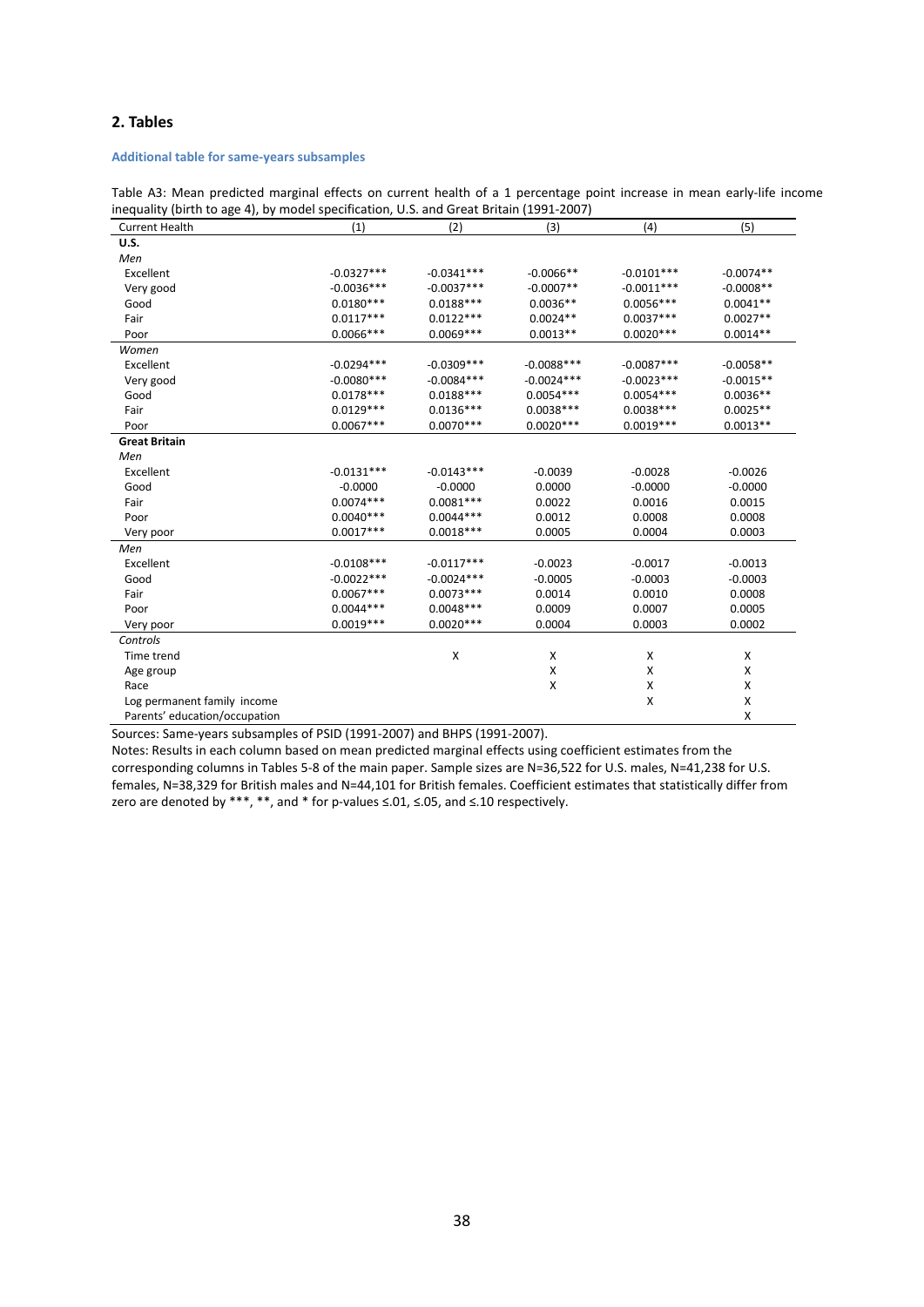# **2. Tables**

## **Additional table for same-years subsamples**

Table A3: Mean predicted marginal effects on current health of a 1 percentage point increase in mean early-life income inequality (birth to age 4), by model specification, U.S. and Great Britain (1991-2007)

| <b>Current Health</b><br>(1)  |              | (2)          | (3)          | (4)          | (5)         |
|-------------------------------|--------------|--------------|--------------|--------------|-------------|
| U.S.                          |              |              |              |              |             |
| Men                           |              |              |              |              |             |
| Excellent                     | $-0.0327***$ | $-0.0341***$ | $-0.0066**$  | $-0.0101***$ | $-0.0074**$ |
| Very good                     | $-0.0036***$ | $-0.0037***$ | $-0.0007**$  | $-0.0011***$ | $-0.0008**$ |
| Good                          | $0.0180***$  | $0.0188***$  | $0.0036**$   | $0.0056***$  | $0.0041**$  |
| Fair                          | $0.0117***$  | $0.0122***$  | $0.0024**$   | $0.0037***$  | $0.0027**$  |
| Poor                          | $0.0066***$  | $0.0069***$  | $0.0013**$   | $0.0020***$  | $0.0014**$  |
| Women                         |              |              |              |              |             |
| Excellent                     | $-0.0294***$ | $-0.0309***$ | $-0.0088***$ | $-0.0087***$ | $-0.0058**$ |
| Very good                     | $-0.0080***$ | $-0.0084***$ | $-0.0024***$ | $-0.0023***$ | $-0.0015**$ |
| Good                          | $0.0178***$  | $0.0188***$  | $0.0054***$  | $0.0054***$  | $0.0036**$  |
| Fair                          | $0.0129***$  | $0.0136***$  | $0.0038***$  | $0.0038***$  | $0.0025**$  |
| Poor                          | $0.0067***$  | $0.0070***$  | $0.0020***$  | $0.0019***$  | $0.0013**$  |
| <b>Great Britain</b>          |              |              |              |              |             |
| Men                           |              |              |              |              |             |
| Excellent                     | $-0.0131***$ | $-0.0143***$ | $-0.0039$    | $-0.0028$    | $-0.0026$   |
| Good                          | $-0.0000$    | $-0.0000$    | 0.0000       | $-0.0000$    | $-0.0000$   |
| Fair                          | $0.0074***$  | $0.0081***$  | 0.0022       | 0.0016       | 0.0015      |
| Poor                          | $0.0040***$  | $0.0044***$  | 0.0012       | 0.0008       | 0.0008      |
| Very poor                     | $0.0017***$  | $0.0018***$  | 0.0005       | 0.0004       | 0.0003      |
| Men                           |              |              |              |              |             |
| Excellent                     | $-0.0108***$ | $-0.0117***$ | $-0.0023$    | $-0.0017$    | $-0.0013$   |
| Good                          | $-0.0022***$ | $-0.0024***$ | $-0.0005$    | $-0.0003$    | $-0.0003$   |
| Fair                          | $0.0067***$  | $0.0073***$  | 0.0014       | 0.0010       | 0.0008      |
| Poor                          | $0.0044***$  | $0.0048***$  | 0.0009       | 0.0007       | 0.0005      |
| Very poor                     | $0.0019***$  | $0.0020***$  | 0.0004       | 0.0003       | 0.0002      |
| Controls                      |              |              |              |              |             |
| Time trend                    |              | X            | Χ            | X            | X           |
| Age group                     |              |              | X            | X            | X           |
| Race                          |              |              | X            | X            | X           |
| Log permanent family income   |              |              |              | X            | X           |
| Parents' education/occupation |              |              |              |              | X           |

Sources: Same-years subsamples of PSID (1991-2007) and BHPS (1991-2007).

Notes: Results in each column based on mean predicted marginal effects using coefficient estimates from the corresponding columns in Tables 5-8 of the main paper. Sample sizes are N=36,522 for U.S. males, N=41,238 for U.S. females, N=38,329 for British males and N=44,101 for British females. Coefficient estimates that statistically differ from zero are denoted by \*\*\*, \*\*, and \* for p-values ≤.01, ≤.05, and ≤.10 respectively.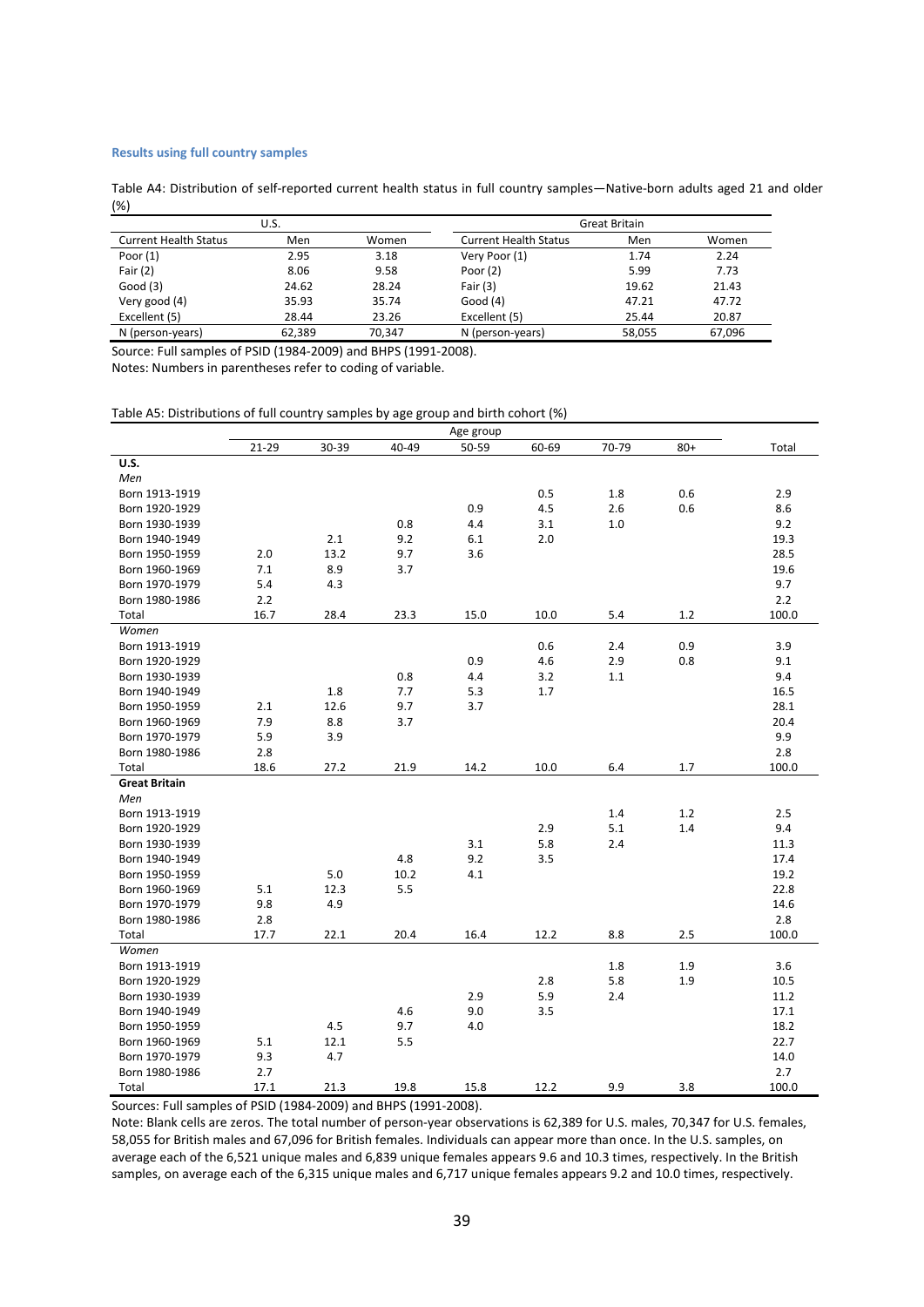## **Results using full country samples**

Table A4: Distribution of self-reported current health status in full country samples—Native-born adults aged 21 and older (%)

|                              | U.S.   |        | Great Britain                |        |        |  |
|------------------------------|--------|--------|------------------------------|--------|--------|--|
| <b>Current Health Status</b> | Men    | Women  | <b>Current Health Status</b> | Men    | Women  |  |
| Poor $(1)$                   | 2.95   | 3.18   | Very Poor (1)                | 1.74   | 2.24   |  |
| Fair $(2)$                   | 8.06   | 9.58   | Poor $(2)$                   | 5.99   | 7.73   |  |
| Good(3)                      | 24.62  | 28.24  | Fair $(3)$                   | 19.62  | 21.43  |  |
| Very good (4)                | 35.93  | 35.74  | Good $(4)$                   | 47.21  | 47.72  |  |
| Excellent (5)                | 28.44  | 23.26  | Excellent (5)                | 25.44  | 20.87  |  |
| N (person-years)             | 62.389 | 70.347 | N (person-years)             | 58.055 | 67.096 |  |

Source: Full samples of PSID (1984-2009) and BHPS (1991-2008).

Notes: Numbers in parentheses refer to coding of variable.

#### Table A5: Distributions of full country samples by age group and birth cohort (%)

|                      |       |       |       | Age group |       |       |       |       |
|----------------------|-------|-------|-------|-----------|-------|-------|-------|-------|
|                      | 21-29 | 30-39 | 40-49 | 50-59     | 60-69 | 70-79 | $80+$ | Total |
| <b>U.S.</b>          |       |       |       |           |       |       |       |       |
| Men                  |       |       |       |           |       |       |       |       |
| Born 1913-1919       |       |       |       |           | 0.5   | 1.8   | 0.6   | 2.9   |
| Born 1920-1929       |       |       |       | 0.9       | 4.5   | 2.6   | 0.6   | 8.6   |
| Born 1930-1939       |       |       | 0.8   | 4.4       | 3.1   | 1.0   |       | 9.2   |
| Born 1940-1949       |       | 2.1   | 9.2   | 6.1       | 2.0   |       |       | 19.3  |
| Born 1950-1959       | 2.0   | 13.2  | 9.7   | 3.6       |       |       |       | 28.5  |
| Born 1960-1969       | 7.1   | 8.9   | 3.7   |           |       |       |       | 19.6  |
| Born 1970-1979       | 5.4   | 4.3   |       |           |       |       |       | 9.7   |
| Born 1980-1986       | 2.2   |       |       |           |       |       |       | 2.2   |
| Total                | 16.7  | 28.4  | 23.3  | 15.0      | 10.0  | 5.4   | 1.2   | 100.0 |
| Women                |       |       |       |           |       |       |       |       |
| Born 1913-1919       |       |       |       |           | 0.6   | 2.4   | 0.9   | 3.9   |
| Born 1920-1929       |       |       |       | 0.9       | 4.6   | 2.9   | 0.8   | 9.1   |
| Born 1930-1939       |       |       | 0.8   | 4.4       | 3.2   | 1.1   |       | 9.4   |
| Born 1940-1949       |       | 1.8   | 7.7   | 5.3       | 1.7   |       |       | 16.5  |
| Born 1950-1959       | 2.1   | 12.6  | 9.7   | 3.7       |       |       |       | 28.1  |
| Born 1960-1969       | 7.9   | 8.8   | 3.7   |           |       |       |       | 20.4  |
| Born 1970-1979       | 5.9   | 3.9   |       |           |       |       |       | 9.9   |
| Born 1980-1986       | 2.8   |       |       |           |       |       |       | 2.8   |
| Total                | 18.6  | 27.2  | 21.9  | 14.2      | 10.0  | 6.4   | 1.7   | 100.0 |
| <b>Great Britain</b> |       |       |       |           |       |       |       |       |
| Men                  |       |       |       |           |       |       |       |       |
| Born 1913-1919       |       |       |       |           |       | 1.4   | 1.2   | 2.5   |
| Born 1920-1929       |       |       |       |           | 2.9   | 5.1   | 1.4   | 9.4   |
| Born 1930-1939       |       |       |       | 3.1       | 5.8   | 2.4   |       | 11.3  |
| Born 1940-1949       |       |       | 4.8   | 9.2       | 3.5   |       |       | 17.4  |
| Born 1950-1959       |       | 5.0   | 10.2  | 4.1       |       |       |       | 19.2  |
| Born 1960-1969       | 5.1   | 12.3  | 5.5   |           |       |       |       | 22.8  |
| Born 1970-1979       | 9.8   | 4.9   |       |           |       |       |       | 14.6  |
| Born 1980-1986       | 2.8   |       |       |           |       |       |       | 2.8   |
| Total                | 17.7  | 22.1  | 20.4  | 16.4      | 12.2  | 8.8   | 2.5   | 100.0 |
| Women                |       |       |       |           |       |       |       |       |
| Born 1913-1919       |       |       |       |           |       | 1.8   | 1.9   | 3.6   |
| Born 1920-1929       |       |       |       |           | 2.8   | 5.8   | 1.9   | 10.5  |
| Born 1930-1939       |       |       |       | 2.9       | 5.9   | 2.4   |       | 11.2  |
| Born 1940-1949       |       |       | 4.6   | 9.0       | 3.5   |       |       | 17.1  |
| Born 1950-1959       |       | 4.5   | 9.7   | 4.0       |       |       |       | 18.2  |
| Born 1960-1969       | 5.1   | 12.1  | 5.5   |           |       |       |       | 22.7  |
| Born 1970-1979       | 9.3   | 4.7   |       |           |       |       |       | 14.0  |
| Born 1980-1986       | 2.7   |       |       |           |       |       |       | 2.7   |
| Total                | 17.1  | 21.3  | 19.8  | 15.8      | 12.2  | 9.9   | 3.8   | 100.0 |

Sources: Full samples of PSID (1984-2009) and BHPS (1991-2008).

Note: Blank cells are zeros. The total number of person-year observations is 62,389 for U.S. males, 70,347 for U.S. females, 58,055 for British males and 67,096 for British females. Individuals can appear more than once. In the U.S. samples, on average each of the 6,521 unique males and 6,839 unique females appears 9.6 and 10.3 times, respectively. In the British samples, on average each of the 6,315 unique males and 6,717 unique females appears 9.2 and 10.0 times, respectively.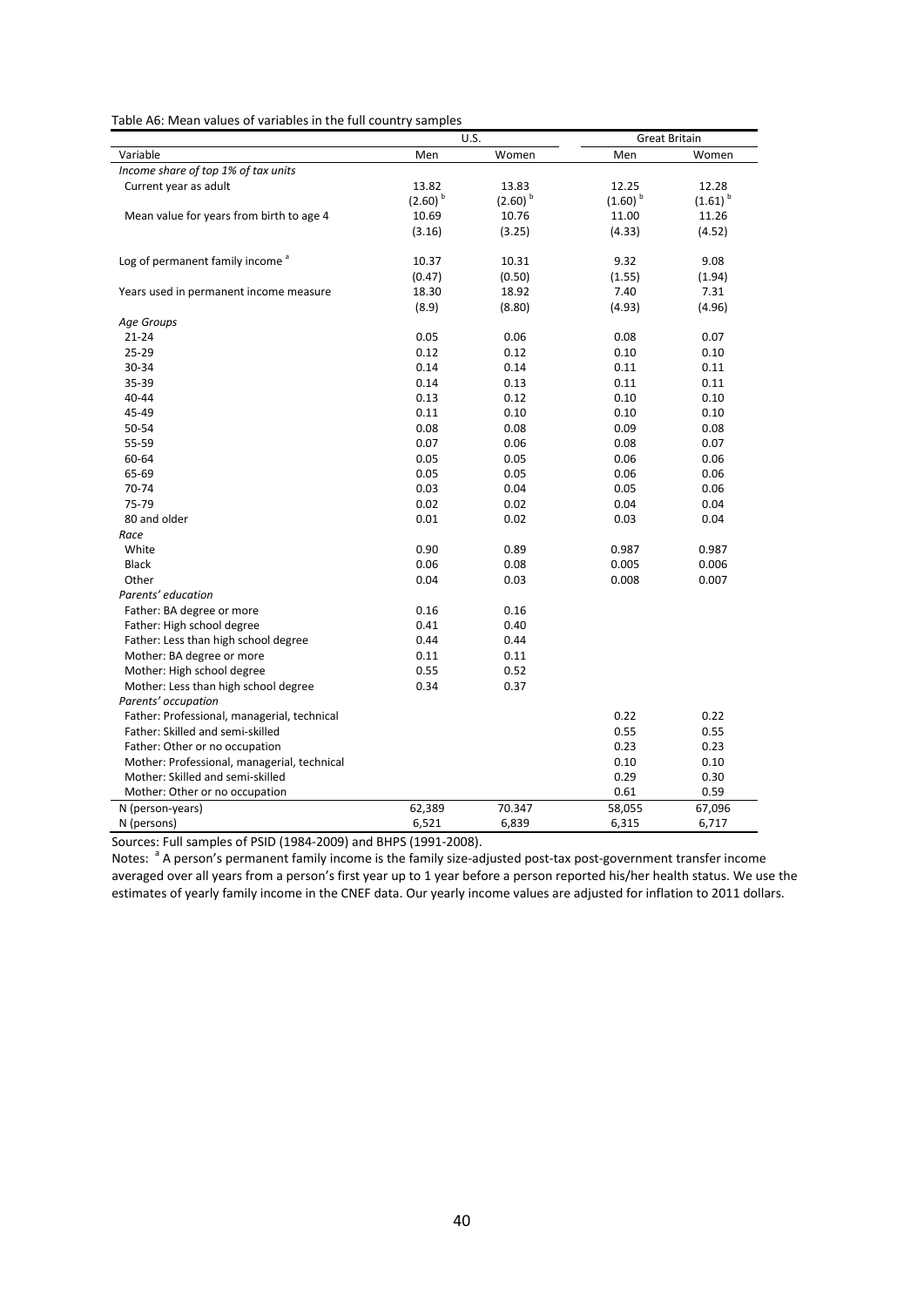Table A6: Mean values of variables in the full country samples

| Variable<br>Men<br>Women<br>Men<br>Women<br>Income share of top 1% of tax units<br>Current year as adult<br>13.82<br>13.83<br>12.25<br>12.28<br>$(2.60)$ <sup>b</sup><br>$(2.60)$ <sup>b</sup><br>$(1.60)$ <sup>b</sup><br>$(1.61)$ <sup>b</sup><br>Mean value for years from birth to age 4<br>10.69<br>10.76<br>11.00<br>11.26<br>(4.33)<br>(4.52)<br>(3.16)<br>(3.25)<br>Log of permanent family income <sup>a</sup><br>10.37<br>10.31<br>9.32<br>9.08<br>(0.47)<br>(0.50)<br>(1.55)<br>(1.94)<br>7.40<br>18.30<br>18.92<br>7.31<br>Years used in permanent income measure<br>(8.9)<br>(4.93)<br>(4.96)<br>(8.80)<br>Age Groups<br>21-24<br>0.05<br>0.06<br>0.08<br>0.07<br>25-29<br>0.12<br>0.12<br>0.10<br>0.10<br>30-34<br>0.14<br>0.11<br>0.14<br>0.11<br>35-39<br>0.14<br>0.11<br>0.11<br>0.13<br>40-44<br>0.12<br>0.10<br>0.10<br>0.13<br>45-49<br>0.11<br>0.10<br>0.10<br>0.10<br>50-54<br>0.08<br>0.08<br>0.09<br>0.08<br>55-59<br>0.07<br>0.06<br>0.08<br>0.07<br>0.06<br>60-64<br>0.05<br>0.05<br>0.06<br>65-69<br>0.05<br>0.06<br>0.06<br>0.05<br>70-74<br>0.03<br>0.04<br>0.05<br>0.06<br>75-79<br>0.02<br>0.02<br>0.04<br>0.04<br>80 and older<br>0.01<br>0.02<br>0.03<br>0.04<br>Race<br>White<br>0.90<br>0.89<br>0.987<br>0.987<br>0.06<br>0.08<br>0.005<br>0.006<br><b>Black</b><br>0.008<br>0.007<br>Other<br>0.04<br>0.03<br>Parents' education<br>0.16<br>0.16<br>Father: BA degree or more<br>Father: High school degree<br>0.41<br>0.40<br>Father: Less than high school degree<br>0.44<br>0.44<br>Mother: BA degree or more<br>0.11<br>0.11 |
|----------------------------------------------------------------------------------------------------------------------------------------------------------------------------------------------------------------------------------------------------------------------------------------------------------------------------------------------------------------------------------------------------------------------------------------------------------------------------------------------------------------------------------------------------------------------------------------------------------------------------------------------------------------------------------------------------------------------------------------------------------------------------------------------------------------------------------------------------------------------------------------------------------------------------------------------------------------------------------------------------------------------------------------------------------------------------------------------------------------------------------------------------------------------------------------------------------------------------------------------------------------------------------------------------------------------------------------------------------------------------------------------------------------------------------------------------------------------------------------------------------------------------------------------------------------------|
|                                                                                                                                                                                                                                                                                                                                                                                                                                                                                                                                                                                                                                                                                                                                                                                                                                                                                                                                                                                                                                                                                                                                                                                                                                                                                                                                                                                                                                                                                                                                                                      |
|                                                                                                                                                                                                                                                                                                                                                                                                                                                                                                                                                                                                                                                                                                                                                                                                                                                                                                                                                                                                                                                                                                                                                                                                                                                                                                                                                                                                                                                                                                                                                                      |
|                                                                                                                                                                                                                                                                                                                                                                                                                                                                                                                                                                                                                                                                                                                                                                                                                                                                                                                                                                                                                                                                                                                                                                                                                                                                                                                                                                                                                                                                                                                                                                      |
|                                                                                                                                                                                                                                                                                                                                                                                                                                                                                                                                                                                                                                                                                                                                                                                                                                                                                                                                                                                                                                                                                                                                                                                                                                                                                                                                                                                                                                                                                                                                                                      |
|                                                                                                                                                                                                                                                                                                                                                                                                                                                                                                                                                                                                                                                                                                                                                                                                                                                                                                                                                                                                                                                                                                                                                                                                                                                                                                                                                                                                                                                                                                                                                                      |
|                                                                                                                                                                                                                                                                                                                                                                                                                                                                                                                                                                                                                                                                                                                                                                                                                                                                                                                                                                                                                                                                                                                                                                                                                                                                                                                                                                                                                                                                                                                                                                      |
|                                                                                                                                                                                                                                                                                                                                                                                                                                                                                                                                                                                                                                                                                                                                                                                                                                                                                                                                                                                                                                                                                                                                                                                                                                                                                                                                                                                                                                                                                                                                                                      |
|                                                                                                                                                                                                                                                                                                                                                                                                                                                                                                                                                                                                                                                                                                                                                                                                                                                                                                                                                                                                                                                                                                                                                                                                                                                                                                                                                                                                                                                                                                                                                                      |
|                                                                                                                                                                                                                                                                                                                                                                                                                                                                                                                                                                                                                                                                                                                                                                                                                                                                                                                                                                                                                                                                                                                                                                                                                                                                                                                                                                                                                                                                                                                                                                      |
|                                                                                                                                                                                                                                                                                                                                                                                                                                                                                                                                                                                                                                                                                                                                                                                                                                                                                                                                                                                                                                                                                                                                                                                                                                                                                                                                                                                                                                                                                                                                                                      |
|                                                                                                                                                                                                                                                                                                                                                                                                                                                                                                                                                                                                                                                                                                                                                                                                                                                                                                                                                                                                                                                                                                                                                                                                                                                                                                                                                                                                                                                                                                                                                                      |
|                                                                                                                                                                                                                                                                                                                                                                                                                                                                                                                                                                                                                                                                                                                                                                                                                                                                                                                                                                                                                                                                                                                                                                                                                                                                                                                                                                                                                                                                                                                                                                      |
|                                                                                                                                                                                                                                                                                                                                                                                                                                                                                                                                                                                                                                                                                                                                                                                                                                                                                                                                                                                                                                                                                                                                                                                                                                                                                                                                                                                                                                                                                                                                                                      |
|                                                                                                                                                                                                                                                                                                                                                                                                                                                                                                                                                                                                                                                                                                                                                                                                                                                                                                                                                                                                                                                                                                                                                                                                                                                                                                                                                                                                                                                                                                                                                                      |
|                                                                                                                                                                                                                                                                                                                                                                                                                                                                                                                                                                                                                                                                                                                                                                                                                                                                                                                                                                                                                                                                                                                                                                                                                                                                                                                                                                                                                                                                                                                                                                      |
|                                                                                                                                                                                                                                                                                                                                                                                                                                                                                                                                                                                                                                                                                                                                                                                                                                                                                                                                                                                                                                                                                                                                                                                                                                                                                                                                                                                                                                                                                                                                                                      |
|                                                                                                                                                                                                                                                                                                                                                                                                                                                                                                                                                                                                                                                                                                                                                                                                                                                                                                                                                                                                                                                                                                                                                                                                                                                                                                                                                                                                                                                                                                                                                                      |
|                                                                                                                                                                                                                                                                                                                                                                                                                                                                                                                                                                                                                                                                                                                                                                                                                                                                                                                                                                                                                                                                                                                                                                                                                                                                                                                                                                                                                                                                                                                                                                      |
|                                                                                                                                                                                                                                                                                                                                                                                                                                                                                                                                                                                                                                                                                                                                                                                                                                                                                                                                                                                                                                                                                                                                                                                                                                                                                                                                                                                                                                                                                                                                                                      |
|                                                                                                                                                                                                                                                                                                                                                                                                                                                                                                                                                                                                                                                                                                                                                                                                                                                                                                                                                                                                                                                                                                                                                                                                                                                                                                                                                                                                                                                                                                                                                                      |
|                                                                                                                                                                                                                                                                                                                                                                                                                                                                                                                                                                                                                                                                                                                                                                                                                                                                                                                                                                                                                                                                                                                                                                                                                                                                                                                                                                                                                                                                                                                                                                      |
|                                                                                                                                                                                                                                                                                                                                                                                                                                                                                                                                                                                                                                                                                                                                                                                                                                                                                                                                                                                                                                                                                                                                                                                                                                                                                                                                                                                                                                                                                                                                                                      |
|                                                                                                                                                                                                                                                                                                                                                                                                                                                                                                                                                                                                                                                                                                                                                                                                                                                                                                                                                                                                                                                                                                                                                                                                                                                                                                                                                                                                                                                                                                                                                                      |
|                                                                                                                                                                                                                                                                                                                                                                                                                                                                                                                                                                                                                                                                                                                                                                                                                                                                                                                                                                                                                                                                                                                                                                                                                                                                                                                                                                                                                                                                                                                                                                      |
|                                                                                                                                                                                                                                                                                                                                                                                                                                                                                                                                                                                                                                                                                                                                                                                                                                                                                                                                                                                                                                                                                                                                                                                                                                                                                                                                                                                                                                                                                                                                                                      |
|                                                                                                                                                                                                                                                                                                                                                                                                                                                                                                                                                                                                                                                                                                                                                                                                                                                                                                                                                                                                                                                                                                                                                                                                                                                                                                                                                                                                                                                                                                                                                                      |
|                                                                                                                                                                                                                                                                                                                                                                                                                                                                                                                                                                                                                                                                                                                                                                                                                                                                                                                                                                                                                                                                                                                                                                                                                                                                                                                                                                                                                                                                                                                                                                      |
|                                                                                                                                                                                                                                                                                                                                                                                                                                                                                                                                                                                                                                                                                                                                                                                                                                                                                                                                                                                                                                                                                                                                                                                                                                                                                                                                                                                                                                                                                                                                                                      |
|                                                                                                                                                                                                                                                                                                                                                                                                                                                                                                                                                                                                                                                                                                                                                                                                                                                                                                                                                                                                                                                                                                                                                                                                                                                                                                                                                                                                                                                                                                                                                                      |
|                                                                                                                                                                                                                                                                                                                                                                                                                                                                                                                                                                                                                                                                                                                                                                                                                                                                                                                                                                                                                                                                                                                                                                                                                                                                                                                                                                                                                                                                                                                                                                      |
|                                                                                                                                                                                                                                                                                                                                                                                                                                                                                                                                                                                                                                                                                                                                                                                                                                                                                                                                                                                                                                                                                                                                                                                                                                                                                                                                                                                                                                                                                                                                                                      |
|                                                                                                                                                                                                                                                                                                                                                                                                                                                                                                                                                                                                                                                                                                                                                                                                                                                                                                                                                                                                                                                                                                                                                                                                                                                                                                                                                                                                                                                                                                                                                                      |
|                                                                                                                                                                                                                                                                                                                                                                                                                                                                                                                                                                                                                                                                                                                                                                                                                                                                                                                                                                                                                                                                                                                                                                                                                                                                                                                                                                                                                                                                                                                                                                      |
|                                                                                                                                                                                                                                                                                                                                                                                                                                                                                                                                                                                                                                                                                                                                                                                                                                                                                                                                                                                                                                                                                                                                                                                                                                                                                                                                                                                                                                                                                                                                                                      |
| Mother: High school degree<br>0.55<br>0.52                                                                                                                                                                                                                                                                                                                                                                                                                                                                                                                                                                                                                                                                                                                                                                                                                                                                                                                                                                                                                                                                                                                                                                                                                                                                                                                                                                                                                                                                                                                           |
| 0.34<br>0.37<br>Mother: Less than high school degree                                                                                                                                                                                                                                                                                                                                                                                                                                                                                                                                                                                                                                                                                                                                                                                                                                                                                                                                                                                                                                                                                                                                                                                                                                                                                                                                                                                                                                                                                                                 |
| Parents' occupation                                                                                                                                                                                                                                                                                                                                                                                                                                                                                                                                                                                                                                                                                                                                                                                                                                                                                                                                                                                                                                                                                                                                                                                                                                                                                                                                                                                                                                                                                                                                                  |
| Father: Professional, managerial, technical<br>0.22<br>0.22                                                                                                                                                                                                                                                                                                                                                                                                                                                                                                                                                                                                                                                                                                                                                                                                                                                                                                                                                                                                                                                                                                                                                                                                                                                                                                                                                                                                                                                                                                          |
| Father: Skilled and semi-skilled<br>0.55<br>0.55                                                                                                                                                                                                                                                                                                                                                                                                                                                                                                                                                                                                                                                                                                                                                                                                                                                                                                                                                                                                                                                                                                                                                                                                                                                                                                                                                                                                                                                                                                                     |
| Father: Other or no occupation<br>0.23<br>0.23                                                                                                                                                                                                                                                                                                                                                                                                                                                                                                                                                                                                                                                                                                                                                                                                                                                                                                                                                                                                                                                                                                                                                                                                                                                                                                                                                                                                                                                                                                                       |
| 0.10<br>Mother: Professional, managerial, technical<br>0.10                                                                                                                                                                                                                                                                                                                                                                                                                                                                                                                                                                                                                                                                                                                                                                                                                                                                                                                                                                                                                                                                                                                                                                                                                                                                                                                                                                                                                                                                                                          |
| Mother: Skilled and semi-skilled<br>0.29<br>0.30                                                                                                                                                                                                                                                                                                                                                                                                                                                                                                                                                                                                                                                                                                                                                                                                                                                                                                                                                                                                                                                                                                                                                                                                                                                                                                                                                                                                                                                                                                                     |
| 0.61<br>0.59<br>Mother: Other or no occupation                                                                                                                                                                                                                                                                                                                                                                                                                                                                                                                                                                                                                                                                                                                                                                                                                                                                                                                                                                                                                                                                                                                                                                                                                                                                                                                                                                                                                                                                                                                       |
| N (person-years)<br>62,389<br>70.347<br>58,055<br>67,096                                                                                                                                                                                                                                                                                                                                                                                                                                                                                                                                                                                                                                                                                                                                                                                                                                                                                                                                                                                                                                                                                                                                                                                                                                                                                                                                                                                                                                                                                                             |
| N (persons)<br>6,521<br>6,839<br>6,315<br>6,717                                                                                                                                                                                                                                                                                                                                                                                                                                                                                                                                                                                                                                                                                                                                                                                                                                                                                                                                                                                                                                                                                                                                                                                                                                                                                                                                                                                                                                                                                                                      |

Sources: Full samples of PSID (1984-2009) and BHPS (1991-2008).

Notes: <sup>a</sup> A person's permanent family income is the family size-adjusted post-tax post-government transfer income averaged over all years from a person's first year up to 1 year before a person reported his/her health status. We use the estimates of yearly family income in the CNEF data. Our yearly income values are adjusted for inflation to 2011 dollars.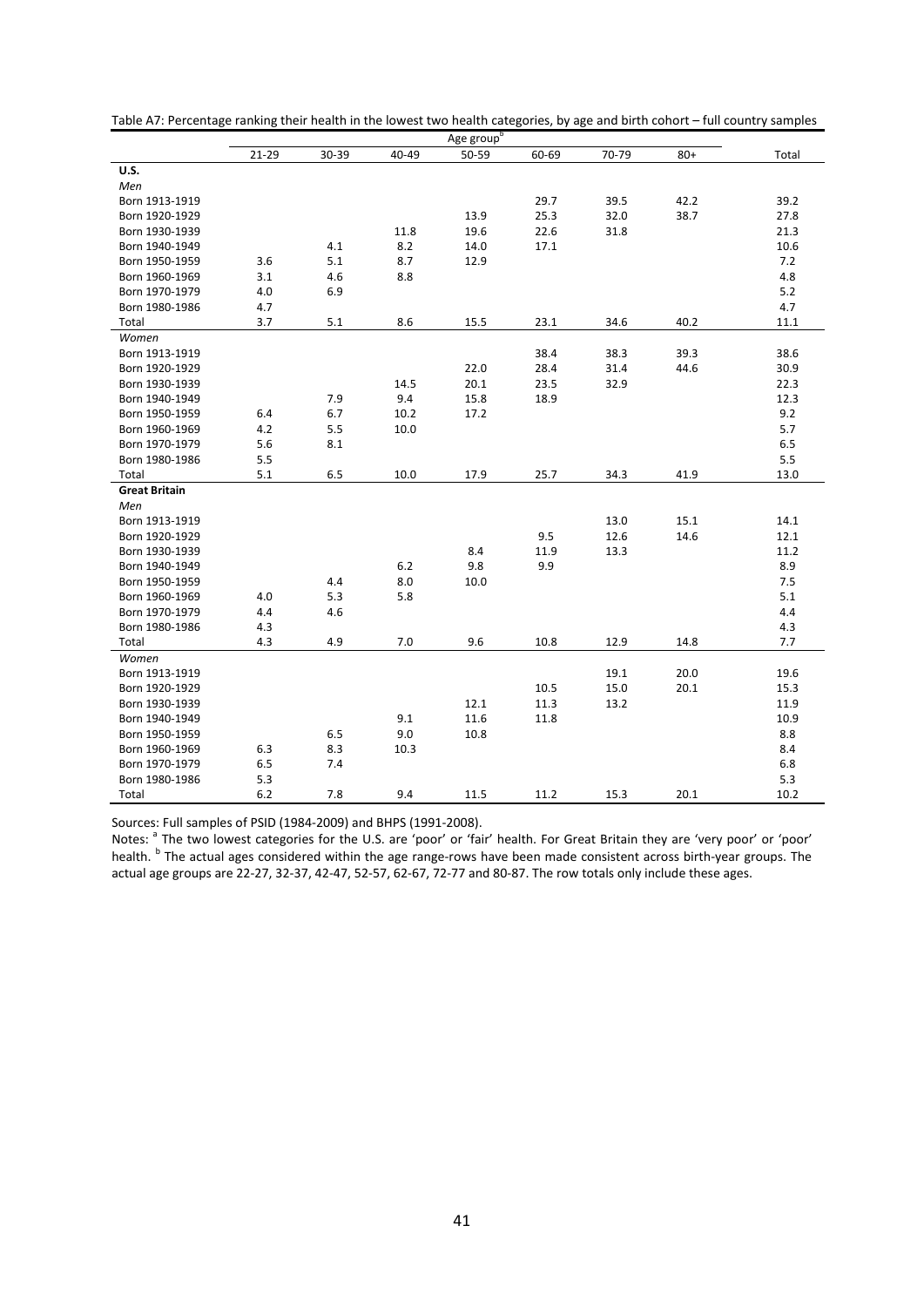|                      |       |       |       | Age group <sup>b</sup> |       |       |       |       |
|----------------------|-------|-------|-------|------------------------|-------|-------|-------|-------|
|                      | 21-29 | 30-39 | 40-49 | 50-59                  | 60-69 | 70-79 | $80+$ | Total |
| <b>U.S.</b>          |       |       |       |                        |       |       |       |       |
| Men                  |       |       |       |                        |       |       |       |       |
| Born 1913-1919       |       |       |       |                        | 29.7  | 39.5  | 42.2  | 39.2  |
| Born 1920-1929       |       |       |       | 13.9                   | 25.3  | 32.0  | 38.7  | 27.8  |
| Born 1930-1939       |       |       | 11.8  | 19.6                   | 22.6  | 31.8  |       | 21.3  |
| Born 1940-1949       |       | 4.1   | 8.2   | 14.0                   | 17.1  |       |       | 10.6  |
| Born 1950-1959       | 3.6   | 5.1   | 8.7   | 12.9                   |       |       |       | 7.2   |
| Born 1960-1969       | 3.1   | 4.6   | 8.8   |                        |       |       |       | 4.8   |
| Born 1970-1979       | 4.0   | 6.9   |       |                        |       |       |       | 5.2   |
| Born 1980-1986       | 4.7   |       |       |                        |       |       |       | 4.7   |
| Total                | 3.7   | 5.1   | 8.6   | 15.5                   | 23.1  | 34.6  | 40.2  | 11.1  |
| Women                |       |       |       |                        |       |       |       |       |
| Born 1913-1919       |       |       |       |                        | 38.4  | 38.3  | 39.3  | 38.6  |
| Born 1920-1929       |       |       |       | 22.0                   | 28.4  | 31.4  | 44.6  | 30.9  |
| Born 1930-1939       |       |       | 14.5  | 20.1                   | 23.5  | 32.9  |       | 22.3  |
| Born 1940-1949       |       | 7.9   | 9.4   | 15.8                   | 18.9  |       |       | 12.3  |
| Born 1950-1959       | 6.4   | 6.7   | 10.2  | 17.2                   |       |       |       | 9.2   |
| Born 1960-1969       | 4.2   | 5.5   | 10.0  |                        |       |       |       | 5.7   |
| Born 1970-1979       | 5.6   | 8.1   |       |                        |       |       |       | 6.5   |
| Born 1980-1986       | 5.5   |       |       |                        |       |       |       | 5.5   |
| Total                | 5.1   | 6.5   | 10.0  | 17.9                   | 25.7  | 34.3  | 41.9  | 13.0  |
| <b>Great Britain</b> |       |       |       |                        |       |       |       |       |
| Men                  |       |       |       |                        |       |       |       |       |
| Born 1913-1919       |       |       |       |                        |       | 13.0  | 15.1  | 14.1  |
| Born 1920-1929       |       |       |       |                        | 9.5   | 12.6  | 14.6  | 12.1  |
| Born 1930-1939       |       |       |       | 8.4                    | 11.9  | 13.3  |       | 11.2  |
| Born 1940-1949       |       |       | 6.2   | 9.8                    | 9.9   |       |       | 8.9   |
| Born 1950-1959       |       | 4.4   | 8.0   | 10.0                   |       |       |       | 7.5   |
| Born 1960-1969       | 4.0   | 5.3   | 5.8   |                        |       |       |       | 5.1   |
| Born 1970-1979       | 4.4   | 4.6   |       |                        |       |       |       | 4.4   |
| Born 1980-1986       | 4.3   |       |       |                        |       |       |       | 4.3   |
| Total                | 4.3   | 4.9   | 7.0   | 9.6                    | 10.8  | 12.9  | 14.8  | 7.7   |
| Women                |       |       |       |                        |       |       |       |       |
| Born 1913-1919       |       |       |       |                        |       | 19.1  | 20.0  | 19.6  |
| Born 1920-1929       |       |       |       |                        | 10.5  | 15.0  | 20.1  | 15.3  |
| Born 1930-1939       |       |       |       | 12.1                   | 11.3  | 13.2  |       | 11.9  |
| Born 1940-1949       |       |       | 9.1   | 11.6                   | 11.8  |       |       | 10.9  |
| Born 1950-1959       |       | 6.5   | 9.0   | 10.8                   |       |       |       | 8.8   |
| Born 1960-1969       | 6.3   | 8.3   | 10.3  |                        |       |       |       | 8.4   |
| Born 1970-1979       | 6.5   | 7.4   |       |                        |       |       |       | 6.8   |
| Born 1980-1986       | 5.3   |       |       |                        |       |       |       | 5.3   |
| Total                | 6.2   | 7.8   | 9.4   | 11.5                   | 11.2  | 15.3  | 20.1  | 10.2  |

Table A7: Percentage ranking their health in the lowest two health categories, by age and birth cohort – full country samples

Sources: Full samples of PSID (1984-2009) and BHPS (1991-2008).

Notes: <sup>a</sup> The two lowest categories for the U.S. are 'poor' or 'fair' health. For Great Britain they are 'very poor' or 'poor' health. <sup>b</sup> The actual ages considered within the age range-rows have been made consistent across birth-year groups. The actual age groups are 22-27, 32-37, 42-47, 52-57, 62-67, 72-77 and 80-87. The row totals only include these ages.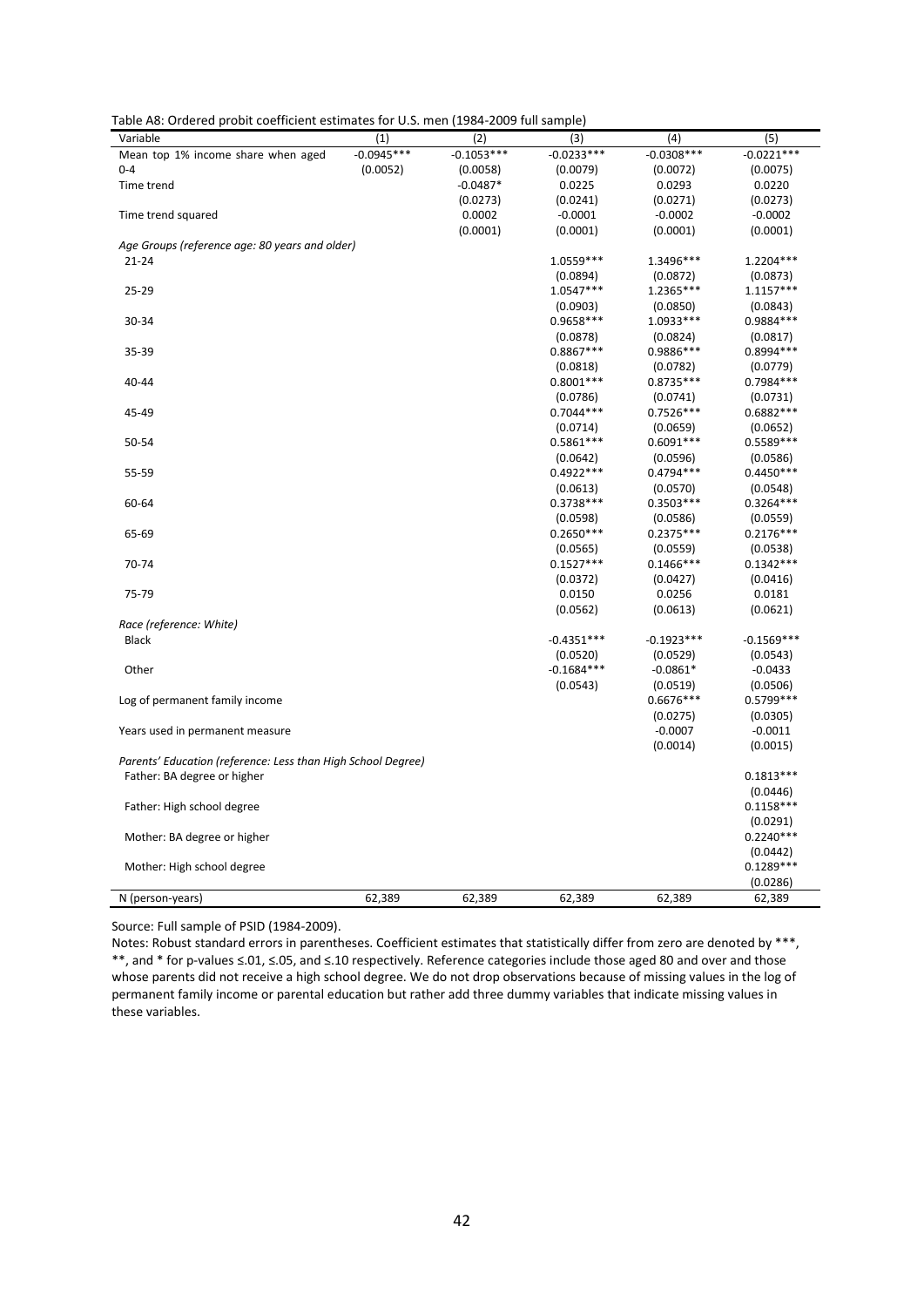| Table A8: Ordered probit coefficient estimates for U.S. men (1984-2009 full sample) |  |  |
|-------------------------------------------------------------------------------------|--|--|
|-------------------------------------------------------------------------------------|--|--|

| Variable                                                     | (1)          | (2)          | (3)          | (4)          | (5)          |
|--------------------------------------------------------------|--------------|--------------|--------------|--------------|--------------|
| Mean top 1% income share when aged                           | $-0.0945***$ | $-0.1053***$ | $-0.0233***$ | $-0.0308***$ | $-0.0221***$ |
| $0 - 4$                                                      | (0.0052)     | (0.0058)     | (0.0079)     | (0.0072)     | (0.0075)     |
| Time trend                                                   |              | $-0.0487*$   | 0.0225       | 0.0293       | 0.0220       |
|                                                              |              | (0.0273)     | (0.0241)     | (0.0271)     | (0.0273)     |
| Time trend squared                                           |              | 0.0002       | $-0.0001$    | $-0.0002$    | $-0.0002$    |
|                                                              |              | (0.0001)     | (0.0001)     | (0.0001)     | (0.0001)     |
| Age Groups (reference age: 80 years and older)               |              |              |              |              |              |
| $21 - 24$                                                    |              |              | 1.0559 ***   | 1.3496***    | 1.2204 ***   |
|                                                              |              |              | (0.0894)     | (0.0872)     | (0.0873)     |
| 25-29                                                        |              |              | 1.0547***    | 1.2365***    | $1.1157***$  |
|                                                              |              |              | (0.0903)     | (0.0850)     | (0.0843)     |
| 30-34                                                        |              |              | 0.9658 ***   | 1.0933 ***   | 0.9884 ***   |
|                                                              |              |              | (0.0878)     | (0.0824)     | (0.0817)     |
| 35-39                                                        |              |              | $0.8867***$  | 0.9886 ***   | $0.8994***$  |
|                                                              |              |              | (0.0818)     | (0.0782)     | (0.0779)     |
| 40-44                                                        |              |              | $0.8001***$  | $0.8735***$  | $0.7984***$  |
|                                                              |              |              | (0.0786)     | (0.0741)     | (0.0731)     |
| 45-49                                                        |              |              | $0.7044***$  | $0.7526***$  | $0.6882***$  |
|                                                              |              |              | (0.0714)     | (0.0659)     | (0.0652)     |
| 50-54                                                        |              |              | 0.5861 ***   | $0.6091***$  | 0.5589 ***   |
|                                                              |              |              | (0.0642)     | (0.0596)     | (0.0586)     |
| 55-59                                                        |              |              | $0.4922***$  | $0.4794***$  | $0.4450***$  |
|                                                              |              |              | (0.0613)     | (0.0570)     | (0.0548)     |
| 60-64                                                        |              |              | $0.3738***$  | $0.3503***$  | $0.3264***$  |
|                                                              |              |              | (0.0598)     | (0.0586)     | (0.0559)     |
| 65-69                                                        |              |              | $0.2650***$  | $0.2375***$  | $0.2176***$  |
|                                                              |              |              | (0.0565)     | (0.0559)     | (0.0538)     |
| 70-74                                                        |              |              | $0.1527***$  | $0.1466***$  | $0.1342***$  |
|                                                              |              |              | (0.0372)     | (0.0427)     | (0.0416)     |
| 75-79                                                        |              |              | 0.0150       | 0.0256       | 0.0181       |
|                                                              |              |              | (0.0562)     | (0.0613)     | (0.0621)     |
| Race (reference: White)                                      |              |              |              |              |              |
| Black                                                        |              |              | $-0.4351***$ | $-0.1923***$ | $-0.1569***$ |
|                                                              |              |              | (0.0520)     | (0.0529)     | (0.0543)     |
| Other                                                        |              |              | $-0.1684***$ | $-0.0861*$   | $-0.0433$    |
|                                                              |              |              | (0.0543)     | (0.0519)     | (0.0506)     |
| Log of permanent family income                               |              |              |              | 0.6676***    | 0.5799 ***   |
|                                                              |              |              |              | (0.0275)     | (0.0305)     |
| Years used in permanent measure                              |              |              |              | $-0.0007$    | $-0.0011$    |
|                                                              |              |              |              | (0.0014)     | (0.0015)     |
| Parents' Education (reference: Less than High School Degree) |              |              |              |              |              |
| Father: BA degree or higher                                  |              |              |              |              | $0.1813***$  |
|                                                              |              |              |              |              | (0.0446)     |
| Father: High school degree                                   |              |              |              |              | $0.1158***$  |
|                                                              |              |              |              |              | (0.0291)     |
| Mother: BA degree or higher                                  |              |              |              |              | $0.2240***$  |
|                                                              |              |              |              |              | (0.0442)     |
|                                                              |              |              |              |              | $0.1289***$  |
| Mother: High school degree                                   |              |              |              |              | (0.0286)     |
|                                                              |              |              |              |              |              |
| N (person-years)                                             | 62,389       | 62,389       | 62,389       | 62,389       | 62,389       |

Source: Full sample of PSID (1984-2009).

Notes: Robust standard errors in parentheses. Coefficient estimates that statistically differ from zero are denoted by \*\*\*, \*\*, and \* for p-values ≤.01, ≤.05, and ≤.10 respectively. Reference categories include those aged 80 and over and those whose parents did not receive a high school degree. We do not drop observations because of missing values in the log of permanent family income or parental education but rather add three dummy variables that indicate missing values in these variables.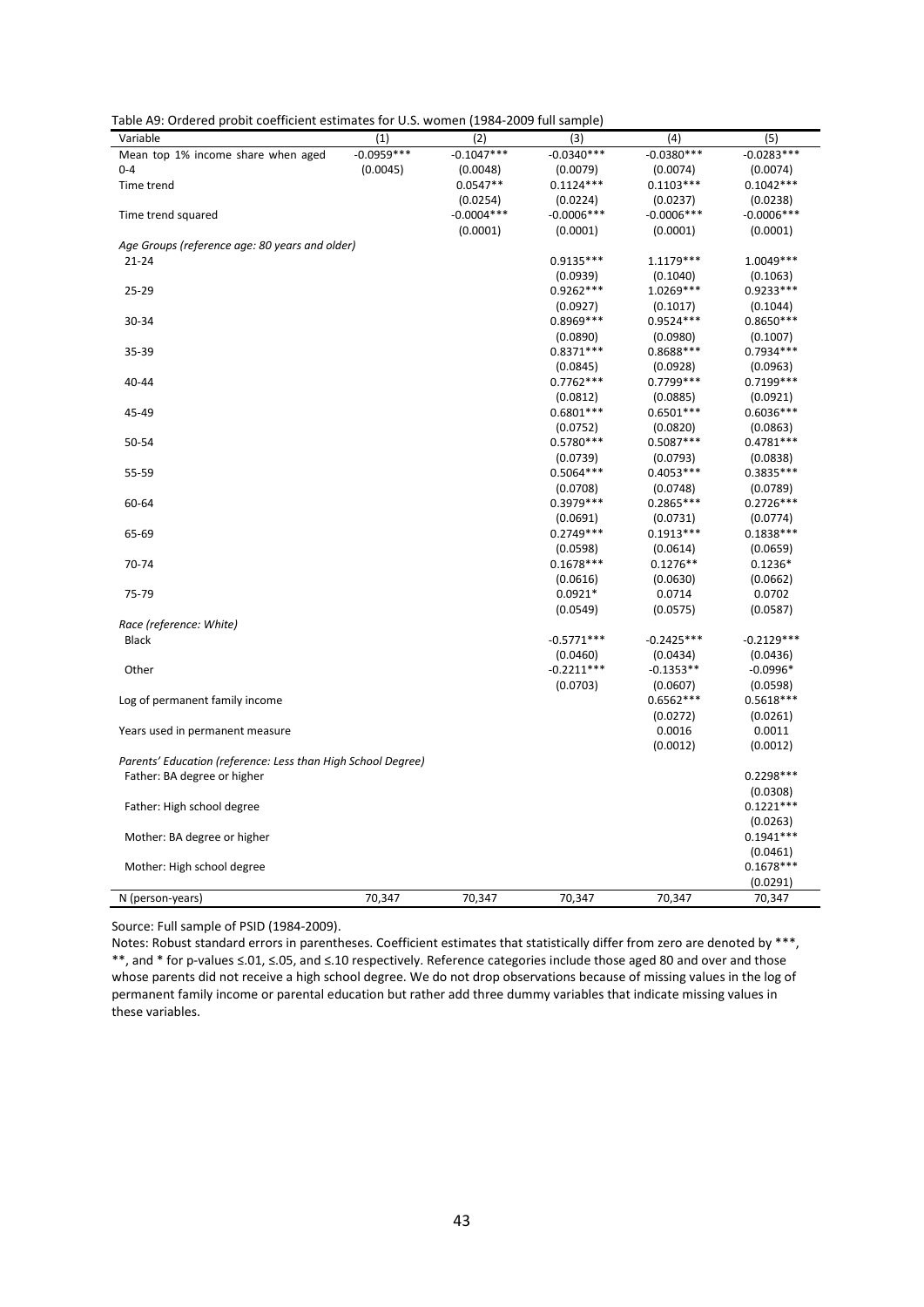| Table A9: Ordered probit coefficient estimates for U.S. women (1984-2009 full sample) |  |
|---------------------------------------------------------------------------------------|--|
|---------------------------------------------------------------------------------------|--|

| Variable                                                     | (1)          | (2)          | (3)                    | (4)                     | (5)                     |
|--------------------------------------------------------------|--------------|--------------|------------------------|-------------------------|-------------------------|
| Mean top 1% income share when aged                           | $-0.0959***$ | $-0.1047***$ | $-0.0340***$           | $-0.0380***$            | $-0.0283***$            |
| $0 - 4$                                                      | (0.0045)     | (0.0048)     | (0.0079)               | (0.0074)                | (0.0074)                |
| Time trend                                                   |              | $0.0547**$   | $0.1124***$            | $0.1103***$             | $0.1042***$             |
|                                                              |              | (0.0254)     | (0.0224)               | (0.0237)                | (0.0238)                |
| Time trend squared                                           |              | $-0.0004***$ | $-0.0006***$           | $-0.0006***$            | $-0.0006***$            |
|                                                              |              | (0.0001)     | (0.0001)               | (0.0001)                | (0.0001)                |
| Age Groups (reference age: 80 years and older)               |              |              |                        |                         |                         |
| $21 - 24$                                                    |              |              | 0.9135***              | 1.1179 ***              | 1.0049 ***              |
|                                                              |              |              | (0.0939)               | (0.1040)                | (0.1063)                |
| 25-29                                                        |              |              | $0.9262***$            | 1.0269***               | 0.9233***               |
|                                                              |              |              | (0.0927)               | (0.1017)                | (0.1044)                |
| 30-34                                                        |              |              | $0.8969***$            | $0.9524***$             | $0.8650***$             |
|                                                              |              |              | (0.0890)               | (0.0980)                | (0.1007)                |
| 35-39                                                        |              |              | $0.8371***$            | 0.8688***               | $0.7934***$             |
|                                                              |              |              | (0.0845)               | (0.0928)                | (0.0963)                |
| 40-44                                                        |              |              | $0.7762***$            | 0.7799 ***              | $0.7199***$             |
|                                                              |              |              | (0.0812)               | (0.0885)                | (0.0921)                |
| 45-49                                                        |              |              | $0.6801***$            | $0.6501***$             | $0.6036***$             |
|                                                              |              |              | (0.0752)               | (0.0820)                | (0.0863)                |
| 50-54                                                        |              |              | $0.5780***$            | $0.5087***$             | $0.4781***$             |
|                                                              |              |              | (0.0739)               | (0.0793)                | (0.0838)                |
| 55-59                                                        |              |              | $0.5064***$            | $0.4053***$             | $0.3835***$             |
|                                                              |              |              |                        |                         |                         |
|                                                              |              |              | (0.0708)<br>0.3979 *** | (0.0748)<br>$0.2865***$ | (0.0789)<br>$0.2726***$ |
| 60-64                                                        |              |              |                        |                         |                         |
|                                                              |              |              | (0.0691)               | (0.0731)                | (0.0774)                |
| 65-69                                                        |              |              | $0.2749***$            | $0.1913***$             | $0.1838***$             |
|                                                              |              |              | (0.0598)               | (0.0614)                | (0.0659)                |
| 70-74                                                        |              |              | $0.1678***$            | $0.1276**$              | $0.1236*$               |
|                                                              |              |              | (0.0616)               | (0.0630)                | (0.0662)                |
| 75-79                                                        |              |              | $0.0921*$              | 0.0714                  | 0.0702                  |
|                                                              |              |              | (0.0549)               | (0.0575)                | (0.0587)                |
| Race (reference: White)                                      |              |              |                        |                         |                         |
| <b>Black</b>                                                 |              |              | $-0.5771***$           | $-0.2425***$            | $-0.2129***$            |
|                                                              |              |              | (0.0460)               | (0.0434)                | (0.0436)                |
| Other                                                        |              |              | $-0.2211***$           | $-0.1353**$             | $-0.0996*$              |
|                                                              |              |              | (0.0703)               | (0.0607)                | (0.0598)                |
| Log of permanent family income                               |              |              |                        | $0.6562***$             | $0.5618***$             |
|                                                              |              |              |                        | (0.0272)                | (0.0261)                |
| Years used in permanent measure                              |              |              |                        | 0.0016                  | 0.0011                  |
|                                                              |              |              |                        | (0.0012)                | (0.0012)                |
| Parents' Education (reference: Less than High School Degree) |              |              |                        |                         |                         |
| Father: BA degree or higher                                  |              |              |                        |                         | $0.2298***$             |
|                                                              |              |              |                        |                         | (0.0308)                |
| Father: High school degree                                   |              |              |                        |                         | $0.1221***$             |
|                                                              |              |              |                        |                         | (0.0263)                |
| Mother: BA degree or higher                                  |              |              |                        |                         | $0.1941***$             |
|                                                              |              |              |                        |                         | (0.0461)                |
| Mother: High school degree                                   |              |              |                        |                         | $0.1678***$             |
|                                                              |              |              |                        |                         | (0.0291)                |
| N (person-years)                                             | 70,347       | 70,347       | 70,347                 | 70,347                  | 70,347                  |

Source: Full sample of PSID (1984-2009).

Notes: Robust standard errors in parentheses. Coefficient estimates that statistically differ from zero are denoted by \*\*\*, \*\*, and \* for p-values ≤.01, ≤.05, and ≤.10 respectively. Reference categories include those aged 80 and over and those whose parents did not receive a high school degree. We do not drop observations because of missing values in the log of permanent family income or parental education but rather add three dummy variables that indicate missing values in these variables.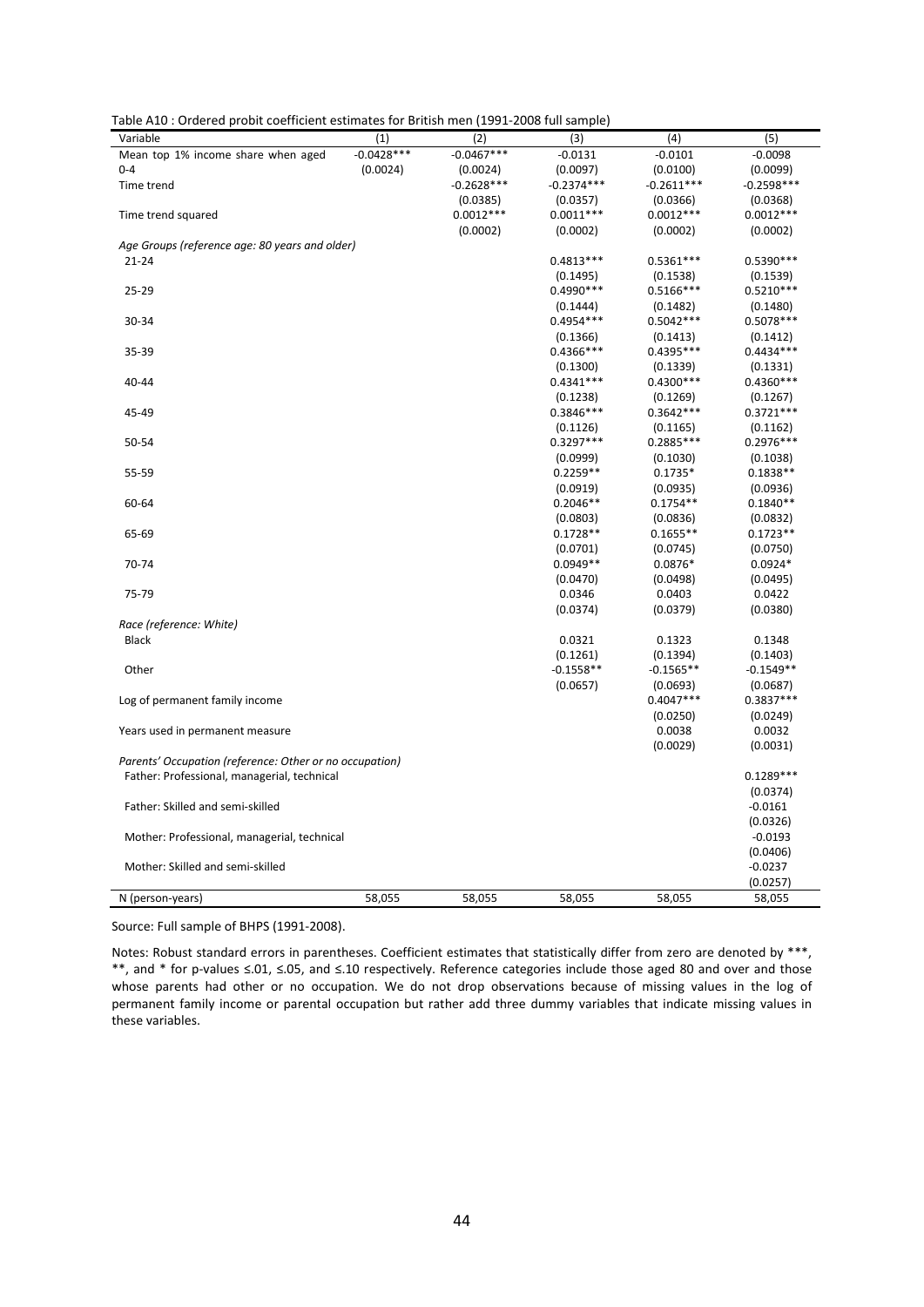|  |  |  |  | Table A10 : Ordered probit coefficient estimates for British men (1991-2008 full sample) |  |
|--|--|--|--|------------------------------------------------------------------------------------------|--|
|--|--|--|--|------------------------------------------------------------------------------------------|--|

| Variable                                                | (1)          | (2)          | (3)                     | (4)                   | (5)                     |
|---------------------------------------------------------|--------------|--------------|-------------------------|-----------------------|-------------------------|
| Mean top 1% income share when aged                      | $-0.0428***$ | $-0.0467***$ | $-0.0131$               | $-0.0101$             | $-0.0098$               |
| $0 - 4$                                                 | (0.0024)     | (0.0024)     | (0.0097)                | (0.0100)              | (0.0099)                |
| Time trend                                              |              | $-0.2628***$ | $-0.2374***$            | $-0.2611***$          | $-0.2598***$            |
|                                                         |              | (0.0385)     | (0.0357)                | (0.0366)              | (0.0368)                |
| Time trend squared                                      |              | $0.0012***$  | $0.0011***$             | $0.0012***$           | $0.0012***$             |
|                                                         |              | (0.0002)     | (0.0002)                | (0.0002)              | (0.0002)                |
| Age Groups (reference age: 80 years and older)          |              |              |                         |                       |                         |
| $21 - 24$                                               |              |              | $0.4813***$             | $0.5361***$           | $0.5390***$             |
|                                                         |              |              | (0.1495)                | (0.1538)              | (0.1539)                |
| 25-29                                                   |              |              | 0.4990 ***              | $0.5166***$           | $0.5210***$             |
|                                                         |              |              | (0.1444)                | (0.1482)              | (0.1480)                |
| 30-34                                                   |              |              | 0.4954 ***              | $0.5042***$           | $0.5078***$             |
|                                                         |              |              | (0.1366)                | (0.1413)              | (0.1412)                |
| 35-39                                                   |              |              | 0.4366***               | 0.4395***             | $0.4434***$             |
|                                                         |              |              | (0.1300)                | (0.1339)              | (0.1331)                |
| 40-44                                                   |              |              | $0.4341***$             | $0.4300***$           | $0.4360***$             |
|                                                         |              |              | (0.1238)                | (0.1269)              |                         |
| 45-49                                                   |              |              | $0.3846***$             | $0.3642***$           | (0.1267)<br>$0.3721***$ |
|                                                         |              |              |                         |                       |                         |
| 50-54                                                   |              |              | (0.1126)<br>$0.3297***$ | (0.1165)<br>0.2885*** | (0.1162)<br>$0.2976***$ |
|                                                         |              |              |                         |                       |                         |
|                                                         |              |              | (0.0999)                | (0.1030)              | (0.1038)                |
| 55-59                                                   |              |              | $0.2259**$              | $0.1735*$             | $0.1838**$              |
|                                                         |              |              | (0.0919)                | (0.0935)              | (0.0936)                |
| 60-64                                                   |              |              | $0.2046**$              | $0.1754**$            | $0.1840**$              |
|                                                         |              |              | (0.0803)                | (0.0836)              | (0.0832)                |
| 65-69                                                   |              |              | $0.1728**$              | $0.1655**$            | $0.1723**$              |
|                                                         |              |              | (0.0701)                | (0.0745)              | (0.0750)                |
| 70-74                                                   |              |              | $0.0949**$              | $0.0876*$             | $0.0924*$               |
|                                                         |              |              | (0.0470)                | (0.0498)              | (0.0495)                |
| 75-79                                                   |              |              | 0.0346                  | 0.0403                | 0.0422                  |
|                                                         |              |              | (0.0374)                | (0.0379)              | (0.0380)                |
| Race (reference: White)                                 |              |              |                         |                       |                         |
| <b>Black</b>                                            |              |              | 0.0321                  | 0.1323                | 0.1348                  |
|                                                         |              |              | (0.1261)                | (0.1394)              | (0.1403)                |
| Other                                                   |              |              | $-0.1558**$             | $-0.1565**$           | $-0.1549**$             |
|                                                         |              |              | (0.0657)                | (0.0693)              | (0.0687)                |
| Log of permanent family income                          |              |              |                         | $0.4047***$           | $0.3837***$             |
|                                                         |              |              |                         | (0.0250)              | (0.0249)                |
| Years used in permanent measure                         |              |              |                         | 0.0038                | 0.0032                  |
|                                                         |              |              |                         | (0.0029)              | (0.0031)                |
| Parents' Occupation (reference: Other or no occupation) |              |              |                         |                       |                         |
| Father: Professional, managerial, technical             |              |              |                         |                       | $0.1289***$             |
|                                                         |              |              |                         |                       | (0.0374)                |
| Father: Skilled and semi-skilled                        |              |              |                         |                       | $-0.0161$               |
|                                                         |              |              |                         |                       | (0.0326)                |
| Mother: Professional, managerial, technical             |              |              |                         |                       | $-0.0193$               |
|                                                         |              |              |                         |                       | (0.0406)                |
| Mother: Skilled and semi-skilled                        |              |              |                         |                       | $-0.0237$               |
|                                                         |              |              |                         |                       | (0.0257)                |
| N (person-years)                                        | 58,055       | 58,055       | 58,055                  | 58,055                | 58,055                  |

Source: Full sample of BHPS (1991-2008).

Notes: Robust standard errors in parentheses. Coefficient estimates that statistically differ from zero are denoted by \*\*\*, \*\*, and \* for p-values ≤.01, ≤.05, and ≤.10 respectively. Reference categories include those aged 80 and over and those whose parents had other or no occupation. We do not drop observations because of missing values in the log of permanent family income or parental occupation but rather add three dummy variables that indicate missing values in these variables.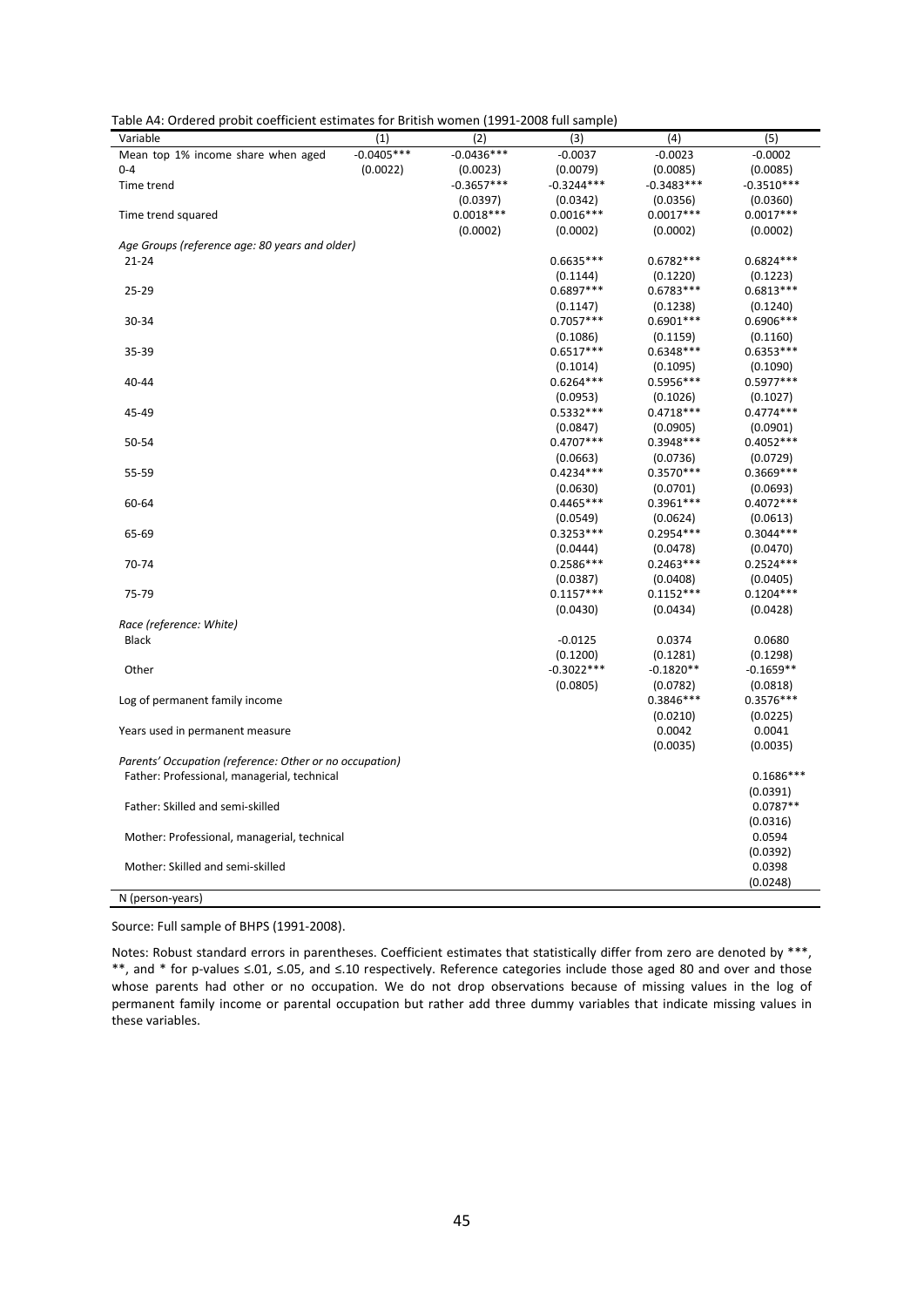| Table A4: Ordered probit coefficient estimates for British women (1991-2008 full sample) |  |  |
|------------------------------------------------------------------------------------------|--|--|
|------------------------------------------------------------------------------------------|--|--|

| Variable                                                | (1)          | (2)          | (3)                     | (4)                     | (5)                     |
|---------------------------------------------------------|--------------|--------------|-------------------------|-------------------------|-------------------------|
| Mean top 1% income share when aged                      | $-0.0405***$ | $-0.0436***$ | $-0.0037$               | $-0.0023$               | $-0.0002$               |
| $0 - 4$                                                 | (0.0022)     | (0.0023)     | (0.0079)                | (0.0085)                | (0.0085)                |
| Time trend                                              |              | $-0.3657***$ | $-0.3244***$            | $-0.3483***$            | $-0.3510***$            |
|                                                         |              | (0.0397)     | (0.0342)                | (0.0356)                | (0.0360)                |
| Time trend squared                                      |              | $0.0018***$  | $0.0016***$             | $0.0017***$             | $0.0017***$             |
|                                                         |              | (0.0002)     | (0.0002)                | (0.0002)                | (0.0002)                |
| Age Groups (reference age: 80 years and older)          |              |              |                         |                         |                         |
| $21 - 24$                                               |              |              | $0.6635***$             | $0.6782***$             | $0.6824***$             |
|                                                         |              |              | (0.1144)                | (0.1220)                | (0.1223)                |
| 25-29                                                   |              |              | 0.6897***               | $0.6783***$             | $0.6813***$             |
|                                                         |              |              | (0.1147)                | (0.1238)                | (0.1240)                |
| 30-34                                                   |              |              | $0.7057***$             | $0.6901***$             | $0.6906***$             |
|                                                         |              |              | (0.1086)                | (0.1159)                | (0.1160)                |
| 35-39                                                   |              |              | $0.6517***$             | $0.6348***$             | $0.6353***$             |
|                                                         |              |              | (0.1014)                | (0.1095)                | (0.1090)                |
| 40-44                                                   |              |              | $0.6264***$             | $0.5956***$             | $0.5977***$             |
|                                                         |              |              | (0.0953)                | (0.1026)                | (0.1027)                |
| 45-49                                                   |              |              | $0.5332***$             | $0.4718***$             | $0.4774***$             |
|                                                         |              |              | (0.0847)                | (0.0905)                | (0.0901)                |
| 50-54                                                   |              |              | $0.4707***$             | $0.3948***$             | $0.4052***$             |
|                                                         |              |              | (0.0663)                | (0.0736)                | (0.0729)                |
| 55-59                                                   |              |              | $0.4234***$             | $0.3570***$             | $0.3669***$             |
|                                                         |              |              |                         |                         |                         |
|                                                         |              |              | (0.0630)<br>$0.4465***$ | (0.0701)<br>$0.3961***$ | (0.0693)<br>$0.4072***$ |
| 60-64                                                   |              |              |                         |                         |                         |
|                                                         |              |              | (0.0549)<br>$0.3253***$ | (0.0624)<br>$0.2954***$ | (0.0613)<br>$0.3044***$ |
| 65-69                                                   |              |              |                         |                         |                         |
|                                                         |              |              | (0.0444)                | (0.0478)                | (0.0470)                |
| 70-74                                                   |              |              | $0.2586***$             | $0.2463***$             | $0.2524***$             |
|                                                         |              |              | (0.0387)                | (0.0408)                | (0.0405)                |
| 75-79                                                   |              |              | $0.1157***$             | $0.1152***$             | $0.1204***$             |
|                                                         |              |              | (0.0430)                | (0.0434)                | (0.0428)                |
| Race (reference: White)                                 |              |              |                         |                         |                         |
| <b>Black</b>                                            |              |              | $-0.0125$               | 0.0374                  | 0.0680                  |
|                                                         |              |              | (0.1200)                | (0.1281)                | (0.1298)                |
| Other                                                   |              |              | $-0.3022***$            | $-0.1820**$             | $-0.1659**$             |
|                                                         |              |              | (0.0805)                | (0.0782)                | (0.0818)                |
| Log of permanent family income                          |              |              |                         | 0.3846***               | $0.3576***$             |
|                                                         |              |              |                         | (0.0210)                | (0.0225)                |
| Years used in permanent measure                         |              |              |                         | 0.0042                  | 0.0041                  |
|                                                         |              |              |                         | (0.0035)                | (0.0035)                |
| Parents' Occupation (reference: Other or no occupation) |              |              |                         |                         |                         |
| Father: Professional, managerial, technical             |              |              |                         |                         | $0.1686***$             |
|                                                         |              |              |                         |                         | (0.0391)                |
| Father: Skilled and semi-skilled                        |              |              |                         |                         | $0.0787**$              |
|                                                         |              |              |                         |                         | (0.0316)                |
| Mother: Professional, managerial, technical             |              |              |                         |                         | 0.0594                  |
|                                                         |              |              |                         |                         | (0.0392)                |
| Mother: Skilled and semi-skilled                        |              |              |                         |                         | 0.0398                  |
|                                                         |              |              |                         |                         | (0.0248)                |
| N (person-years)                                        |              |              |                         |                         |                         |

Source: Full sample of BHPS (1991-2008).

Notes: Robust standard errors in parentheses. Coefficient estimates that statistically differ from zero are denoted by \*\*\*, \*\*, and \* for p-values ≤.01, ≤.05, and ≤.10 respectively. Reference categories include those aged 80 and over and those whose parents had other or no occupation. We do not drop observations because of missing values in the log of permanent family income or parental occupation but rather add three dummy variables that indicate missing values in these variables.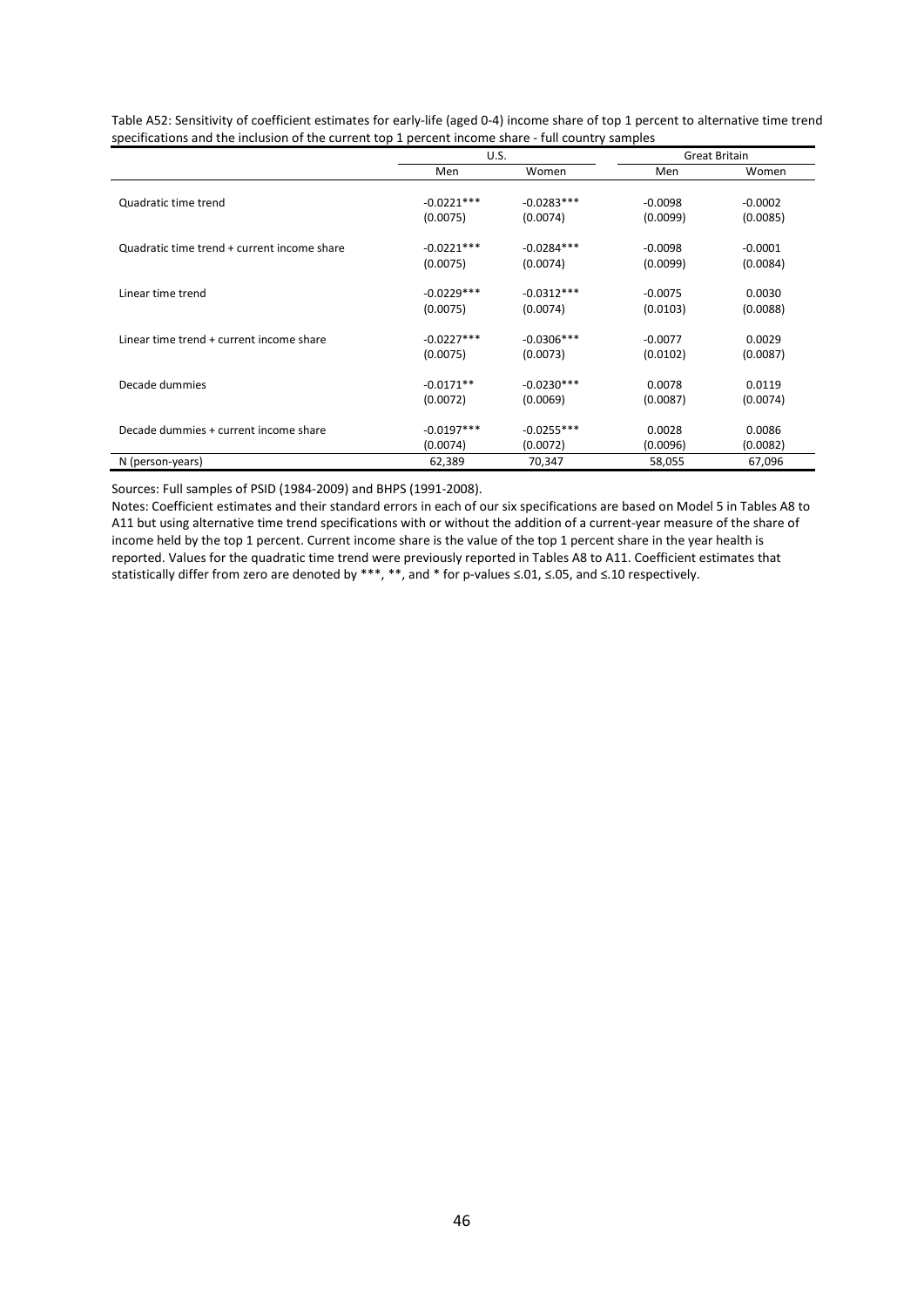|                                             | U.S.         |              |           | <b>Great Britain</b> |
|---------------------------------------------|--------------|--------------|-----------|----------------------|
|                                             | Men          | Women        | Men       | Women                |
| Quadratic time trend                        | $-0.0221***$ | $-0.0283***$ | $-0.0098$ | $-0.0002$            |
|                                             | (0.0075)     | (0.0074)     | (0.0099)  | (0.0085)             |
| Quadratic time trend + current income share | $-0.0221***$ | $-0.0284***$ | $-0.0098$ | $-0.0001$            |
|                                             | (0.0075)     | (0.0074)     | (0.0099)  | (0.0084)             |
| Linear time trend                           | $-0.0229***$ | $-0.0312***$ | $-0.0075$ | 0.0030               |
|                                             | (0.0075)     | (0.0074)     | (0.0103)  | (0.0088)             |
| Linear time trend + current income share    | $-0.0227***$ | $-0.0306***$ | $-0.0077$ | 0.0029               |
|                                             | (0.0075)     | (0.0073)     | (0.0102)  | (0.0087)             |
| Decade dummies                              | $-0.0171**$  | $-0.0230***$ | 0.0078    | 0.0119               |
|                                             | (0.0072)     | (0.0069)     | (0.0087)  | (0.0074)             |
| Decade dummies + current income share       | $-0.0197***$ | $-0.0255***$ | 0.0028    | 0.0086               |
|                                             | (0.0074)     | (0.0072)     | (0.0096)  | (0.0082)             |
| N (person-years)                            | 62,389       | 70,347       | 58,055    | 67,096               |

<span id="page-45-0"></span>Table A52: Sensitivity of coefficient estimates for early-life (aged 0-4) income share of top 1 percent to alternative time trend specifications and the inclusion of the current top 1 percent income share - full country samples

Sources: Full samples of PSID (1984-2009) and BHPS (1991-2008).

Notes: Coefficient estimates and their standard errors in each of our six specifications are based on Model 5 in Tables A8 to A11 but using alternative time trend specifications with or without the addition of a current-year measure of the share of income held by the top 1 percent. Current income share is the value of the top 1 percent share in the year health is reported. Values for the quadratic time trend were previously reported in Tables A8 to A11. Coefficient estimates that statistically differ from zero are denoted by \*\*\*, \*\*, and \* for p-values ≤.01, ≤.05, and ≤.10 respectively.